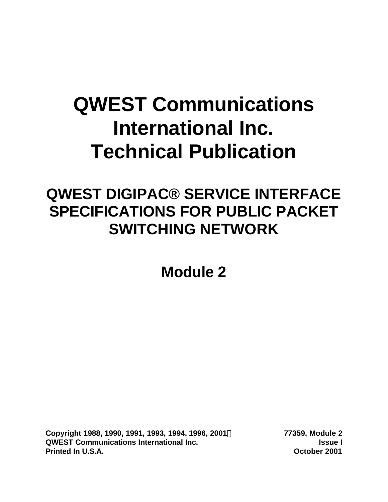# **QWEST Communications International Inc. Technical Publication**

## **QWEST DIGIPAC® SERVICE INTERFACE SPECIFICATIONS FOR PUBLIC PACKET SWITCHING NETWORK**

**Module 2**

**Copyright 1988, 1990, 1991, 1993, 1994, 1996, 2001Ó 77359, Module 2 QWEST Communications International Inc. Issue I Printed In U.S.A. October 2001**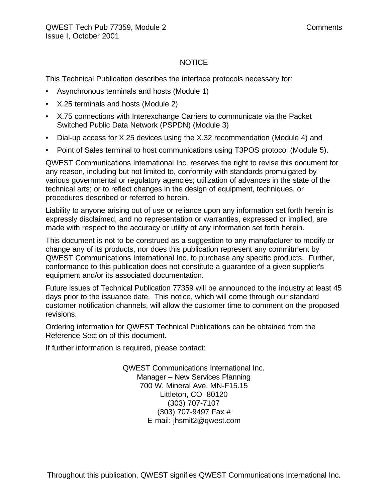#### NOTICE

This Technical Publication describes the interface protocols necessary for:

- Asynchronous terminals and hosts (Module 1)
- X.25 terminals and hosts (Module 2)
- X.75 connections with Interexchange Carriers to communicate via the Packet Switched Public Data Network (PSPDN) (Module 3)
- Dial-up access for X.25 devices using the X.32 recommendation (Module 4) and
- Point of Sales terminal to host communications using T3POS protocol (Module 5).

QWEST Communications International Inc. reserves the right to revise this document for any reason, including but not limited to, conformity with standards promulgated by various governmental or regulatory agencies; utilization of advances in the state of the technical arts; or to reflect changes in the design of equipment, techniques, or procedures described or referred to herein.

Liability to anyone arising out of use or reliance upon any information set forth herein is expressly disclaimed, and no representation or warranties, expressed or implied, are made with respect to the accuracy or utility of any information set forth herein.

This document is not to be construed as a suggestion to any manufacturer to modify or change any of its products, nor does this publication represent any commitment by QWEST Communications International Inc. to purchase any specific products. Further, conformance to this publication does not constitute a guarantee of a given supplier's equipment and/or its associated documentation.

Future issues of Technical Publication 77359 will be announced to the industry at least 45 days prior to the issuance date. This notice, which will come through our standard customer notification channels, will allow the customer time to comment on the proposed revisions.

Ordering information for QWEST Technical Publications can be obtained from the Reference Section of this document.

If further information is required, please contact:

QWEST Communications International Inc. Manager – New Services Planning 700 W. Mineral Ave. MN-F15.15 Littleton, CO 80120 (303) 707-7107 (303) 707-9497 Fax # E-mail: jhsmit2@qwest.com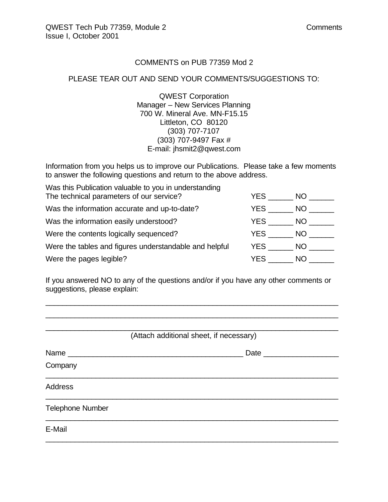#### COMMENTS on PUB 77359 Mod 2

#### PLEASE TEAR OUT AND SEND YOUR COMMENTS/SUGGESTIONS TO:

QWEST Corporation Manager – New Services Planning 700 W. Mineral Ave. MN-F15.15 Littleton, CO 80120 (303) 707-7107 (303) 707-9497 Fax # E-mail: jhsmit2@qwest.com

Information from you helps us to improve our Publications. Please take a few moments to answer the following questions and return to the above address.

| Was this Publication valuable to you in understanding  |      |      |
|--------------------------------------------------------|------|------|
| The technical parameters of our service?               | YES. | NO.  |
| Was the information accurate and up-to-date?           | YES. | NO.  |
| Was the information easily understood?                 | YES. | NO.  |
| Were the contents logically sequenced?                 | YES  | NO.  |
| Were the tables and figures understandable and helpful | YES  | NO - |
| Were the pages legible?                                | YES  | NO.  |

If you answered NO to any of the questions and/or if you have any other comments or suggestions, please explain:

\_\_\_\_\_\_\_\_\_\_\_\_\_\_\_\_\_\_\_\_\_\_\_\_\_\_\_\_\_\_\_\_\_\_\_\_\_\_\_\_\_\_\_\_\_\_\_\_\_\_\_\_\_\_\_\_\_\_\_\_\_\_\_\_\_\_\_\_\_\_ \_\_\_\_\_\_\_\_\_\_\_\_\_\_\_\_\_\_\_\_\_\_\_\_\_\_\_\_\_\_\_\_\_\_\_\_\_\_\_\_\_\_\_\_\_\_\_\_\_\_\_\_\_\_\_\_\_\_\_\_\_\_\_\_\_\_\_\_\_\_

| (Attach additional sheet, if necessary) |                     |  |  |  |  |  |
|-----------------------------------------|---------------------|--|--|--|--|--|
| Name                                    | Date ______________ |  |  |  |  |  |
| Company                                 |                     |  |  |  |  |  |
| <b>Address</b>                          |                     |  |  |  |  |  |
| <b>Telephone Number</b>                 |                     |  |  |  |  |  |
| E-Mail                                  |                     |  |  |  |  |  |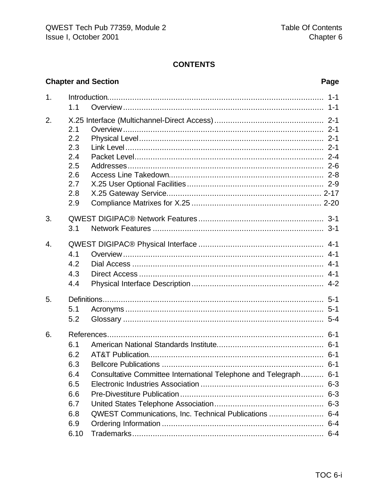#### **CONTENTS**

#### **Chapter and Section**  $1<sup>1</sup>$  $1.1$  $2<sub>1</sub>$  $2.1$  $2.2$  $2.3$  $2.4$  $2.5$ 2.6  $2.7$  $2.8$  $2.9$ 3.  $3.1$  $\overline{4}$ .  $4.1$  $4.2$  $4.3$  $44$ 5.  $5.1$  $5.2$ 6.  $6.1$  $6.2$  $6.3$ Consultative Committee International Telephone and Telegraph.......... 6-1  $6.4$ 6.5 6.6  $6.7$  $6.8$ QWEST Communications, Inc. Technical Publications ......................... 6-4 6.9  $6.10$

#### Page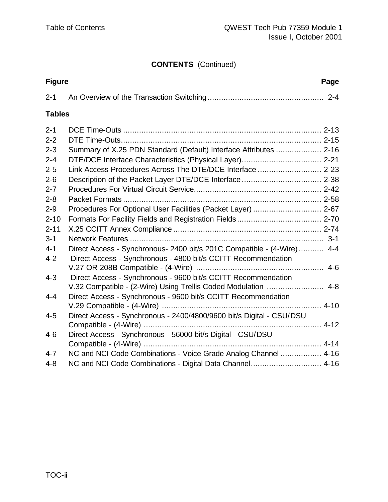## **CONTENTS** (Continued)

| <b>Figure</b> | Page                                                                   |
|---------------|------------------------------------------------------------------------|
| $2 - 1$       |                                                                        |
| <b>Tables</b> |                                                                        |
| $2 - 1$       |                                                                        |
| $2 - 2$       |                                                                        |
| $2 - 3$       | Summary of X.25 PDN Standard (Default) Interface Attributes  2-16      |
| $2 - 4$       |                                                                        |
| $2 - 5$       | Link Access Procedures Across The DTE/DCE Interface  2-23              |
| $2 - 6$       |                                                                        |
| $2 - 7$       |                                                                        |
| $2 - 8$       |                                                                        |
| $2 - 9$       | Procedures For Optional User Facilities (Packet Layer)  2-67           |
| $2 - 10$      |                                                                        |
| $2 - 11$      |                                                                        |
| $3 - 1$       |                                                                        |
| $4 - 1$       | Direct Access - Synchronous- 2400 bit/s 201C Compatible - (4-Wire) 4-4 |
| $4 - 2$       | Direct Access - Synchronous - 4800 bit/s CCITT Recommendation          |
|               |                                                                        |
| $4 - 3$       | Direct Access - Synchronous - 9600 bit/s CCITT Recommendation          |
|               | V.32 Compatible - (2-Wire) Using Trellis Coded Modulation  4-8         |
| $4 - 4$       | Direct Access - Synchronous - 9600 bit/s CCITT Recommendation          |
|               |                                                                        |
| $4 - 5$       | Direct Access - Synchronous - 2400/4800/9600 bit/s Digital - CSU/DSU   |
|               |                                                                        |
| $4 - 6$       | Direct Access - Synchronous - 56000 bit/s Digital - CSU/DSU            |
|               |                                                                        |
| $4 - 7$       | NC and NCI Code Combinations - Voice Grade Analog Channel  4-16        |
| $4 - 8$       |                                                                        |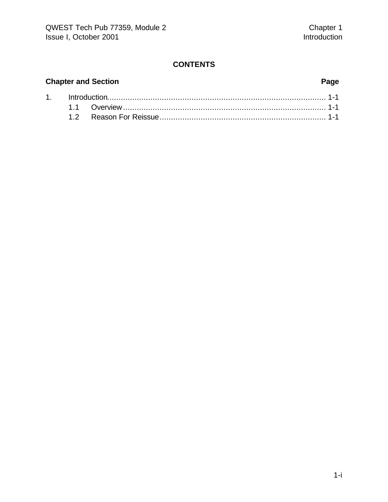### **CONTENTS**

### **Chapter and Section Page**

| 1. http://www.the.com/maria-1-1-and-0-1-2-1-and-0-2-1-and-0-2-2-and-0-2-and-0-2- |  |  |  |  |
|----------------------------------------------------------------------------------|--|--|--|--|
|                                                                                  |  |  |  |  |
|                                                                                  |  |  |  |  |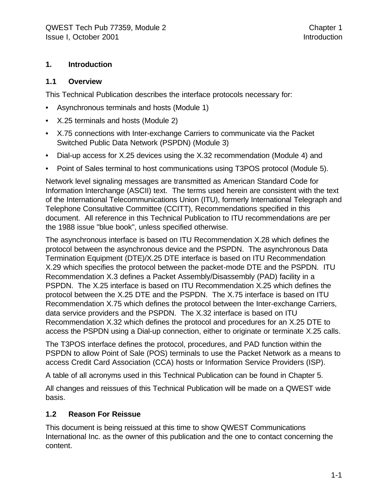#### **1. Introduction**

#### **1.1 Overview**

This Technical Publication describes the interface protocols necessary for:

- Asynchronous terminals and hosts (Module 1)
- X.25 terminals and hosts (Module 2)
- X.75 connections with Inter-exchange Carriers to communicate via the Packet Switched Public Data Network (PSPDN) (Module 3)
- Dial-up access for X.25 devices using the X.32 recommendation (Module 4) and
- Point of Sales terminal to host communications using T3POS protocol (Module 5).

Network level signaling messages are transmitted as American Standard Code for Information Interchange (ASCII) text. The terms used herein are consistent with the text of the International Telecommunications Union (ITU), formerly International Telegraph and Telephone Consultative Committee (CCITT), Recommendations specified in this document. All reference in this Technical Publication to ITU recommendations are per the 1988 issue "blue book", unless specified otherwise.

The asynchronous interface is based on ITU Recommendation X.28 which defines the protocol between the asynchronous device and the PSPDN. The asynchronous Data Termination Equipment (DTE)/X.25 DTE interface is based on ITU Recommendation X.29 which specifies the protocol between the packet-mode DTE and the PSPDN. ITU Recommendation X.3 defines a Packet Assembly/Disassembly (PAD) facility in a PSPDN. The X.25 interface is based on ITU Recommendation X.25 which defines the protocol between the X.25 DTE and the PSPDN. The X.75 interface is based on ITU Recommendation X.75 which defines the protocol between the Inter-exchange Carriers, data service providers and the PSPDN. The X.32 interface is based on ITU Recommendation X.32 which defines the protocol and procedures for an X.25 DTE to access the PSPDN using a Dial-up connection, either to originate or terminate X.25 calls.

The T3POS interface defines the protocol, procedures, and PAD function within the PSPDN to allow Point of Sale (POS) terminals to use the Packet Network as a means to access Credit Card Association (CCA) hosts or Information Service Providers (ISP).

A table of all acronyms used in this Technical Publication can be found in Chapter 5.

All changes and reissues of this Technical Publication will be made on a QWEST wide basis.

#### **1.2 Reason For Reissue**

This document is being reissued at this time to show QWEST Communications International Inc. as the owner of this publication and the one to contact concerning the content.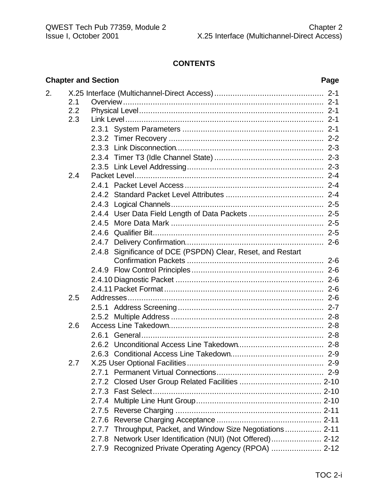#### **CONTENTS**

|     |            | Page                                                                                                                                                                                                               |
|-----|------------|--------------------------------------------------------------------------------------------------------------------------------------------------------------------------------------------------------------------|
|     |            |                                                                                                                                                                                                                    |
| 2.1 |            |                                                                                                                                                                                                                    |
| 2.2 |            |                                                                                                                                                                                                                    |
| 2.3 |            |                                                                                                                                                                                                                    |
|     |            |                                                                                                                                                                                                                    |
|     |            |                                                                                                                                                                                                                    |
|     |            |                                                                                                                                                                                                                    |
|     |            |                                                                                                                                                                                                                    |
|     |            |                                                                                                                                                                                                                    |
|     |            |                                                                                                                                                                                                                    |
|     |            |                                                                                                                                                                                                                    |
|     |            |                                                                                                                                                                                                                    |
|     |            |                                                                                                                                                                                                                    |
|     |            |                                                                                                                                                                                                                    |
|     |            |                                                                                                                                                                                                                    |
|     |            |                                                                                                                                                                                                                    |
|     |            |                                                                                                                                                                                                                    |
|     |            |                                                                                                                                                                                                                    |
|     |            |                                                                                                                                                                                                                    |
|     |            |                                                                                                                                                                                                                    |
|     |            |                                                                                                                                                                                                                    |
|     |            |                                                                                                                                                                                                                    |
|     |            |                                                                                                                                                                                                                    |
|     |            |                                                                                                                                                                                                                    |
| 2.6 |            |                                                                                                                                                                                                                    |
|     |            |                                                                                                                                                                                                                    |
|     |            |                                                                                                                                                                                                                    |
|     |            |                                                                                                                                                                                                                    |
| 2.7 |            |                                                                                                                                                                                                                    |
|     | 2.7.1      |                                                                                                                                                                                                                    |
|     |            |                                                                                                                                                                                                                    |
|     |            |                                                                                                                                                                                                                    |
|     | 2.7.4      |                                                                                                                                                                                                                    |
|     |            |                                                                                                                                                                                                                    |
|     | 2.7.6      |                                                                                                                                                                                                                    |
|     |            |                                                                                                                                                                                                                    |
|     | 2.7.8      |                                                                                                                                                                                                                    |
|     |            |                                                                                                                                                                                                                    |
|     | 2.4<br>2.5 | <b>Chapter and Section</b><br>2.4.8 Significance of DCE (PSPDN) Clear, Reset, and Restart<br>2.7.7 Throughput, Packet, and Window Size Negotiations 2-11<br>2.7.9 Recognized Private Operating Agency (RPOA)  2-12 |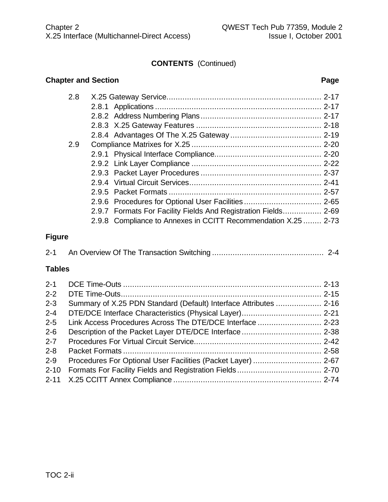#### **CONTENTS** (Continued)

#### **Chapter and Section Page**

| 2.8 |                                                                |  |
|-----|----------------------------------------------------------------|--|
|     |                                                                |  |
|     |                                                                |  |
|     |                                                                |  |
|     |                                                                |  |
| 2.9 |                                                                |  |
|     |                                                                |  |
|     |                                                                |  |
|     |                                                                |  |
|     |                                                                |  |
|     |                                                                |  |
|     |                                                                |  |
|     | 2.9.7 Formats For Facility Fields And Registration Fields 2-69 |  |
|     | 2.9.8 Compliance to Annexes in CCITT Recommendation X.25  2-73 |  |
|     |                                                                |  |

#### **Figure**

|--|--|--|

#### **Tables**

| $2 - 1$  |                                                                   |  |
|----------|-------------------------------------------------------------------|--|
| $2 - 2$  |                                                                   |  |
| $2 - 3$  | Summary of X.25 PDN Standard (Default) Interface Attributes  2-16 |  |
| $2 - 4$  |                                                                   |  |
| $2 - 5$  |                                                                   |  |
| $2 - 6$  |                                                                   |  |
| $2 - 7$  |                                                                   |  |
| $2 - 8$  |                                                                   |  |
| $2 - 9$  |                                                                   |  |
| $2 - 10$ |                                                                   |  |
|          |                                                                   |  |
|          |                                                                   |  |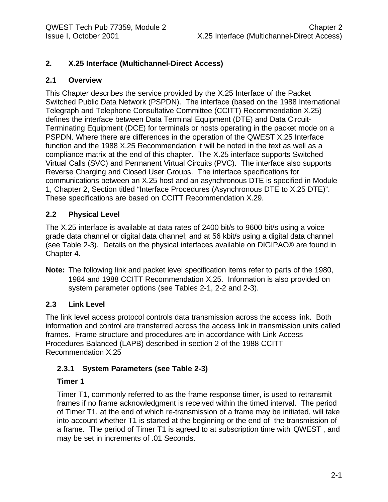#### **2. X.25 Interface (Multichannel-Direct Access)**

#### **2.1 Overview**

This Chapter describes the service provided by the X.25 Interface of the Packet Switched Public Data Network (PSPDN). The interface (based on the 1988 International Telegraph and Telephone Consultative Committee (CCITT) Recommendation X.25) defines the interface between Data Terminal Equipment (DTE) and Data Circuit-Terminating Equipment (DCE) for terminals or hosts operating in the packet mode on a PSPDN. Where there are differences in the operation of the QWEST X.25 Interface function and the 1988 X.25 Recommendation it will be noted in the text as well as a compliance matrix at the end of this chapter. The X.25 interface supports Switched Virtual Calls (SVC) and Permanent Virtual Circuits (PVC). The interface also supports Reverse Charging and Closed User Groups. The interface specifications for communications between an X.25 host and an asynchronous DTE is specified in Module 1, Chapter 2, Section titled "Interface Procedures (Asynchronous DTE to X.25 DTE)". These specifications are based on CCITT Recommendation X.29.

#### **2.2 Physical Level**

The X.25 interface is available at data rates of 2400 bit/s to 9600 bit/s using a voice grade data channel or digital data channel; and at 56 kbit/s using a digital data channel (see Table 2-3). Details on the physical interfaces available on DIGIPAC® are found in Chapter 4.

**Note:** The following link and packet level specification items refer to parts of the 1980, 1984 and 1988 CCITT Recommendation X.25. Information is also provided on system parameter options (see Tables 2-1, 2-2 and 2-3).

#### **2.3 Link Level**

The link level access protocol controls data transmission across the access link. Both information and control are transferred across the access link in transmission units called frames. Frame structure and procedures are in accordance with Link Access Procedures Balanced (LAPB) described in section 2 of the 1988 CCITT Recommendation X.25

#### **2.3.1 System Parameters (see Table 2-3)**

#### **Timer 1**

Timer T1, commonly referred to as the frame response timer, is used to retransmit frames if no frame acknowledgment is received within the timed interval. The period of Timer T1, at the end of which re-transmission of a frame may be initiated, will take into account whether T1 is started at the beginning or the end of the transmission of a frame. The period of Timer T1 is agreed to at subscription time with QWEST , and may be set in increments of .01 Seconds.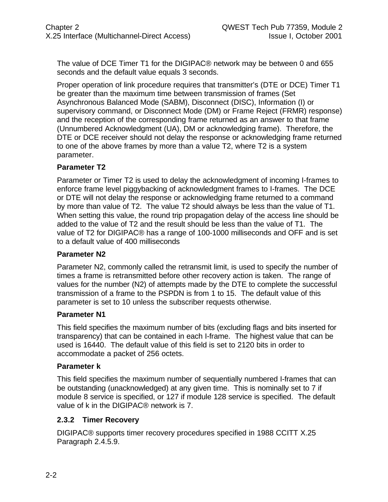The value of DCE Timer T1 for the DIGIPAC® network may be between 0 and 655 seconds and the default value equals 3 seconds.

Proper operation of link procedure requires that transmitter's (DTE or DCE) Timer T1 be greater than the maximum time between transmission of frames (Set Asynchronous Balanced Mode (SABM), Disconnect (DISC), Information (I) or supervisory command, or Disconnect Mode (DM) or Frame Reject (FRMR) response) and the reception of the corresponding frame returned as an answer to that frame (Unnumbered Acknowledgment (UA), DM or acknowledging frame). Therefore, the DTE or DCE receiver should not delay the response or acknowledging frame returned to one of the above frames by more than a value T2, where T2 is a system parameter.

#### **Parameter T2**

Parameter or Timer T2 is used to delay the acknowledgment of incoming I-frames to enforce frame level piggybacking of acknowledgment frames to I-frames. The DCE or DTE will not delay the response or acknowledging frame returned to a command by more than value of T2. The value T2 should always be less than the value of T1. When setting this value, the round trip propagation delay of the access line should be added to the value of T2 and the result should be less than the value of T1. The value of T2 for DIGIPAC® has a range of 100-1000 milliseconds and OFF and is set to a default value of 400 milliseconds

#### **Parameter N2**

Parameter N2, commonly called the retransmit limit, is used to specify the number of times a frame is retransmitted before other recovery action is taken. The range of values for the number (N2) of attempts made by the DTE to complete the successful transmission of a frame to the PSPDN is from 1 to 15. The default value of this parameter is set to 10 unless the subscriber requests otherwise.

#### **Parameter N1**

This field specifies the maximum number of bits (excluding flags and bits inserted for transparency) that can be contained in each I-frame. The highest value that can be used is 16440. The default value of this field is set to 2120 bits in order to accommodate a packet of 256 octets.

#### **Parameter k**

This field specifies the maximum number of sequentially numbered I-frames that can be outstanding (unacknowledged) at any given time. This is nominally set to 7 if module 8 service is specified, or 127 if module 128 service is specified. The default value of k in the DIGIPAC® network is 7.

#### **2.3.2 Timer Recovery**

DIGIPAC® supports timer recovery procedures specified in 1988 CCITT X.25 Paragraph 2.4.5.9.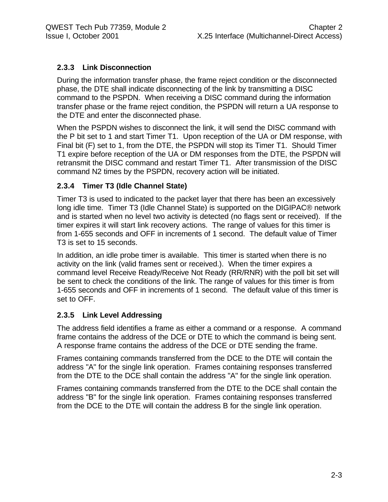#### **2.3.3 Link Disconnection**

During the information transfer phase, the frame reject condition or the disconnected phase, the DTE shall indicate disconnecting of the link by transmitting a DISC command to the PSPDN. When receiving a DISC command during the information transfer phase or the frame reject condition, the PSPDN will return a UA response to the DTE and enter the disconnected phase.

When the PSPDN wishes to disconnect the link, it will send the DISC command with the P bit set to 1 and start Timer T1. Upon reception of the UA or DM response, with Final bit (F) set to 1, from the DTE, the PSPDN will stop its Timer T1. Should Timer T1 expire before reception of the UA or DM responses from the DTE, the PSPDN will retransmit the DISC command and restart Timer T1. After transmission of the DISC command N2 times by the PSPDN, recovery action will be initiated.

#### **2.3.4 Timer T3 (Idle Channel State)**

Timer T3 is used to indicated to the packet layer that there has been an excessively long idle time. Timer T3 (Idle Channel State) is supported on the DIGIPAC® network and is started when no level two activity is detected (no flags sent or received). If the timer expires it will start link recovery actions. The range of values for this timer is from 1-655 seconds and OFF in increments of 1 second. The default value of Timer T3 is set to 15 seconds.

In addition, an idle probe timer is available. This timer is started when there is no activity on the link (valid frames sent or received.). When the timer expires a command level Receive Ready/Receive Not Ready (RR/RNR) with the poll bit set will be sent to check the conditions of the link. The range of values for this timer is from 1-655 seconds and OFF in increments of 1 second. The default value of this timer is set to OFF.

#### **2.3.5 Link Level Addressing**

The address field identifies a frame as either a command or a response. A command frame contains the address of the DCE or DTE to which the command is being sent. A response frame contains the address of the DCE or DTE sending the frame.

Frames containing commands transferred from the DCE to the DTE will contain the address "A" for the single link operation. Frames containing responses transferred from the DTE to the DCE shall contain the address "A" for the single link operation.

Frames containing commands transferred from the DTE to the DCE shall contain the address "B" for the single link operation. Frames containing responses transferred from the DCE to the DTE will contain the address B for the single link operation.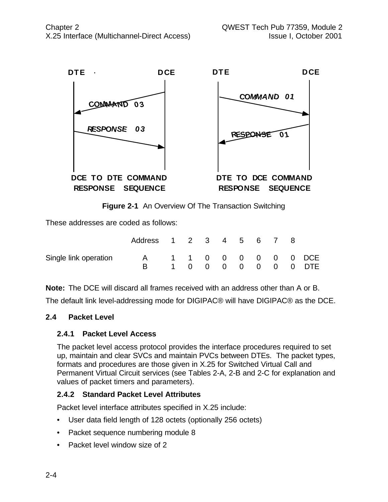

**Figure 2-1** An Overview Of The Transaction Switching

These addresses are coded as follows:

|                       | Address 1 2 3 4 5 6 7 8 |  |  |  |  |                                            |
|-----------------------|-------------------------|--|--|--|--|--------------------------------------------|
| Single link operation | A                       |  |  |  |  | 1 1 0 0 0 0 0 0 DCE<br>1 0 0 0 0 0 0 0 DTE |

**Note:** The DCE will discard all frames received with an address other than A or B.

The default link level-addressing mode for DIGIPAC® will have DIGIPAC® as the DCE.

#### **2.4 Packet Level**

#### **2.4.1 Packet Level Access**

The packet level access protocol provides the interface procedures required to set up, maintain and clear SVCs and maintain PVCs between DTEs. The packet types, formats and procedures are those given in X.25 for Switched Virtual Call and Permanent Virtual Circuit services (see Tables 2-A, 2-B and 2-C for explanation and values of packet timers and parameters).

#### **2.4.2 Standard Packet Level Attributes**

Packet level interface attributes specified in X.25 include:

- User data field length of 128 octets (optionally 256 octets)
- Packet sequence numbering module 8
- Packet level window size of 2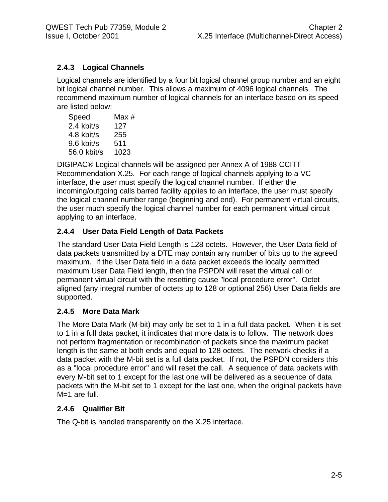#### **2.4.3 Logical Channels**

Logical channels are identified by a four bit logical channel group number and an eight bit logical channel number. This allows a maximum of 4096 logical channels. The recommend maximum number of logical channels for an interface based on its speed are listed below:

| Speed       | Max # |
|-------------|-------|
| 2.4 kbit/s  | 127   |
| 4.8 kbit/s  | 255   |
| 9.6 kbit/s  | 511   |
| 56.0 kbit/s | 1023  |

DIGIPAC® Logical channels will be assigned per Annex A of 1988 CCITT Recommendation X.25. For each range of logical channels applying to a VC interface, the user must specify the logical channel number. If either the incoming/outgoing calls barred facility applies to an interface, the user must specify the logical channel number range (beginning and end). For permanent virtual circuits, the user much specify the logical channel number for each permanent virtual circuit applying to an interface.

#### **2.4.4 User Data Field Length of Data Packets**

The standard User Data Field Length is 128 octets. However, the User Data field of data packets transmitted by a DTE may contain any number of bits up to the agreed maximum. If the User Data field in a data packet exceeds the locally permitted maximum User Data Field length, then the PSPDN will reset the virtual call or permanent virtual circuit with the resetting cause "local procedure error". Octet aligned (any integral number of octets up to 128 or optional 256) User Data fields are supported.

#### **2.4.5 More Data Mark**

The More Data Mark (M-bit) may only be set to 1 in a full data packet. When it is set to 1 in a full data packet, it indicates that more data is to follow. The network does not perform fragmentation or recombination of packets since the maximum packet length is the same at both ends and equal to 128 octets. The network checks if a data packet with the M-bit set is a full data packet. If not, the PSPDN considers this as a "local procedure error" and will reset the call. A sequence of data packets with every M-bit set to 1 except for the last one will be delivered as a sequence of data packets with the M-bit set to 1 except for the last one, when the original packets have M=1 are full.

#### **2.4.6 Qualifier Bit**

The Q-bit is handled transparently on the X.25 interface.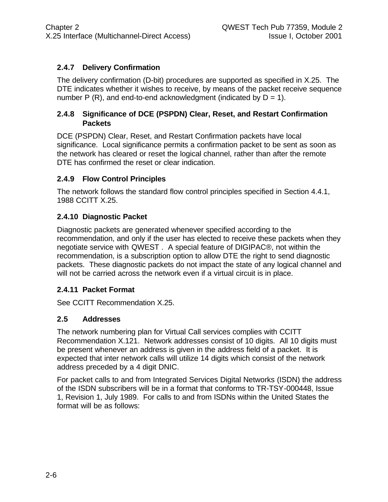#### **2.4.7 Delivery Confirmation**

The delivery confirmation (D-bit) procedures are supported as specified in X.25. The DTE indicates whether it wishes to receive, by means of the packet receive sequence number P  $(R)$ , and end-to-end acknowledgment (indicated by  $D = 1$ ).

#### **2.4.8 Significance of DCE (PSPDN) Clear, Reset, and Restart Confirmation Packets**

DCE (PSPDN) Clear, Reset, and Restart Confirmation packets have local significance. Local significance permits a confirmation packet to be sent as soon as the network has cleared or reset the logical channel, rather than after the remote DTE has confirmed the reset or clear indication.

#### **2.4.9 Flow Control Principles**

The network follows the standard flow control principles specified in Section 4.4.1, 1988 CCITT X.25.

#### **2.4.10 Diagnostic Packet**

Diagnostic packets are generated whenever specified according to the recommendation, and only if the user has elected to receive these packets when they negotiate service with QWEST . A special feature of DIGIPAC®, not within the recommendation, is a subscription option to allow DTE the right to send diagnostic packets. These diagnostic packets do not impact the state of any logical channel and will not be carried across the network even if a virtual circuit is in place.

#### **2.4.11 Packet Format**

See CCITT Recommendation X.25.

#### **2.5 Addresses**

The network numbering plan for Virtual Call services complies with CCITT Recommendation X.121. Network addresses consist of 10 digits. All 10 digits must be present whenever an address is given in the address field of a packet. It is expected that inter network calls will utilize 14 digits which consist of the network address preceded by a 4 digit DNIC.

For packet calls to and from Integrated Services Digital Networks (ISDN) the address of the ISDN subscribers will be in a format that conforms to TR-TSY-000448, Issue 1, Revision 1, July 1989. For calls to and from ISDNs within the United States the format will be as follows: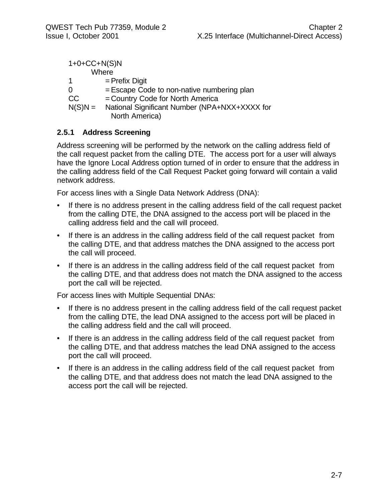| $1+0+C C+N(S)N$ |                                                                 |
|-----------------|-----------------------------------------------------------------|
|                 | Where                                                           |
|                 | $=$ Prefix Digit                                                |
|                 | $=$ Escape Code to non-native numbering plan                    |
| CC              | = Country Code for North America                                |
| $N(S)N =$       | National Significant Number (NPA+NXX+XXXX for<br>North America) |

#### **2.5.1 Address Screening**

Address screening will be performed by the network on the calling address field of the call request packet from the calling DTE. The access port for a user will always have the Ignore Local Address option turned of in order to ensure that the address in the calling address field of the Call Request Packet going forward will contain a valid network address.

For access lines with a Single Data Network Address (DNA):

- If there is no address present in the calling address field of the call request packet from the calling DTE, the DNA assigned to the access port will be placed in the calling address field and the call will proceed.
- If there is an address in the calling address field of the call request packet from the calling DTE, and that address matches the DNA assigned to the access port the call will proceed.
- If there is an address in the calling address field of the call request packet from the calling DTE, and that address does not match the DNA assigned to the access port the call will be rejected.

For access lines with Multiple Sequential DNAs:

- If there is no address present in the calling address field of the call request packet from the calling DTE, the lead DNA assigned to the access port will be placed in the calling address field and the call will proceed.
- If there is an address in the calling address field of the call request packet from the calling DTE, and that address matches the lead DNA assigned to the access port the call will proceed.
- If there is an address in the calling address field of the call request packet from the calling DTE, and that address does not match the lead DNA assigned to the access port the call will be rejected.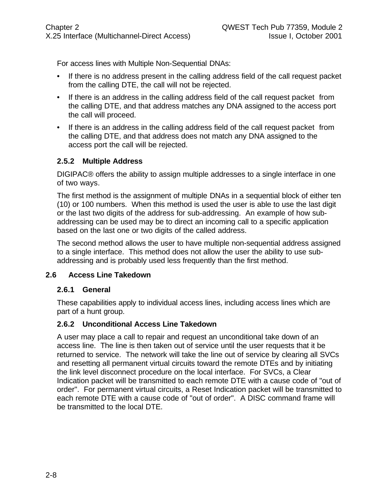For access lines with Multiple Non-Sequential DNAs:

- If there is no address present in the calling address field of the call request packet from the calling DTE, the call will not be rejected.
- If there is an address in the calling address field of the call request packet from the calling DTE, and that address matches any DNA assigned to the access port the call will proceed.
- If there is an address in the calling address field of the call request packet from the calling DTE, and that address does not match any DNA assigned to the access port the call will be rejected.

#### **2.5.2 Multiple Address**

DIGIPAC® offers the ability to assign multiple addresses to a single interface in one of two ways.

The first method is the assignment of multiple DNAs in a sequential block of either ten (10) or 100 numbers. When this method is used the user is able to use the last digit or the last two digits of the address for sub-addressing. An example of how subaddressing can be used may be to direct an incoming call to a specific application based on the last one or two digits of the called address.

The second method allows the user to have multiple non-sequential address assigned to a single interface. This method does not allow the user the ability to use subaddressing and is probably used less frequently than the first method.

#### **2.6 Access Line Takedown**

#### **2.6.1 General**

These capabilities apply to individual access lines, including access lines which are part of a hunt group.

#### **2.6.2 Unconditional Access Line Takedown**

A user may place a call to repair and request an unconditional take down of an access line. The line is then taken out of service until the user requests that it be returned to service. The network will take the line out of service by clearing all SVCs and resetting all permanent virtual circuits toward the remote DTEs and by initiating the link level disconnect procedure on the local interface. For SVCs, a Clear Indication packet will be transmitted to each remote DTE with a cause code of "out of order". For permanent virtual circuits, a Reset Indication packet will be transmitted to each remote DTE with a cause code of "out of order". A DISC command frame will be transmitted to the local DTE.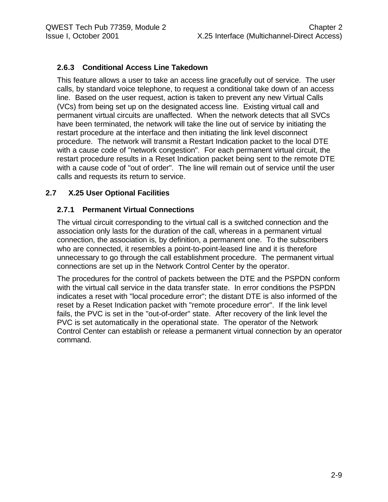#### **2.6.3 Conditional Access Line Takedown**

This feature allows a user to take an access line gracefully out of service. The user calls, by standard voice telephone, to request a conditional take down of an access line. Based on the user request, action is taken to prevent any new Virtual Calls (VCs) from being set up on the designated access line. Existing virtual call and permanent virtual circuits are unaffected. When the network detects that all SVCs have been terminated, the network will take the line out of service by initiating the restart procedure at the interface and then initiating the link level disconnect procedure. The network will transmit a Restart Indication packet to the local DTE with a cause code of "network congestion". For each permanent virtual circuit, the restart procedure results in a Reset Indication packet being sent to the remote DTE with a cause code of "out of order". The line will remain out of service until the user calls and requests its return to service.

#### **2.7 X.25 User Optional Facilities**

#### **2.7.1 Permanent Virtual Connections**

The virtual circuit corresponding to the virtual call is a switched connection and the association only lasts for the duration of the call, whereas in a permanent virtual connection, the association is, by definition, a permanent one. To the subscribers who are connected, it resembles a point-to-point-leased line and it is therefore unnecessary to go through the call establishment procedure. The permanent virtual connections are set up in the Network Control Center by the operator.

The procedures for the control of packets between the DTE and the PSPDN conform with the virtual call service in the data transfer state. In error conditions the PSPDN indicates a reset with "local procedure error"; the distant DTE is also informed of the reset by a Reset Indication packet with "remote procedure error". If the link level fails, the PVC is set in the "out-of-order" state. After recovery of the link level the PVC is set automatically in the operational state. The operator of the Network Control Center can establish or release a permanent virtual connection by an operator command.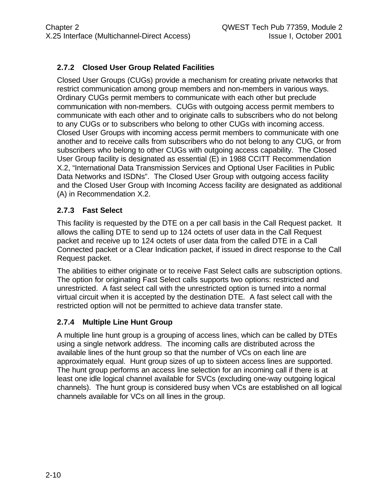#### **2.7.2 Closed User Group Related Facilities**

Closed User Groups (CUGs) provide a mechanism for creating private networks that restrict communication among group members and non-members in various ways. Ordinary CUGs permit members to communicate with each other but preclude communication with non-members. CUGs with outgoing access permit members to communicate with each other and to originate calls to subscribers who do not belong to any CUGs or to subscribers who belong to other CUGs with incoming access. Closed User Groups with incoming access permit members to communicate with one another and to receive calls from subscribers who do not belong to any CUG, or from subscribers who belong to other CUGs with outgoing access capability. The Closed User Group facility is designated as essential (E) in 1988 CCITT Recommendation X.2, "International Data Transmission Services and Optional User Facilities in Public Data Networks and ISDNs". The Closed User Group with outgoing access facility and the Closed User Group with Incoming Access facility are designated as additional (A) in Recommendation X.2.

#### **2.7.3 Fast Select**

This facility is requested by the DTE on a per call basis in the Call Request packet. It allows the calling DTE to send up to 124 octets of user data in the Call Request packet and receive up to 124 octets of user data from the called DTE in a Call Connected packet or a Clear Indication packet, if issued in direct response to the Call Request packet.

The abilities to either originate or to receive Fast Select calls are subscription options. The option for originating Fast Select calls supports two options: restricted and unrestricted. A fast select call with the unrestricted option is turned into a normal virtual circuit when it is accepted by the destination DTE. A fast select call with the restricted option will not be permitted to achieve data transfer state.

#### **2.7.4 Multiple Line Hunt Group**

A multiple line hunt group is a grouping of access lines, which can be called by DTEs using a single network address. The incoming calls are distributed across the available lines of the hunt group so that the number of VCs on each line are approximately equal. Hunt group sizes of up to sixteen access lines are supported. The hunt group performs an access line selection for an incoming call if there is at least one idle logical channel available for SVCs (excluding one-way outgoing logical channels). The hunt group is considered busy when VCs are established on all logical channels available for VCs on all lines in the group.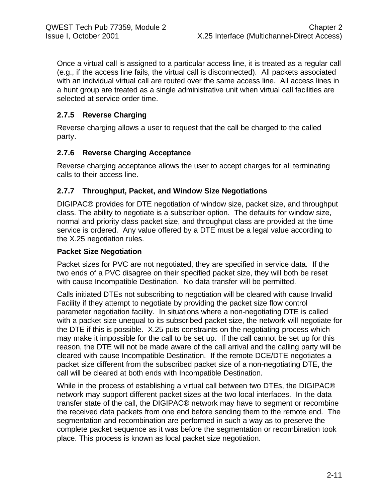Once a virtual call is assigned to a particular access line, it is treated as a regular call (e.g., if the access line fails, the virtual call is disconnected). All packets associated with an individual virtual call are routed over the same access line. All access lines in a hunt group are treated as a single administrative unit when virtual call facilities are selected at service order time.

#### **2.7.5 Reverse Charging**

Reverse charging allows a user to request that the call be charged to the called party.

#### **2.7.6 Reverse Charging Acceptance**

Reverse charging acceptance allows the user to accept charges for all terminating calls to their access line.

#### **2.7.7 Throughput, Packet, and Window Size Negotiations**

DIGIPAC® provides for DTE negotiation of window size, packet size, and throughput class. The ability to negotiate is a subscriber option. The defaults for window size, normal and priority class packet size, and throughput class are provided at the time service is ordered. Any value offered by a DTE must be a legal value according to the X.25 negotiation rules.

#### **Packet Size Negotiation**

Packet sizes for PVC are not negotiated, they are specified in service data. If the two ends of a PVC disagree on their specified packet size, they will both be reset with cause Incompatible Destination. No data transfer will be permitted.

Calls initiated DTEs not subscribing to negotiation will be cleared with cause Invalid Facility if they attempt to negotiate by providing the packet size flow control parameter negotiation facility. In situations where a non-negotiating DTE is called with a packet size unequal to its subscribed packet size, the network will negotiate for the DTE if this is possible. X.25 puts constraints on the negotiating process which may make it impossible for the call to be set up. If the call cannot be set up for this reason, the DTE will not be made aware of the call arrival and the calling party will be cleared with cause Incompatible Destination. If the remote DCE/DTE negotiates a packet size different from the subscribed packet size of a non-negotiating DTE, the call will be cleared at both ends with Incompatible Destination.

While in the process of establishing a virtual call between two DTEs, the DIGIPAC® network may support different packet sizes at the two local interfaces. In the data transfer state of the call, the DIGIPAC® network may have to segment or recombine the received data packets from one end before sending them to the remote end. The segmentation and recombination are performed in such a way as to preserve the complete packet sequence as it was before the segmentation or recombination took place. This process is known as local packet size negotiation.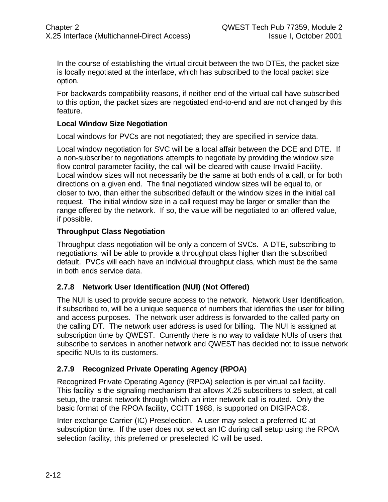In the course of establishing the virtual circuit between the two DTEs, the packet size is locally negotiated at the interface, which has subscribed to the local packet size option.

For backwards compatibility reasons, if neither end of the virtual call have subscribed to this option, the packet sizes are negotiated end-to-end and are not changed by this feature.

#### **Local Window Size Negotiation**

Local windows for PVCs are not negotiated; they are specified in service data.

Local window negotiation for SVC will be a local affair between the DCE and DTE. If a non-subscriber to negotiations attempts to negotiate by providing the window size flow control parameter facility, the call will be cleared with cause Invalid Facility. Local window sizes will not necessarily be the same at both ends of a call, or for both directions on a given end. The final negotiated window sizes will be equal to, or closer to two, than either the subscribed default or the window sizes in the initial call request. The initial window size in a call request may be larger or smaller than the range offered by the network. If so, the value will be negotiated to an offered value, if possible.

#### **Throughput Class Negotiation**

Throughput class negotiation will be only a concern of SVCs. A DTE, subscribing to negotiations, will be able to provide a throughput class higher than the subscribed default. PVCs will each have an individual throughput class, which must be the same in both ends service data.

#### **2.7.8 Network User Identification (NUI) (Not Offered)**

The NUI is used to provide secure access to the network. Network User Identification, if subscribed to, will be a unique sequence of numbers that identifies the user for billing and access purposes. The network user address is forwarded to the called party on the calling DT. The network user address is used for billing. The NUI is assigned at subscription time by QWEST. Currently there is no way to validate NUIs of users that subscribe to services in another network and QWEST has decided not to issue network specific NUIs to its customers.

#### **2.7.9 Recognized Private Operating Agency (RPOA)**

Recognized Private Operating Agency (RPOA) selection is per virtual call facility. This facility is the signaling mechanism that allows X.25 subscribers to select, at call setup, the transit network through which an inter network call is routed. Only the basic format of the RPOA facility, CCITT 1988, is supported on DIGIPAC®.

Inter-exchange Carrier (IC) Preselection. A user may select a preferred IC at subscription time. If the user does not select an IC during call setup using the RPOA selection facility, this preferred or preselected IC will be used.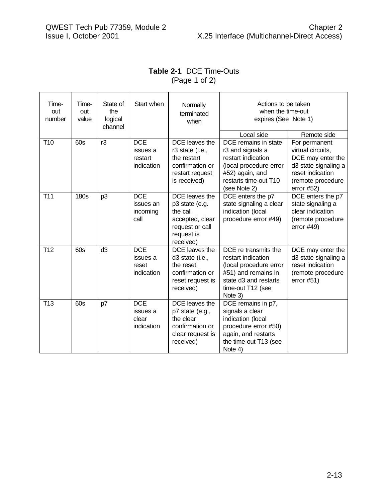$\blacksquare$ 

## **Table 2-1** DCE Time-Outs  $(Page 1 of 2)$

| Time-<br>out<br>number | Time-<br>out<br>value | State of<br>the<br>logical<br>channel | Start when                                      | Normally<br>terminated<br>when                                                                                | Actions to be taken<br>when the time-out<br>expires (See Note 1)                                                                                                   |                                                                                                                                                          |
|------------------------|-----------------------|---------------------------------------|-------------------------------------------------|---------------------------------------------------------------------------------------------------------------|--------------------------------------------------------------------------------------------------------------------------------------------------------------------|----------------------------------------------------------------------------------------------------------------------------------------------------------|
| T <sub>10</sub>        | 60s                   | r3                                    | <b>DCE</b><br>issues a<br>restart<br>indication | DCE leaves the<br>r3 state (i.e.,<br>the restart<br>confirmation or<br>restart request<br>is received)        | Local side<br>DCE remains in state<br>r3 and signals a<br>restart indication<br>(local procedure error<br>#52) again, and<br>restarts time-out T10<br>(see Note 2) | Remote side<br>For permanent<br>virtual circuits,<br>DCE may enter the<br>d3 state signaling a<br>reset indication<br>(remote procedure<br>error $#52$ ) |
| T <sub>11</sub>        | <b>180s</b>           | p <sub>3</sub>                        | <b>DCE</b><br>issues an<br>incoming<br>call     | DCE leaves the<br>p3 state (e.g.<br>the call<br>accepted, clear<br>request or call<br>request is<br>received) | DCE enters the p7<br>state signaling a clear<br>indication (local<br>procedure error #49)                                                                          | DCE enters the p7<br>state signaling a<br>clear indication<br>(remote procedure<br>error $#49$ )                                                         |
| T <sub>12</sub>        | 60s                   | d3                                    | <b>DCE</b><br>issues a<br>reset<br>indication   | DCE leaves the<br>d3 state (i.e.,<br>the reset<br>confirmation or<br>reset request is<br>received)            | DCE re transmits the<br>restart indication<br>(local procedure error<br>#51) and remains in<br>state d3 and restarts<br>time-out T12 (see<br>Note 3)               | DCE may enter the<br>d3 state signaling a<br>reset indication<br>(remote procedure<br>error $#51)$                                                       |
| T <sub>13</sub>        | 60s                   | p7                                    | <b>DCE</b><br>issues a<br>clear<br>indication   | DCE leaves the<br>p7 state (e.g.,<br>the clear<br>confirmation or<br>clear request is<br>received)            | DCE remains in p7,<br>signals a clear<br>indication (local<br>procedure error #50)<br>again, and restarts<br>the time-out T13 (see<br>Note 4)                      |                                                                                                                                                          |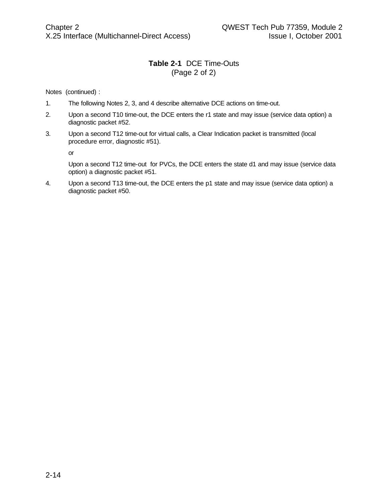#### **Table 2-1** DCE Time-Outs (Page 2 of 2)

Notes (continued) :

- 1. The following Notes 2, 3, and 4 describe alternative DCE actions on time-out.
- 2. Upon a second T10 time-out, the DCE enters the r1 state and may issue (service data option) a diagnostic packet #52.
- 3. Upon a second T12 time-out for virtual calls, a Clear Indication packet is transmitted (local procedure error, diagnostic #51).

or

Upon a second T12 time-out for PVCs, the DCE enters the state d1 and may issue (service data option) a diagnostic packet #51.

4. Upon a second T13 time-out, the DCE enters the p1 state and may issue (service data option) a diagnostic packet #50.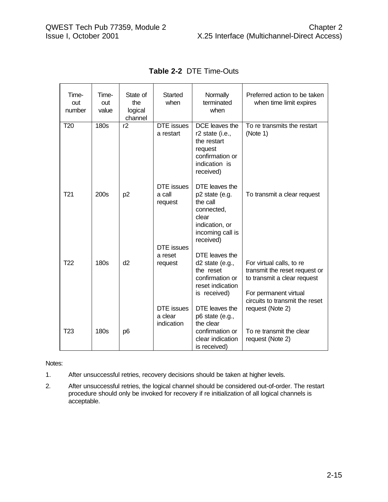| Time-<br>out<br>number | Time-<br>out<br>value | State of<br>the<br>logical<br>channel | Started<br>when                            | Normally<br>terminated<br>when                                                                                         | Preferred action to be taken<br>when time limit expires                                                                                             |
|------------------------|-----------------------|---------------------------------------|--------------------------------------------|------------------------------------------------------------------------------------------------------------------------|-----------------------------------------------------------------------------------------------------------------------------------------------------|
| T <sub>20</sub>        | 180s                  | r2                                    | <b>DTE</b> issues<br>a restart             | DCE leaves the<br>r2 state (i.e.,<br>the restart<br>request<br>confirmation or<br>indication is<br>received)           | To re transmits the restart<br>(Note 1)                                                                                                             |
| T <sub>21</sub>        | 200s                  | p <sub>2</sub>                        | <b>DTE</b> issues<br>a call<br>request     | DTE leaves the<br>p2 state (e.g.<br>the call<br>connected,<br>clear<br>indication, or<br>incoming call is<br>received) | To transmit a clear request                                                                                                                         |
| T <sub>22</sub>        | 180s                  | d2                                    | <b>DTE</b> issues<br>a reset<br>request    | DTE leaves the<br>d2 state (e.g.,<br>the reset<br>confirmation or<br>reset indication<br>is received)                  | For virtual calls, to re<br>transmit the reset request or<br>to transmit a clear request<br>For permanent virtual<br>circuits to transmit the reset |
| T <sub>23</sub>        | 180s                  | p <sub>6</sub>                        | <b>DTE</b> issues<br>a clear<br>indication | DTE leaves the<br>p6 state (e.g.,<br>the clear<br>confirmation or<br>clear indication<br>is received)                  | request (Note 2)<br>To re transmit the clear<br>request (Note 2)                                                                                    |

**Table 2-2** DTE Time-Outs

Notes:

- 1. After unsuccessful retries, recovery decisions should be taken at higher levels.
- 2. After unsuccessful retries, the logical channel should be considered out-of-order. The restart procedure should only be invoked for recovery if re initialization of all logical channels is acceptable.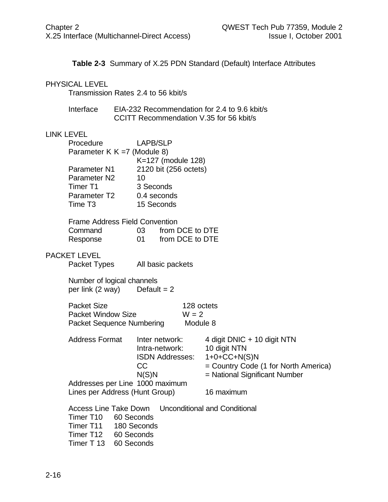**Table 2-3** Summary of X.25 PDN Standard (Default) Interface Attributes

#### PHYSICAL LEVEL

Transmission Rates 2.4 to 56 kbit/s

| Interface | EIA-232 Recommendation for 2.4 to 9.6 kbit/s |
|-----------|----------------------------------------------|
|           | CCITT Recommendation V.35 for 56 kbit/s      |

#### LINK LEVEL

| Procedure                   | <b>LAPB/SLP</b>       |
|-----------------------------|-----------------------|
| Parameter K K =7 (Module 8) |                       |
|                             | K=127 (module 128)    |
| Parameter N1                | 2120 bit (256 octets) |
| Parameter N2                | 10                    |
| Timer T1                    | 3 Seconds             |
| Parameter T2                | 0.4 seconds           |
| Time T3                     | 15 Seconds            |
|                             |                       |

| <b>Frame Address Field Convention</b> |           |                    |  |  |
|---------------------------------------|-----------|--------------------|--|--|
| Command                               |           | 03 from DCE to DTE |  |  |
| Response                              | <u>ດາ</u> | from DCE to DTE    |  |  |

#### PACKET LEVEL

Packet Types All basic packets

Number of logical channels<br>per link  $(2 \text{ way})$  Default = 2 per link  $(2 \text{ way})$ 

| Packet Size               | 128 octets |
|---------------------------|------------|
| <b>Packet Window Size</b> | $W = 2$    |
| Packet Sequence Numbering | Module 8   |

| <b>Address Format</b>           | Inter network:         | 4 digit DNIC + 10 digit NTN            |  |
|---------------------------------|------------------------|----------------------------------------|--|
|                                 | Intra-network:         | 10 digit NTN                           |  |
|                                 | <b>ISDN Addresses:</b> | $1+0+C C+N(S)N$                        |  |
|                                 | CC.                    | = Country Code (1 for North America)   |  |
|                                 | N(S)N                  | = National Significant Number          |  |
| Addresses per Line 1000 maximum |                        |                                        |  |
| Lines per Address (Hunt Group)  |                        | 16 maximum                             |  |
| Access Line Take Down           |                        | <b>I</b> Inconditional and Conditional |  |

|                       |                       | Access Line Take Down Unconditional and Conditional |
|-----------------------|-----------------------|-----------------------------------------------------|
| Timer T10 60 Seconds  |                       |                                                     |
|                       | Timer T11 180 Seconds |                                                     |
|                       | Timer T12 60 Seconds  |                                                     |
| Timer T 13 60 Seconds |                       |                                                     |
|                       |                       |                                                     |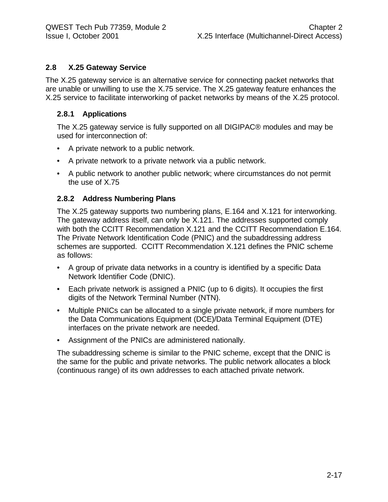#### **2.8 X.25 Gateway Service**

The X.25 gateway service is an alternative service for connecting packet networks that are unable or unwilling to use the X.75 service. The X.25 gateway feature enhances the X.25 service to facilitate interworking of packet networks by means of the X.25 protocol.

#### **2.8.1 Applications**

The X.25 gateway service is fully supported on all DIGIPAC® modules and may be used for interconnection of:

- A private network to a public network.
- A private network to a private network via a public network.
- A public network to another public network; where circumstances do not permit the use of X.75

#### **2.8.2 Address Numbering Plans**

The X.25 gateway supports two numbering plans, E.164 and X.121 for interworking. The gateway address itself, can only be X.121. The addresses supported comply with both the CCITT Recommendation X.121 and the CCITT Recommendation E.164. The Private Network Identification Code (PNIC) and the subaddressing address schemes are supported. CCITT Recommendation X.121 defines the PNIC scheme as follows:

- A group of private data networks in a country is identified by a specific Data Network Identifier Code (DNIC).
- Each private network is assigned a PNIC (up to 6 digits). It occupies the first digits of the Network Terminal Number (NTN).
- Multiple PNICs can be allocated to a single private network, if more numbers for the Data Communications Equipment (DCE)/Data Terminal Equipment (DTE) interfaces on the private network are needed.
- Assignment of the PNICs are administered nationally.

The subaddressing scheme is similar to the PNIC scheme, except that the DNIC is the same for the public and private networks. The public network allocates a block (continuous range) of its own addresses to each attached private network.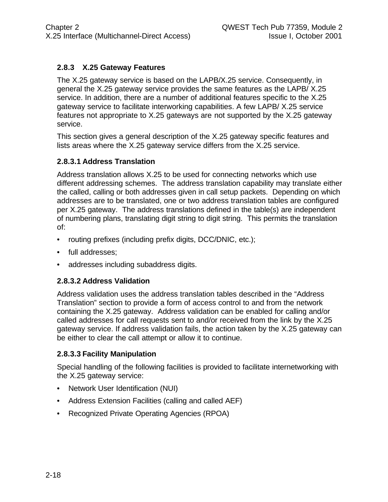#### **2.8.3 X.25 Gateway Features**

The X.25 gateway service is based on the LAPB/X.25 service. Consequently, in general the X.25 gateway service provides the same features as the LAPB/ X.25 service. In addition, there are a number of additional features specific to the X.25 gateway service to facilitate interworking capabilities. A few LAPB/ X.25 service features not appropriate to X.25 gateways are not supported by the X.25 gateway service.

This section gives a general description of the X.25 gateway specific features and lists areas where the X.25 gateway service differs from the X.25 service.

#### **2.8.3.1 Address Translation**

Address translation allows X.25 to be used for connecting networks which use different addressing schemes. The address translation capability may translate either the called, calling or both addresses given in call setup packets. Depending on which addresses are to be translated, one or two address translation tables are configured per X.25 gateway. The address translations defined in the table(s) are independent of numbering plans, translating digit string to digit string. This permits the translation of:

- routing prefixes (including prefix digits, DCC/DNIC, etc.);
- full addresses;
- addresses including subaddress digits.

#### **2.8.3.2 Address Validation**

Address validation uses the address translation tables described in the "Address Translation" section to provide a form of access control to and from the network containing the X.25 gateway. Address validation can be enabled for calling and/or called addresses for call requests sent to and/or received from the link by the X.25 gateway service. If address validation fails, the action taken by the X.25 gateway can be either to clear the call attempt or allow it to continue.

#### **2.8.3.3 Facility Manipulation**

Special handling of the following facilities is provided to facilitate internetworking with the X.25 gateway service:

- Network User Identification (NUI)
- Address Extension Facilities (calling and called AEF)
- Recognized Private Operating Agencies (RPOA)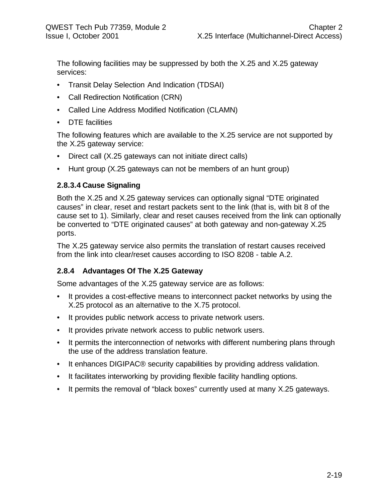The following facilities may be suppressed by both the X.25 and X.25 gateway services:

- Transit Delay Selection And Indication (TDSAI)
- Call Redirection Notification (CRN)
- Called Line Address Modified Notification (CLAMN)
- DTE facilities

The following features which are available to the X.25 service are not supported by the X.25 gateway service:

- Direct call (X.25 gateways can not initiate direct calls)
- Hunt group (X.25 gateways can not be members of an hunt group)

#### **2.8.3.4 Cause Signaling**

Both the X.25 and X.25 gateway services can optionally signal "DTE originated causes" in clear, reset and restart packets sent to the link (that is, with bit 8 of the cause set to 1). Similarly, clear and reset causes received from the link can optionally be converted to "DTE originated causes" at both gateway and non-gateway X.25 ports.

The X.25 gateway service also permits the translation of restart causes received from the link into clear/reset causes according to ISO 8208 - table A.2.

#### **2.8.4 Advantages Of The X.25 Gateway**

Some advantages of the X.25 gateway service are as follows:

- It provides a cost-effective means to interconnect packet networks by using the X.25 protocol as an alternative to the X.75 protocol.
- It provides public network access to private network users.
- It provides private network access to public network users.
- It permits the interconnection of networks with different numbering plans through the use of the address translation feature.
- It enhances DIGIPAC<sup>®</sup> security capabilities by providing address validation.
- It facilitates interworking by providing flexible facility handling options.
- It permits the removal of "black boxes" currently used at many X.25 gateways.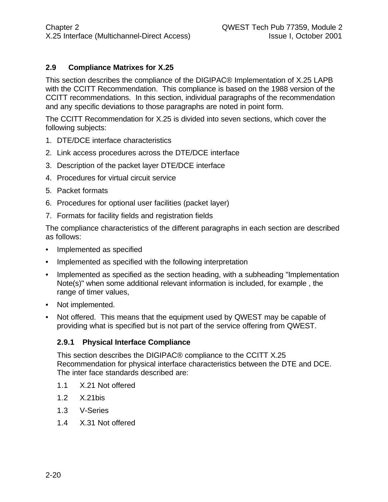#### **2.9 Compliance Matrixes for X.25**

This section describes the compliance of the DIGIPAC® Implementation of X.25 LAPB with the CCITT Recommendation. This compliance is based on the 1988 version of the CCITT recommendations. In this section, individual paragraphs of the recommendation and any specific deviations to those paragraphs are noted in point form.

The CCITT Recommendation for X.25 is divided into seven sections, which cover the following subjects:

- 1. DTE/DCE interface characteristics
- 2. Link access procedures across the DTE/DCE interface
- 3. Description of the packet layer DTE/DCE interface
- 4. Procedures for virtual circuit service
- 5. Packet formats
- 6. Procedures for optional user facilities (packet layer)
- 7. Formats for facility fields and registration fields

The compliance characteristics of the different paragraphs in each section are described as follows:

- Implemented as specified
- Implemented as specified with the following interpretation
- Implemented as specified as the section heading, with a subheading "Implementation Note(s)" when some additional relevant information is included, for example , the range of timer values,
- Not implemented.
- Not offered. This means that the equipment used by QWEST may be capable of providing what is specified but is not part of the service offering from QWEST.

#### **2.9.1 Physical Interface Compliance**

This section describes the DIGIPAC® compliance to the CCITT X.25 Recommendation for physical interface characteristics between the DTE and DCE. The inter face standards described are:

- 1.1 X.21 Not offered
- 1.2 X.21bis
- 1.3 V-Series
- 1.4 X.31 Not offered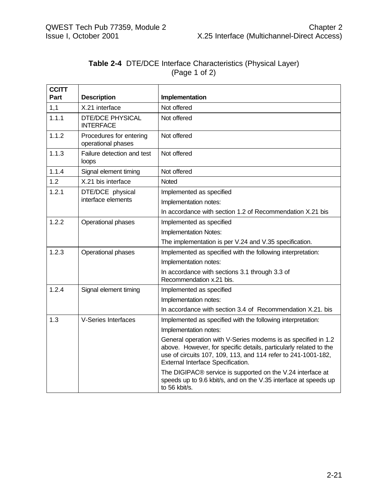#### **Table 2-4** DTE/DCE Interface Characteristics (Physical Layer) (Page 1 of 2)

| <b>CCITT</b><br>Part | <b>Description</b>                            | Implementation                                                                                                                                                                                                                           |  |  |
|----------------------|-----------------------------------------------|------------------------------------------------------------------------------------------------------------------------------------------------------------------------------------------------------------------------------------------|--|--|
| 1,1                  | X.21 interface                                | Not offered                                                                                                                                                                                                                              |  |  |
| 1.1.1                | <b>DTE/DCE PHYSICAL</b><br><b>INTERFACE</b>   | Not offered                                                                                                                                                                                                                              |  |  |
| 1.1.2                | Procedures for entering<br>operational phases | Not offered                                                                                                                                                                                                                              |  |  |
| 1.1.3                | Failure detection and test<br>loops           | Not offered                                                                                                                                                                                                                              |  |  |
| 1.1.4                | Signal element timing                         | Not offered                                                                                                                                                                                                                              |  |  |
| 1.2                  | X.21 bis interface                            | Noted                                                                                                                                                                                                                                    |  |  |
| 1.2.1                | DTE/DCE physical                              | Implemented as specified                                                                                                                                                                                                                 |  |  |
|                      | interface elements                            | Implementation notes:                                                                                                                                                                                                                    |  |  |
|                      |                                               | In accordance with section 1.2 of Recommendation X.21 bis                                                                                                                                                                                |  |  |
| 1.2.2                | Operational phases                            | Implemented as specified                                                                                                                                                                                                                 |  |  |
|                      |                                               | Implementation Notes:                                                                                                                                                                                                                    |  |  |
|                      |                                               | The implementation is per V.24 and V.35 specification.                                                                                                                                                                                   |  |  |
| 1.2.3                | Operational phases                            | Implemented as specified with the following interpretation:                                                                                                                                                                              |  |  |
|                      |                                               | Implementation notes:                                                                                                                                                                                                                    |  |  |
|                      |                                               | In accordance with sections 3.1 through 3.3 of<br>Recommendation x.21 bis.                                                                                                                                                               |  |  |
| 1.2.4                | Signal element timing                         | Implemented as specified                                                                                                                                                                                                                 |  |  |
|                      |                                               | Implementation notes:                                                                                                                                                                                                                    |  |  |
|                      |                                               | In accordance with section 3.4 of Recommendation X.21. bis                                                                                                                                                                               |  |  |
| 1.3                  | <b>V-Series Interfaces</b>                    | Implemented as specified with the following interpretation:                                                                                                                                                                              |  |  |
|                      |                                               | Implementation notes:                                                                                                                                                                                                                    |  |  |
|                      |                                               | General operation with V-Series modems is as specified in 1.2<br>above. However, for specific details, particularly related to the<br>use of circuits 107, 109, 113, and 114 refer to 241-1001-182,<br>External Interface Specification. |  |  |
|                      |                                               | The DIGIPAC® service is supported on the V.24 interface at<br>speeds up to 9.6 kbit/s, and on the V.35 interface at speeds up<br>to 56 kbit/s.                                                                                           |  |  |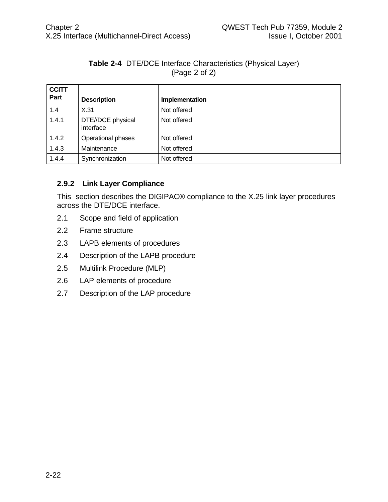#### **Table 2-4** DTE/DCE Interface Characteristics (Physical Layer) (Page 2 of 2)

| <b>CCITT</b><br>Part | <b>Description</b>             | Implementation |
|----------------------|--------------------------------|----------------|
| 1.4                  | X.31                           | Not offered    |
| 1.4.1                | DTE//DCE physical<br>interface | Not offered    |
| 1.4.2                | Operational phases             | Not offered    |
| 1.4.3                | Maintenance                    | Not offered    |
| 1.4.4                | Synchronization                | Not offered    |

#### **2.9.2 Link Layer Compliance**

This section describes the DIGIPAC® compliance to the X.25 link layer procedures across the DTE/DCE interface.

- 2.1 Scope and field of application
- 2.2 Frame structure
- 2.3 LAPB elements of procedures
- 2.4 Description of the LAPB procedure
- 2.5 Multilink Procedure (MLP)
- 2.6 LAP elements of procedure
- 2.7 Description of the LAP procedure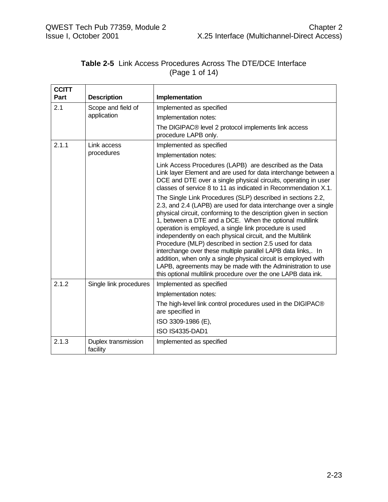| <b>CCITT</b><br>Part | <b>Description</b>              | Implementation                                                                                                                                                                                                                                                                                                                                                                                                                                                                                                                                                                                                                                                                                                    |
|----------------------|---------------------------------|-------------------------------------------------------------------------------------------------------------------------------------------------------------------------------------------------------------------------------------------------------------------------------------------------------------------------------------------------------------------------------------------------------------------------------------------------------------------------------------------------------------------------------------------------------------------------------------------------------------------------------------------------------------------------------------------------------------------|
| 2.1                  | Scope and field of              | Implemented as specified                                                                                                                                                                                                                                                                                                                                                                                                                                                                                                                                                                                                                                                                                          |
|                      | application                     | Implementation notes:                                                                                                                                                                                                                                                                                                                                                                                                                                                                                                                                                                                                                                                                                             |
|                      |                                 | The DIGIPAC® level 2 protocol implements link access<br>procedure LAPB only.                                                                                                                                                                                                                                                                                                                                                                                                                                                                                                                                                                                                                                      |
| 2.1.1                | Link access                     | Implemented as specified                                                                                                                                                                                                                                                                                                                                                                                                                                                                                                                                                                                                                                                                                          |
|                      | procedures                      | Implementation notes:                                                                                                                                                                                                                                                                                                                                                                                                                                                                                                                                                                                                                                                                                             |
|                      |                                 | Link Access Procedures (LAPB) are described as the Data<br>Link layer Element and are used for data interchange between a<br>DCE and DTE over a single physical circuits, operating in user<br>classes of service 8 to 11 as indicated in Recommendation X.1.                                                                                                                                                                                                                                                                                                                                                                                                                                                     |
|                      |                                 | The Single Link Procedures (SLP) described in sections 2.2,<br>2.3, and 2.4 (LAPB) are used for data interchange over a single<br>physical circuit, conforming to the description given in section<br>1, between a DTE and a DCE. When the optional multilink<br>operation is employed, a single link procedure is used<br>independently on each physical circuit, and the Multilink<br>Procedure (MLP) described in section 2.5 used for data<br>interchange over these multiple parallel LAPB data links,. In<br>addition, when only a single physical circuit is employed with<br>LAPB, agreements may be made with the Administration to use<br>this optional multilink procedure over the one LAPB data ink. |
| 2.1.2                | Single link procedures          | Implemented as specified                                                                                                                                                                                                                                                                                                                                                                                                                                                                                                                                                                                                                                                                                          |
|                      |                                 | Implementation notes:                                                                                                                                                                                                                                                                                                                                                                                                                                                                                                                                                                                                                                                                                             |
|                      |                                 | The high-level link control procedures used in the DIGIPAC®<br>are specified in                                                                                                                                                                                                                                                                                                                                                                                                                                                                                                                                                                                                                                   |
|                      |                                 | ISO 3309-1986 (E),                                                                                                                                                                                                                                                                                                                                                                                                                                                                                                                                                                                                                                                                                                |
|                      |                                 | <b>ISO IS4335-DAD1</b>                                                                                                                                                                                                                                                                                                                                                                                                                                                                                                                                                                                                                                                                                            |
| 2.1.3                | Duplex transmission<br>facility | Implemented as specified                                                                                                                                                                                                                                                                                                                                                                                                                                                                                                                                                                                                                                                                                          |

#### **Table 2-5** Link Access Procedures Across The DTE/DCE Interface (Page 1 of 14)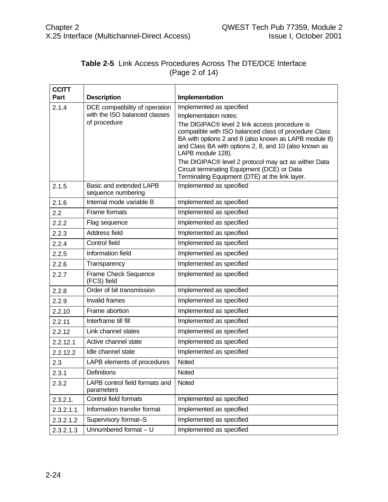|                | <b>Table 2-5</b> Link Access Procedures Across The DTE/DCE Interface |  |  |
|----------------|----------------------------------------------------------------------|--|--|
| (Page 2 of 14) |                                                                      |  |  |

| <b>CCITT</b> |                                               |                                                                                                                                                                                                                                               |  |  |
|--------------|-----------------------------------------------|-----------------------------------------------------------------------------------------------------------------------------------------------------------------------------------------------------------------------------------------------|--|--|
| Part         | <b>Description</b>                            | Implementation                                                                                                                                                                                                                                |  |  |
| 2.1.4        | DCE compatibility of operation                | Implemented as specified                                                                                                                                                                                                                      |  |  |
|              | with the ISO balanced classes<br>of procedure | Implementation notes:                                                                                                                                                                                                                         |  |  |
|              |                                               | The DIGIPAC® level 2 link access procedure is<br>compatible with ISO balanced class of procedure Class<br>BA with options 2 and 8 (also known as LAPB module 8)<br>and Class BA with options 2, 8, and 10 (also known as<br>LAPB module 128). |  |  |
|              |                                               | The DIGIPAC® level 2 protocol may act as wither Data<br>Circuit terminating Equipment (DCE) or Data<br>Terminating Equipment (DTE) at the link layer.                                                                                         |  |  |
| 2.1.5        | Basic and extended LAPB<br>sequence numbering | Implemented as specified                                                                                                                                                                                                                      |  |  |
| 2.1.6        | Internal mode variable B                      | Implemented as specified                                                                                                                                                                                                                      |  |  |
| 2.2          | Frame formats                                 | Implemented as specified                                                                                                                                                                                                                      |  |  |
| 2.2.2        | Flag sequence                                 | Implemented as specified                                                                                                                                                                                                                      |  |  |
| 2.2.3        | Address field                                 | Implemented as specified                                                                                                                                                                                                                      |  |  |
| 2.2.4        | Control field                                 | Implemented as specified                                                                                                                                                                                                                      |  |  |
| 2.2.5        | Information field                             | Implemented as specified                                                                                                                                                                                                                      |  |  |
| 2.2.6        | Transparency                                  | Implemented as specified                                                                                                                                                                                                                      |  |  |
| 2.2.7        | Frame Check Sequence<br>(FCS) field           | Implemented as specified                                                                                                                                                                                                                      |  |  |
| 2.2.8        | Order of bit transmission                     | Implemented as specified                                                                                                                                                                                                                      |  |  |
| 2.2.9        | <b>Invalid frames</b>                         | Implemented as specified                                                                                                                                                                                                                      |  |  |
| 2.2.10       | Frame abortion                                | Implemented as specified                                                                                                                                                                                                                      |  |  |
| 2.2.11       | Interframe till fill                          | Implemented as specified                                                                                                                                                                                                                      |  |  |
| 2.2.12       | Link channel states                           | Implemented as specified                                                                                                                                                                                                                      |  |  |
| 2.2.12.1     | Active channel state                          | Implemented as specified                                                                                                                                                                                                                      |  |  |
| 2.2.12.2     | Idle channel state                            | Implemented as specified                                                                                                                                                                                                                      |  |  |
| 2.3          | LAPB elements of procedures                   | Noted                                                                                                                                                                                                                                         |  |  |
| 2.3.1        | <b>Definitions</b>                            | Noted                                                                                                                                                                                                                                         |  |  |
| 2.3.2        | LAPB control field formats and<br>parameters  | Noted                                                                                                                                                                                                                                         |  |  |
| 2.3.2.1.     | Control field formats                         | Implemented as specified                                                                                                                                                                                                                      |  |  |
| 2.3.2.1.1    | Information transfer format                   | Implemented as specified                                                                                                                                                                                                                      |  |  |
| 2.3.2.1.2    | Supervisory format-S                          | Implemented as specified                                                                                                                                                                                                                      |  |  |
| 2.3.2.1.3    | Unnumbered format - U                         | Implemented as specified                                                                                                                                                                                                                      |  |  |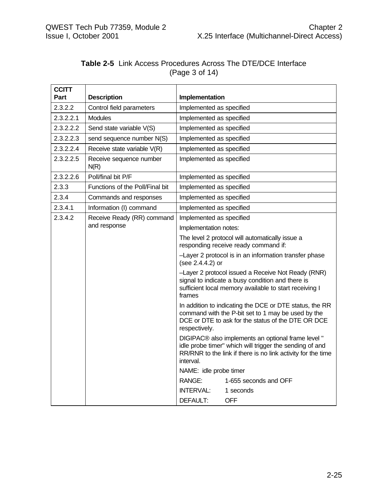| <b>CCITT</b> |                                            |                                                                                                                                                                                                                                                                                                                                                                                                                                                 |                                                                                         |
|--------------|--------------------------------------------|-------------------------------------------------------------------------------------------------------------------------------------------------------------------------------------------------------------------------------------------------------------------------------------------------------------------------------------------------------------------------------------------------------------------------------------------------|-----------------------------------------------------------------------------------------|
| Part         | <b>Description</b>                         | Implementation                                                                                                                                                                                                                                                                                                                                                                                                                                  |                                                                                         |
| 2.3.2.2      | Control field parameters                   | Implemented as specified                                                                                                                                                                                                                                                                                                                                                                                                                        |                                                                                         |
| 2.3.2.2.1    | <b>Modules</b>                             | Implemented as specified                                                                                                                                                                                                                                                                                                                                                                                                                        |                                                                                         |
| 2.3.2.2.2    | Send state variable V(S)                   | Implemented as specified                                                                                                                                                                                                                                                                                                                                                                                                                        |                                                                                         |
| 2.3.2.2.3    | send sequence number N(S)                  | Implemented as specified                                                                                                                                                                                                                                                                                                                                                                                                                        |                                                                                         |
| 2.3.2.2.4    | Receive state variable V(R)                | Implemented as specified                                                                                                                                                                                                                                                                                                                                                                                                                        |                                                                                         |
| 2.3.2.2.5    | Receive sequence number<br>N(R)            | Implemented as specified                                                                                                                                                                                                                                                                                                                                                                                                                        |                                                                                         |
| 2.3.2.2.6    | Poll/final bit P/F                         | Implemented as specified                                                                                                                                                                                                                                                                                                                                                                                                                        |                                                                                         |
| 2.3.3        | Functions of the Poll/Final bit            | Implemented as specified                                                                                                                                                                                                                                                                                                                                                                                                                        |                                                                                         |
| 2.3.4        | Commands and responses                     | Implemented as specified                                                                                                                                                                                                                                                                                                                                                                                                                        |                                                                                         |
| 2.3.4.1      | Information (I) command                    | Implemented as specified                                                                                                                                                                                                                                                                                                                                                                                                                        |                                                                                         |
| 2.3.4.2      | Receive Ready (RR) command<br>and response | Implemented as specified                                                                                                                                                                                                                                                                                                                                                                                                                        |                                                                                         |
|              |                                            | Implementation notes:                                                                                                                                                                                                                                                                                                                                                                                                                           |                                                                                         |
|              |                                            |                                                                                                                                                                                                                                                                                                                                                                                                                                                 | The level 2 protocol will automatically issue a<br>responding receive ready command if: |
|              |                                            | -Layer 2 protocol is in an information transfer phase<br>(see 2.4.4.2) or<br>-Layer 2 protocol issued a Receive Not Ready (RNR)<br>signal to indicate a busy condition and there is<br>sufficient local memory available to start receiving I<br>frames<br>In addition to indicating the DCE or DTE status, the RR<br>command with the P-bit set to 1 may be used by the<br>DCE or DTE to ask for the status of the DTE OR DCE<br>respectively. |                                                                                         |
|              |                                            |                                                                                                                                                                                                                                                                                                                                                                                                                                                 |                                                                                         |
|              |                                            |                                                                                                                                                                                                                                                                                                                                                                                                                                                 |                                                                                         |
|              |                                            | DIGIPAC® also implements an optional frame level "<br>idle probe timer" which will trigger the sending of and<br>RR/RNR to the link if there is no link activity for the time<br>interval.                                                                                                                                                                                                                                                      |                                                                                         |
|              |                                            | NAME: idle probe timer                                                                                                                                                                                                                                                                                                                                                                                                                          |                                                                                         |
|              |                                            | RANGE:                                                                                                                                                                                                                                                                                                                                                                                                                                          | 1-655 seconds and OFF                                                                   |
|              |                                            | <b>INTERVAL:</b>                                                                                                                                                                                                                                                                                                                                                                                                                                | 1 seconds                                                                               |
|              |                                            | DEFAULT:                                                                                                                                                                                                                                                                                                                                                                                                                                        | <b>OFF</b>                                                                              |

|                |  | <b>Table 2-5</b> Link Access Procedures Across The DTE/DCE Interface |  |  |
|----------------|--|----------------------------------------------------------------------|--|--|
| (Page 3 of 14) |  |                                                                      |  |  |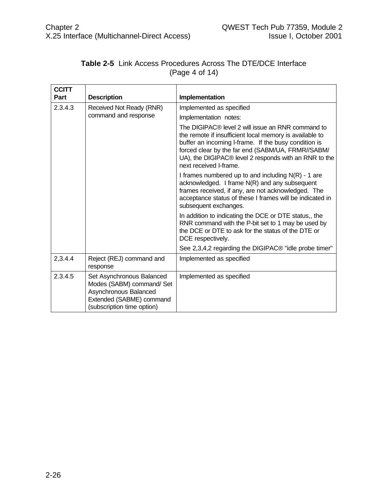| <b>CCITT</b><br>Part | <b>Description</b>                                                                                                                        | Implementation                                                                                                                                                                                                                                                                                               |  |
|----------------------|-------------------------------------------------------------------------------------------------------------------------------------------|--------------------------------------------------------------------------------------------------------------------------------------------------------------------------------------------------------------------------------------------------------------------------------------------------------------|--|
| 2.3.4.3              |                                                                                                                                           |                                                                                                                                                                                                                                                                                                              |  |
|                      | Received Not Ready (RNR)<br>command and response                                                                                          | Implemented as specified                                                                                                                                                                                                                                                                                     |  |
|                      |                                                                                                                                           | Implementation notes:                                                                                                                                                                                                                                                                                        |  |
|                      |                                                                                                                                           | The DIGIPAC® level 2 will issue an RNR command to<br>the remote if insufficient local memory is available to<br>buffer an incoming I-frame. If the busy condition is<br>forced clear by the far end (SABM/UA, FRMR//SABM/<br>UA), the DIGIPAC® level 2 responds with an RNR to the<br>next received I-frame. |  |
|                      |                                                                                                                                           | I frames numbered up to and including $N(R)$ - 1 are<br>acknowledged. I frame N(R) and any subsequent<br>frames received, if any, are not acknowledged. The<br>acceptance status of these I frames will be indicated in<br>subsequent exchanges.                                                             |  |
|                      |                                                                                                                                           | In addition to indicating the DCE or DTE status,, the<br>RNR command with the P-bit set to 1 may be used by<br>the DCE or DTE to ask for the status of the DTE or<br>DCE respectively.                                                                                                                       |  |
|                      |                                                                                                                                           | See 2,3,4,2 regarding the DIGIPAC <sup>®</sup> "idle probe timer"                                                                                                                                                                                                                                            |  |
| 2,3.4.4              | Reject (REJ) command and<br>response                                                                                                      | Implemented as specified                                                                                                                                                                                                                                                                                     |  |
| 2.3.4.5              | Set Asynchronous Balanced<br>Modes (SABM) command/ Set<br>Asynchronous Balanced<br>Extended (SABME) command<br>(subscription time option) | Implemented as specified                                                                                                                                                                                                                                                                                     |  |

#### **Table 2-5** Link Access Procedures Across The DTE/DCE Interface (Page 4 of 14)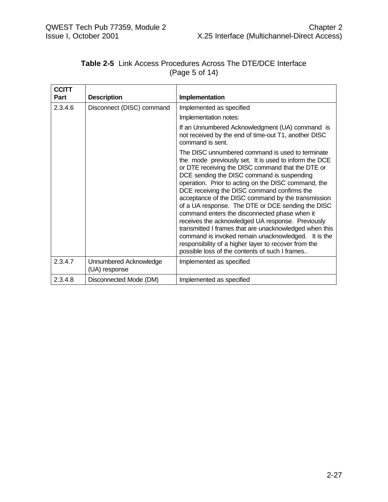| <b>CCITT</b> |                                         |                                                                                                                                                                                                                                                                                                                                                                                                                                                                                                                                                                                                                                                                                                                                                                |
|--------------|-----------------------------------------|----------------------------------------------------------------------------------------------------------------------------------------------------------------------------------------------------------------------------------------------------------------------------------------------------------------------------------------------------------------------------------------------------------------------------------------------------------------------------------------------------------------------------------------------------------------------------------------------------------------------------------------------------------------------------------------------------------------------------------------------------------------|
| Part         | <b>Description</b><br>Implementation    |                                                                                                                                                                                                                                                                                                                                                                                                                                                                                                                                                                                                                                                                                                                                                                |
| 2.3.4.6      | Disconnect (DISC) command               | Implemented as specified                                                                                                                                                                                                                                                                                                                                                                                                                                                                                                                                                                                                                                                                                                                                       |
|              |                                         | Implementation notes:                                                                                                                                                                                                                                                                                                                                                                                                                                                                                                                                                                                                                                                                                                                                          |
|              |                                         | If an Unnumbered Acknowledgment (UA) command is<br>not received by the end of time-out T1, another DISC<br>command is sent.                                                                                                                                                                                                                                                                                                                                                                                                                                                                                                                                                                                                                                    |
|              |                                         | The DISC unnumbered command is used to terminate<br>the mode previously set. It is used to inform the DCE<br>or DTE receiving the DISC command that the DTE or<br>DCE sending the DISC command is suspending<br>operation. Prior to acting on the DISC command, the<br>DCE receiving the DISC command confirms the<br>acceptance of the DISC command by the transmission<br>of a UA response. The DTE or DCE sending the DISC<br>command enters the disconnected phase when it<br>receives the acknowledged UA response. Previously<br>transmitted I frames that are unacknowledged when this<br>command is invoked remain unacknowledged. It is the<br>responsibility of a higher layer to recover from the<br>possible loss of the contents of such I frames |
| 2.3.4.7      | Unnumbered Acknowledge<br>(UA) response | Implemented as specified                                                                                                                                                                                                                                                                                                                                                                                                                                                                                                                                                                                                                                                                                                                                       |
| 2.3.4.8      | Disconnected Mode (DM)                  | Implemented as specified                                                                                                                                                                                                                                                                                                                                                                                                                                                                                                                                                                                                                                                                                                                                       |

#### **Table 2-5** Link Access Procedures Across The DTE/DCE Interface (Page 5 of 14)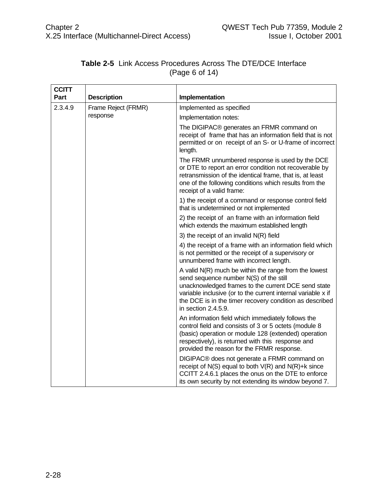| <b>CCITT</b> |                     |                                                                                                                                                                                                                                                                                                            |  |
|--------------|---------------------|------------------------------------------------------------------------------------------------------------------------------------------------------------------------------------------------------------------------------------------------------------------------------------------------------------|--|
| Part         | <b>Description</b>  | Implementation                                                                                                                                                                                                                                                                                             |  |
| 2.3.4.9      | Frame Reject (FRMR) | Implemented as specified                                                                                                                                                                                                                                                                                   |  |
|              | response            | Implementation notes:                                                                                                                                                                                                                                                                                      |  |
|              |                     | The DIGIPAC® generates an FRMR command on<br>receipt of frame that has an information field that is not<br>permitted or on receipt of an S- or U-frame of incorrect<br>length.                                                                                                                             |  |
|              |                     | The FRMR unnumbered response is used by the DCE<br>or DTE to report an error condition not recoverable by<br>retransmission of the identical frame, that is, at least<br>one of the following conditions which results from the<br>receipt of a valid frame:                                               |  |
|              |                     | 1) the receipt of a command or response control field<br>that is undetermined or not implemented                                                                                                                                                                                                           |  |
|              |                     | 2) the receipt of an frame with an information field<br>which extends the maximum established length                                                                                                                                                                                                       |  |
|              |                     | 3) the receipt of an invalid $N(R)$ field                                                                                                                                                                                                                                                                  |  |
|              |                     | 4) the receipt of a frame with an information field which<br>is not permitted or the receipt of a supervisory or<br>unnumbered frame with incorrect length.                                                                                                                                                |  |
|              |                     | A valid $N(R)$ much be within the range from the lowest<br>send sequence number N(S) of the still<br>unacknowledged frames to the current DCE send state<br>variable inclusive (or to the current internal variable x if<br>the DCE is in the timer recovery condition as described<br>in section 2.4.5.9. |  |
|              |                     | An information field which immediately follows the<br>control field and consists of 3 or 5 octets (module 8<br>(basic) operation or module 128 (extended) operation<br>respectively), is returned with this response and<br>provided the reason for the FRMR response.                                     |  |
|              |                     | DIGIPAC® does not generate a FRMR command on<br>receipt of $N(S)$ equal to both $V(R)$ and $N(R)+k$ since<br>CCITT 2.4.6.1 places the onus on the DTE to enforce<br>its own security by not extending its window beyond 7.                                                                                 |  |

#### **Table 2-5** Link Access Procedures Across The DTE/DCE Interface (Page 6 of 14)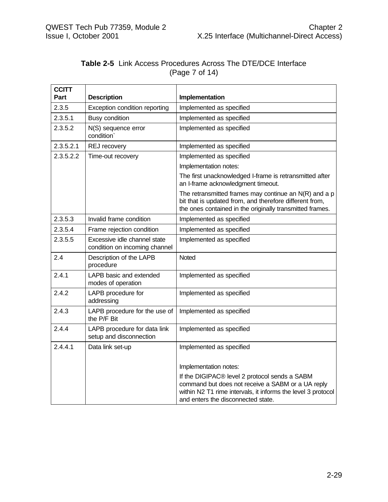| <b>CCITT</b><br>Part | <b>Description</b>                                            | Implementation                                                                                                                                                                                           |
|----------------------|---------------------------------------------------------------|----------------------------------------------------------------------------------------------------------------------------------------------------------------------------------------------------------|
| 2.3.5                | Exception condition reporting                                 | Implemented as specified                                                                                                                                                                                 |
| 2.3.5.1              | <b>Busy condition</b>                                         | Implemented as specified                                                                                                                                                                                 |
| 2.3.5.2              | N(S) sequence error<br>condition <sup>®</sup>                 | Implemented as specified                                                                                                                                                                                 |
| 2.3.5.2.1            | REJ recovery                                                  | Implemented as specified                                                                                                                                                                                 |
| 2.3.5.2.2            | Time-out recovery                                             | Implemented as specified                                                                                                                                                                                 |
|                      |                                                               | Implementation notes:                                                                                                                                                                                    |
|                      |                                                               | The first unacknowledged I-frame is retransmitted after<br>an I-frame acknowledgment timeout.                                                                                                            |
|                      |                                                               | The retransmitted frames may continue an $N(R)$ and a p<br>bit that is updated from, and therefore different from,<br>the ones contained in the originally transmitted frames.                           |
| 2.3.5.3              | Invalid frame condition                                       | Implemented as specified                                                                                                                                                                                 |
| 2.3.5.4              | Frame rejection condition                                     | Implemented as specified                                                                                                                                                                                 |
| 2.3.5.5              | Excessive idle channel state<br>condition on incoming channel | Implemented as specified                                                                                                                                                                                 |
| 2.4                  | Description of the LAPB<br>procedure                          | Noted                                                                                                                                                                                                    |
| 2.4.1                | LAPB basic and extended<br>modes of operation                 | Implemented as specified                                                                                                                                                                                 |
| 2.4.2                | LAPB procedure for<br>addressing                              | Implemented as specified                                                                                                                                                                                 |
| 2.4.3                | LAPB procedure for the use of<br>the P/F Bit                  | Implemented as specified                                                                                                                                                                                 |
| 2.4.4                | LAPB procedure for data link<br>setup and disconnection       | Implemented as specified                                                                                                                                                                                 |
| 2.4.4.1              | Data link set-up                                              | Implemented as specified                                                                                                                                                                                 |
|                      |                                                               | Implementation notes:                                                                                                                                                                                    |
|                      |                                                               | If the DIGIPAC® level 2 protocol sends a SABM<br>command but does not receive a SABM or a UA reply<br>within N2 T1 rime intervals, it informs the level 3 protocol<br>and enters the disconnected state. |

#### **Table 2-5** Link Access Procedures Across The DTE/DCE Interface (Page 7 of 14)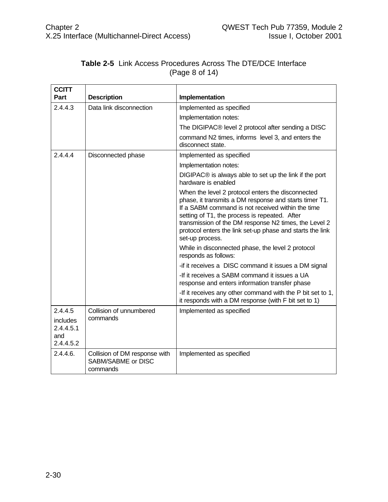| <b>CCITT</b><br>Part                             | <b>Description</b>                                              | Implementation                                                                                                                                                                                                                                                                                                                                             |  |  |
|--------------------------------------------------|-----------------------------------------------------------------|------------------------------------------------------------------------------------------------------------------------------------------------------------------------------------------------------------------------------------------------------------------------------------------------------------------------------------------------------------|--|--|
| 2.4.4.3                                          | Data link disconnection                                         | Implemented as specified                                                                                                                                                                                                                                                                                                                                   |  |  |
|                                                  |                                                                 | Implementation notes:                                                                                                                                                                                                                                                                                                                                      |  |  |
|                                                  |                                                                 | The DIGIPAC® level 2 protocol after sending a DISC                                                                                                                                                                                                                                                                                                         |  |  |
|                                                  |                                                                 | command N2 times, informs level 3, and enters the<br>disconnect state.                                                                                                                                                                                                                                                                                     |  |  |
| 2.4.4.4                                          | Disconnected phase                                              | Implemented as specified                                                                                                                                                                                                                                                                                                                                   |  |  |
|                                                  |                                                                 | Implementation notes:                                                                                                                                                                                                                                                                                                                                      |  |  |
|                                                  |                                                                 | DIGIPAC® is always able to set up the link if the port<br>hardware is enabled                                                                                                                                                                                                                                                                              |  |  |
|                                                  |                                                                 | When the level 2 protocol enters the disconnected<br>phase, it transmits a DM response and starts timer T1.<br>If a SABM command is not received within the time<br>setting of T1, the process is repeated. After<br>transmission of the DM response N2 times, the Level 2<br>protocol enters the link set-up phase and starts the link<br>set-up process. |  |  |
|                                                  |                                                                 | While in disconnected phase, the level 2 protocol<br>responds as follows:                                                                                                                                                                                                                                                                                  |  |  |
|                                                  |                                                                 | -if it receives a DISC command it issues a DM signal                                                                                                                                                                                                                                                                                                       |  |  |
|                                                  |                                                                 | -If it receives a SABM command it issues a UA<br>response and enters information transfer phase                                                                                                                                                                                                                                                            |  |  |
|                                                  |                                                                 | -If it receives any other command with the P bit set to 1,<br>it responds with a DM response (with F bit set to 1)                                                                                                                                                                                                                                         |  |  |
| 2.4.4.5                                          | Collision of unnumbered                                         | Implemented as specified                                                                                                                                                                                                                                                                                                                                   |  |  |
| <i>includes</i><br>2.4.4.5.1<br>and<br>2.4.4.5.2 | commands                                                        |                                                                                                                                                                                                                                                                                                                                                            |  |  |
| 2.4.4.6.                                         | Collision of DM response with<br>SABM/SABME or DISC<br>commands | Implemented as specified                                                                                                                                                                                                                                                                                                                                   |  |  |

#### **Table 2-5** Link Access Procedures Across The DTE/DCE Interface (Page 8 of 14)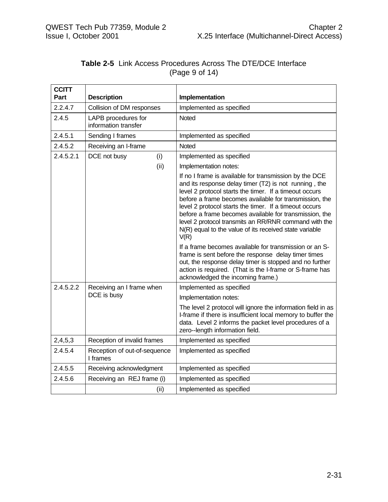| <b>CCITT</b><br>Part                   | <b>Description</b>                          | Implementation                                                                                                                                                                                                                                                                                                                                                                                                                                                                     |
|----------------------------------------|---------------------------------------------|------------------------------------------------------------------------------------------------------------------------------------------------------------------------------------------------------------------------------------------------------------------------------------------------------------------------------------------------------------------------------------------------------------------------------------------------------------------------------------|
| 2.2.4.7                                | Collision of DM responses                   | Implemented as specified                                                                                                                                                                                                                                                                                                                                                                                                                                                           |
| 2.4.5                                  | LAPB procedures for<br>information transfer | <b>Noted</b>                                                                                                                                                                                                                                                                                                                                                                                                                                                                       |
| 2.4.5.1                                | Sending I frames                            | Implemented as specified                                                                                                                                                                                                                                                                                                                                                                                                                                                           |
| 2.4.5.2                                | Receiving an I-frame                        | <b>Noted</b>                                                                                                                                                                                                                                                                                                                                                                                                                                                                       |
| 2.4.5.2.1                              | DCE not busy<br>(i)                         | Implemented as specified                                                                                                                                                                                                                                                                                                                                                                                                                                                           |
|                                        | (ii)                                        | Implementation notes:                                                                                                                                                                                                                                                                                                                                                                                                                                                              |
|                                        |                                             | If no I frame is available for transmission by the DCE<br>and its response delay timer (T2) is not running, the<br>level 2 protocol starts the timer. If a timeout occurs<br>before a frame becomes available for transmission, the<br>level 2 protocol starts the timer. If a timeout occurs<br>before a frame becomes available for transmission, the<br>level 2 protocol transmits an RR/RNR command with the<br>N(R) equal to the value of its received state variable<br>V(R) |
|                                        |                                             | If a frame becomes available for transmission or an S-<br>frame is sent before the response delay timer times<br>out, the response delay timer is stopped and no further<br>action is required. (That is the I-frame or S-frame has<br>acknowledged the incoming frame.)                                                                                                                                                                                                           |
| 2.4.5.2.2<br>Receiving an I frame when |                                             | Implemented as specified                                                                                                                                                                                                                                                                                                                                                                                                                                                           |
|                                        | DCE is busy                                 | Implementation notes:                                                                                                                                                                                                                                                                                                                                                                                                                                                              |
|                                        |                                             | The level 2 protocol will ignore the information field in as<br>I-frame if there is insufficient local memory to buffer the<br>data. Level 2 informs the packet level procedures of a<br>zero--length information field.                                                                                                                                                                                                                                                           |
| 2,4,5,3                                | Reception of invalid frames                 | Implemented as specified                                                                                                                                                                                                                                                                                                                                                                                                                                                           |
| 2.4.5.4                                | Reception of out-of-sequence<br>I frames    | Implemented as specified                                                                                                                                                                                                                                                                                                                                                                                                                                                           |
| 2.4.5.5                                | Receiving acknowledgment                    | Implemented as specified                                                                                                                                                                                                                                                                                                                                                                                                                                                           |
| 2.4.5.6                                | Receiving an REJ frame (i)                  | Implemented as specified                                                                                                                                                                                                                                                                                                                                                                                                                                                           |
|                                        | (ii)                                        | Implemented as specified                                                                                                                                                                                                                                                                                                                                                                                                                                                           |

#### **Table 2-5** Link Access Procedures Across The DTE/DCE Interface (Page 9 of 14)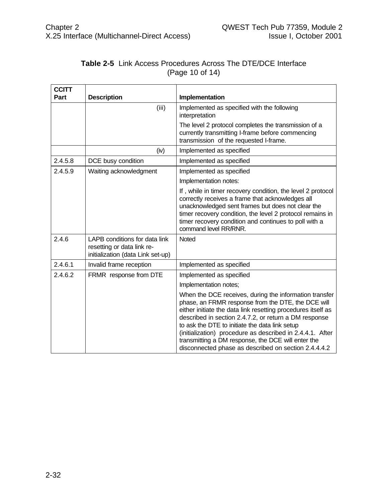| <b>CCITT</b> |                                                                                                  |                                                                                                                                                                                                                                                                                                                                                                                                                                                                    |
|--------------|--------------------------------------------------------------------------------------------------|--------------------------------------------------------------------------------------------------------------------------------------------------------------------------------------------------------------------------------------------------------------------------------------------------------------------------------------------------------------------------------------------------------------------------------------------------------------------|
| Part         | <b>Description</b>                                                                               | Implementation                                                                                                                                                                                                                                                                                                                                                                                                                                                     |
|              | (iii)                                                                                            | Implemented as specified with the following<br>interpretation                                                                                                                                                                                                                                                                                                                                                                                                      |
|              |                                                                                                  | The level 2 protocol completes the transmission of a<br>currently transmitting I-frame before commencing<br>transmission of the requested I-frame.                                                                                                                                                                                                                                                                                                                 |
|              | (iv)                                                                                             | Implemented as specified                                                                                                                                                                                                                                                                                                                                                                                                                                           |
| 2.4.5.8      | DCE busy condition                                                                               | Implemented as specified                                                                                                                                                                                                                                                                                                                                                                                                                                           |
| 2.4.5.9      | Waiting acknowledgment                                                                           | Implemented as specified                                                                                                                                                                                                                                                                                                                                                                                                                                           |
|              |                                                                                                  | Implementation notes:                                                                                                                                                                                                                                                                                                                                                                                                                                              |
|              |                                                                                                  | If, while in timer recovery condition, the level 2 protocol<br>correctly receives a frame that acknowledges all<br>unacknowledged sent frames but does not clear the<br>timer recovery condition, the level 2 protocol remains in<br>timer recovery condition and continues to poll with a<br>command level RR/RNR.                                                                                                                                                |
| 2.4.6        | LAPB conditions for data link<br>resetting or data link re-<br>initialization (data Link set-up) | Noted                                                                                                                                                                                                                                                                                                                                                                                                                                                              |
| 2.4.6.1      | Invalid frame reception                                                                          | Implemented as specified                                                                                                                                                                                                                                                                                                                                                                                                                                           |
| 2.4.6.2      | FRMR response from DTE                                                                           | Implemented as specified                                                                                                                                                                                                                                                                                                                                                                                                                                           |
|              |                                                                                                  | Implementation notes;                                                                                                                                                                                                                                                                                                                                                                                                                                              |
|              |                                                                                                  | When the DCE receives, during the information transfer<br>phase, an FRMR response from the DTE, the DCE will<br>either initiate the data link resetting procedures itself as<br>described in section 2.4.7.2, or return a DM response<br>to ask the DTE to initiate the data link setup<br>(initialization) procedure as described in 2.4.4.1. After<br>transmitting a DM response, the DCE will enter the<br>disconnected phase as described on section 2.4.4.4.2 |

#### **Table 2-5** Link Access Procedures Across The DTE/DCE Interface (Page 10 of 14)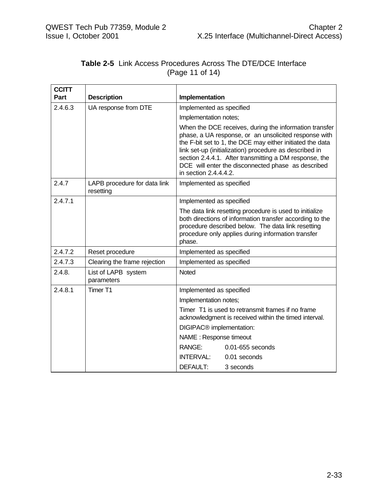| <b>CCITT</b> |                                           |                                                                                                                                                                                                                                                                                                                                                                                 |  |
|--------------|-------------------------------------------|---------------------------------------------------------------------------------------------------------------------------------------------------------------------------------------------------------------------------------------------------------------------------------------------------------------------------------------------------------------------------------|--|
| Part         | <b>Description</b>                        | Implementation                                                                                                                                                                                                                                                                                                                                                                  |  |
| 2.4.6.3      | UA response from DTE                      | Implemented as specified                                                                                                                                                                                                                                                                                                                                                        |  |
|              |                                           | Implementation notes;                                                                                                                                                                                                                                                                                                                                                           |  |
|              |                                           | When the DCE receives, during the information transfer<br>phase, a UA response, or an unsolicited response with<br>the F-bit set to 1, the DCE may either initiated the data<br>link set-up (initialization) procedure as described in<br>section 2.4.4.1. After transmitting a DM response, the<br>DCE will enter the disconnected phase as described<br>in section 2.4.4.4.2. |  |
| 2.4.7        | LAPB procedure for data link<br>resetting | Implemented as specified                                                                                                                                                                                                                                                                                                                                                        |  |
| 2.4.7.1      |                                           | Implemented as specified                                                                                                                                                                                                                                                                                                                                                        |  |
|              |                                           | The data link resetting procedure is used to initialize<br>both directions of information transfer according to the<br>procedure described below. The data link resetting<br>procedure only applies during information transfer<br>phase.                                                                                                                                       |  |
| 2.4.7.2      | Reset procedure                           | Implemented as specified                                                                                                                                                                                                                                                                                                                                                        |  |
| 2.4.7.3      | Clearing the frame rejection              | Implemented as specified                                                                                                                                                                                                                                                                                                                                                        |  |
| 2.4.8.       | List of LAPB system<br>parameters         | <b>Noted</b>                                                                                                                                                                                                                                                                                                                                                                    |  |
| 2.4.8.1      | Timer T1                                  | Implemented as specified                                                                                                                                                                                                                                                                                                                                                        |  |
|              |                                           | Implementation notes;                                                                                                                                                                                                                                                                                                                                                           |  |
|              |                                           | Timer T1 is used to retransmit frames if no frame<br>acknowledgment is received within the timed interval.                                                                                                                                                                                                                                                                      |  |
|              |                                           | DIGIPAC <sup>®</sup> implementation:                                                                                                                                                                                                                                                                                                                                            |  |
|              |                                           | NAME : Response timeout                                                                                                                                                                                                                                                                                                                                                         |  |
|              |                                           | RANGE:<br>0.01-655 seconds                                                                                                                                                                                                                                                                                                                                                      |  |
|              |                                           | INTERVAL:<br>0.01 seconds                                                                                                                                                                                                                                                                                                                                                       |  |
|              |                                           | DEFAULT:<br>3 seconds                                                                                                                                                                                                                                                                                                                                                           |  |

#### **Table 2-5** Link Access Procedures Across The DTE/DCE Interface (Page 11 of 14)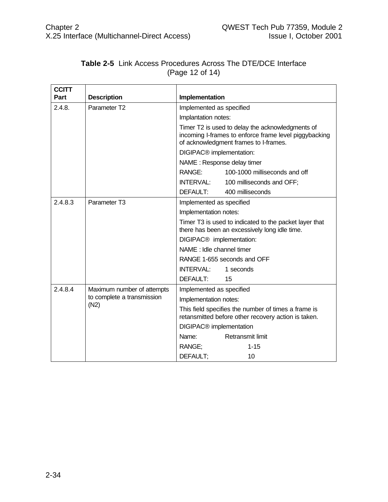| <b>CCITT</b> |                                                                  |                                                                                                                                                    |  |  |
|--------------|------------------------------------------------------------------|----------------------------------------------------------------------------------------------------------------------------------------------------|--|--|
| Part         | <b>Description</b>                                               | Implementation                                                                                                                                     |  |  |
| 2.4.8.       | Parameter T <sub>2</sub>                                         | Implemented as specified                                                                                                                           |  |  |
|              |                                                                  | Implantation notes:                                                                                                                                |  |  |
|              |                                                                  | Timer T2 is used to delay the acknowledgments of<br>incoming I-frames to enforce frame level piggybacking<br>of acknowledgment frames to I-frames. |  |  |
|              |                                                                  | DIGIPAC <sup>®</sup> implementation:                                                                                                               |  |  |
|              |                                                                  | NAME: Response delay timer                                                                                                                         |  |  |
|              |                                                                  | RANGE:<br>100-1000 milliseconds and off                                                                                                            |  |  |
|              |                                                                  | <b>INTERVAL:</b><br>100 milliseconds and OFF;                                                                                                      |  |  |
|              |                                                                  | DEFAULT:<br>400 milliseconds                                                                                                                       |  |  |
| 2.4.8.3      | Parameter T <sub>3</sub>                                         | Implemented as specified                                                                                                                           |  |  |
|              |                                                                  | Implementation notes:                                                                                                                              |  |  |
|              |                                                                  | Timer T3 is used to indicated to the packet layer that<br>there has been an excessively long idle time.                                            |  |  |
|              |                                                                  | DIGIPAC <sup>®</sup> implementation:                                                                                                               |  |  |
|              |                                                                  | NAME : Idle channel timer                                                                                                                          |  |  |
|              |                                                                  | RANGE 1-655 seconds and OFF                                                                                                                        |  |  |
|              |                                                                  | INTERVAL:<br>1 seconds                                                                                                                             |  |  |
|              |                                                                  | DEFAULT:<br>15                                                                                                                                     |  |  |
| 2.4.8.4      | Maximum number of attempts<br>to complete a transmission<br>(N2) | Implemented as specified                                                                                                                           |  |  |
|              |                                                                  | Implementation notes:                                                                                                                              |  |  |
|              |                                                                  | This field specifies the number of times a frame is<br>retansmitted before other recovery action is taken.                                         |  |  |
|              |                                                                  | DIGIPAC <sup>®</sup> implementation                                                                                                                |  |  |
|              |                                                                  | Name:<br>Retransmit limit                                                                                                                          |  |  |
|              |                                                                  | RANGE;<br>$1 - 15$                                                                                                                                 |  |  |
|              |                                                                  | DEFAULT;<br>10                                                                                                                                     |  |  |

#### **Table 2-5** Link Access Procedures Across The DTE/DCE Interface (Page 12 of 14)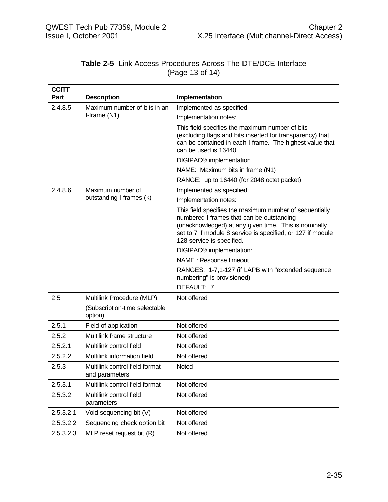| <b>Table 2-5</b> Link Access Procedures Across The DTE/DCE Interface |                 |  |  |
|----------------------------------------------------------------------|-----------------|--|--|
|                                                                      | (Page 13 of 14) |  |  |

| <b>CCITT</b> |                                                  |                                                                                                                                                                                                                                                           |  |
|--------------|--------------------------------------------------|-----------------------------------------------------------------------------------------------------------------------------------------------------------------------------------------------------------------------------------------------------------|--|
| Part         | <b>Description</b>                               | Implementation                                                                                                                                                                                                                                            |  |
| 2.4.8.5      | Maximum number of bits in an                     | Implemented as specified                                                                                                                                                                                                                                  |  |
|              | I-frame (N1)                                     | Implementation notes:                                                                                                                                                                                                                                     |  |
|              |                                                  | This field specifies the maximum number of bits<br>(excluding flags and bits inserted for transparency) that<br>can be contained in each I-frame. The highest value that<br>can be used is 16440.                                                         |  |
|              |                                                  | DIGIPAC <sup>®</sup> implementation                                                                                                                                                                                                                       |  |
|              |                                                  | NAME: Maximum bits in frame (N1)                                                                                                                                                                                                                          |  |
|              |                                                  | RANGE: up to 16440 (for 2048 octet packet)                                                                                                                                                                                                                |  |
| 2.4.8.6      | Maximum number of                                | Implemented as specified                                                                                                                                                                                                                                  |  |
|              | outstanding I-frames (k)                         | Implementation notes:                                                                                                                                                                                                                                     |  |
|              |                                                  | This field specifies the maximum number of sequentially<br>numbered I-frames that can be outstanding<br>(unacknowledged) at any given time. This is nominally<br>set to 7 if module 8 service is specified, or 127 if module<br>128 service is specified. |  |
|              |                                                  | DIGIPAC® implementation:                                                                                                                                                                                                                                  |  |
|              |                                                  | NAME : Response timeout                                                                                                                                                                                                                                   |  |
|              |                                                  | RANGES: 1-7,1-127 (if LAPB with "extended sequence<br>numbering" is provisioned)                                                                                                                                                                          |  |
|              |                                                  | DEFAULT: 7                                                                                                                                                                                                                                                |  |
| 2.5          | Multilink Procedure (MLP)                        | Not offered                                                                                                                                                                                                                                               |  |
|              | (Subscription-time selectable<br>option)         |                                                                                                                                                                                                                                                           |  |
| 2.5.1        | Field of application                             | Not offered                                                                                                                                                                                                                                               |  |
| 2.5.2        | Multilink frame structure                        | Not offered                                                                                                                                                                                                                                               |  |
| 2.5.2.1      | Multilink control field                          | Not offered                                                                                                                                                                                                                                               |  |
| 2.5.2.2      | Multilink information field                      | Not offered                                                                                                                                                                                                                                               |  |
| 2.5.3        | Multilink control field format<br>and parameters | <b>Noted</b>                                                                                                                                                                                                                                              |  |
| 2.5.3.1      | Multilink control field format                   | Not offered                                                                                                                                                                                                                                               |  |
| 2.5.3.2      | Multilink control field<br>parameters            | Not offered                                                                                                                                                                                                                                               |  |
| 2.5.3.2.1    | Void sequencing bit (V)                          | Not offered                                                                                                                                                                                                                                               |  |
| 2.5.3.2.2    | Sequencing check option bit                      | Not offered                                                                                                                                                                                                                                               |  |
| 2.5.3.2.3    | MLP reset request bit (R)                        | Not offered                                                                                                                                                                                                                                               |  |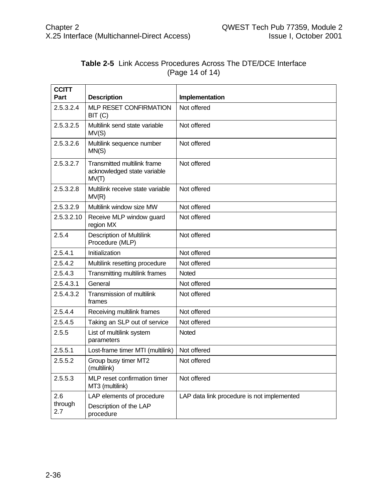| <b>CCITT</b><br>Part | <b>Description</b>                                                         | Implementation                             |
|----------------------|----------------------------------------------------------------------------|--------------------------------------------|
| 2.5.3.2.4            | MLP RESET CONFIRMATION<br>BIT (C)                                          | Not offered                                |
| 2.5.3.2.5            | Multilink send state variable<br>MV(S)                                     | Not offered                                |
| 2.5.3.2.6            | Multilink sequence number<br>MN(S)                                         | Not offered                                |
| 2.5.3.2.7            | <b>Transmitted multilink frame</b><br>acknowledged state variable<br>MV(T) | Not offered                                |
| 2.5.3.2.8            | Multilink receive state variable<br>MV(R)                                  | Not offered                                |
| 2.5.3.2.9            | Multilink window size MW                                                   | Not offered                                |
| 2.5.3.2.10           | Receive MLP window guard<br>region MX                                      | Not offered                                |
| 2.5.4                | <b>Description of Multilink</b><br>Procedure (MLP)                         | Not offered                                |
| 2.5.4.1              | Initialization                                                             | Not offered                                |
| 2.5.4.2              | Multilink resetting procedure                                              | Not offered                                |
| 2.5.4.3              | Transmitting multilink frames                                              | <b>Noted</b>                               |
| 2.5.4.3.1            | General                                                                    | Not offered                                |
| 2.5.4.3.2            | Transmission of multilink<br>frames                                        | Not offered                                |
| 2.5.4.4              | Receiving multilink frames                                                 | Not offered                                |
| 2.5.4.5              | Taking an SLP out of service                                               | Not offered                                |
| 2.5.5                | List of multilink system<br>parameters                                     | Noted                                      |
| 2.5.5.1              | Lost-frame timer MTI (multilink)                                           | Not offered                                |
| 2.5.5.2              | Group busy timer MT2<br>(multilink)                                        | Not offered                                |
| 2.5.5.3              | MLP reset confirmation timer<br>MT3 (multilink)                            | Not offered                                |
| 2.6                  | LAP elements of procedure                                                  | LAP data link procedure is not implemented |
| through<br>2.7       | Description of the LAP<br>procedure                                        |                                            |

#### **Table 2-5** Link Access Procedures Across The DTE/DCE Interface (Page 14 of 14)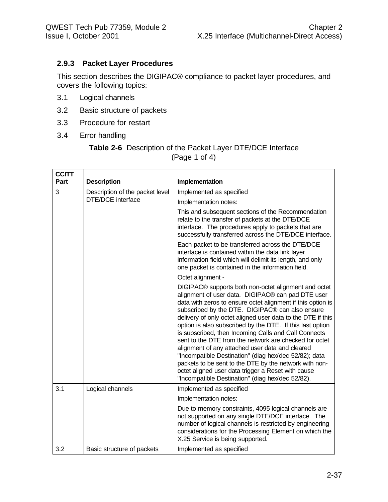## **2.9.3 Packet Layer Procedures**

This section describes the DIGIPAC® compliance to packet layer procedures, and covers the following topics:

- 3.1 Logical channels
- 3.2 Basic structure of packets
- 3.3 Procedure for restart
- 3.4 Error handling

#### **Table 2-6** Description of the Packet Layer DTE/DCE Interface (Page 1 of 4)

| <b>CCITT</b> |                                 |                                                                                                                                                                                                                                                                                                                                                                                                                                                                                                                                                                                                                                                                                                                                                           |
|--------------|---------------------------------|-----------------------------------------------------------------------------------------------------------------------------------------------------------------------------------------------------------------------------------------------------------------------------------------------------------------------------------------------------------------------------------------------------------------------------------------------------------------------------------------------------------------------------------------------------------------------------------------------------------------------------------------------------------------------------------------------------------------------------------------------------------|
| Part         | <b>Description</b>              | Implementation                                                                                                                                                                                                                                                                                                                                                                                                                                                                                                                                                                                                                                                                                                                                            |
| 3            | Description of the packet level | Implemented as specified                                                                                                                                                                                                                                                                                                                                                                                                                                                                                                                                                                                                                                                                                                                                  |
|              | <b>DTE/DCE</b> interface        | Implementation notes:                                                                                                                                                                                                                                                                                                                                                                                                                                                                                                                                                                                                                                                                                                                                     |
|              |                                 | This and subsequent sections of the Recommendation<br>relate to the transfer of packets at the DTE/DCE<br>interface. The procedures apply to packets that are<br>successfully transferred across the DTE/DCE interface.                                                                                                                                                                                                                                                                                                                                                                                                                                                                                                                                   |
|              |                                 | Each packet to be transferred across the DTE/DCE<br>interface is contained within the data link layer<br>information field which will delimit its length, and only<br>one packet is contained in the information field.                                                                                                                                                                                                                                                                                                                                                                                                                                                                                                                                   |
|              |                                 | Octet alignment -                                                                                                                                                                                                                                                                                                                                                                                                                                                                                                                                                                                                                                                                                                                                         |
|              |                                 | DIGIPAC® supports both non-octet alignment and octet<br>alignment of user data. DIGIPAC® can pad DTE user<br>data with zeros to ensure octet alignment if this option is<br>subscribed by the DTE. DIGIPAC® can also ensure<br>delivery of only octet aligned user data to the DTE if this<br>option is also subscribed by the DTE. If this last option<br>is subscribed, then Incoming Calls and Call Connects<br>sent to the DTE from the network are checked for octet<br>alignment of any attached user data and cleared<br>"Incompatible Destination" (diag hex/dec 52/82); data<br>packets to be sent to the DTE by the network with non-<br>octet aligned user data trigger a Reset with cause<br>"Incompatible Destination" (diag hex/dec 52/82). |
| 3.1          | Logical channels                | Implemented as specified                                                                                                                                                                                                                                                                                                                                                                                                                                                                                                                                                                                                                                                                                                                                  |
|              |                                 | Implementation notes:                                                                                                                                                                                                                                                                                                                                                                                                                                                                                                                                                                                                                                                                                                                                     |
|              |                                 | Due to memory constraints, 4095 logical channels are<br>not supported on any single DTE/DCE interface. The<br>number of logical channels is restricted by engineering<br>considerations for the Processing Element on which the<br>X.25 Service is being supported.                                                                                                                                                                                                                                                                                                                                                                                                                                                                                       |
| 3.2          | Basic structure of packets      | Implemented as specified                                                                                                                                                                                                                                                                                                                                                                                                                                                                                                                                                                                                                                                                                                                                  |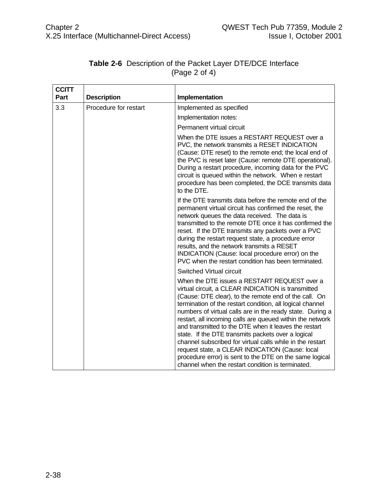| <b>CCITT</b> |                       |                                                                                                                                                                                                                                                                                                                                                                                                                                                                                                                                                                                                                                                                                                                               |
|--------------|-----------------------|-------------------------------------------------------------------------------------------------------------------------------------------------------------------------------------------------------------------------------------------------------------------------------------------------------------------------------------------------------------------------------------------------------------------------------------------------------------------------------------------------------------------------------------------------------------------------------------------------------------------------------------------------------------------------------------------------------------------------------|
| Part         | <b>Description</b>    | Implementation                                                                                                                                                                                                                                                                                                                                                                                                                                                                                                                                                                                                                                                                                                                |
| 3.3          | Procedure for restart | Implemented as specified                                                                                                                                                                                                                                                                                                                                                                                                                                                                                                                                                                                                                                                                                                      |
|              |                       | Implementation notes:                                                                                                                                                                                                                                                                                                                                                                                                                                                                                                                                                                                                                                                                                                         |
|              |                       | Permanent virtual circuit                                                                                                                                                                                                                                                                                                                                                                                                                                                                                                                                                                                                                                                                                                     |
|              |                       | When the DTE issues a RESTART REQUEST over a<br>PVC, the network transmits a RESET INDICATION<br>(Cause: DTE reset) to the remote end; the local end of<br>the PVC is reset later (Cause: remote DTE operational).<br>During a restart procedure, incoming data for the PVC<br>circuit is queued within the network. When e restart<br>procedure has been completed, the DCE transmits data<br>to the DTE.                                                                                                                                                                                                                                                                                                                    |
|              |                       | If the DTE transmits data before the remote end of the<br>permanent virtual circuit has confirmed the reset, the<br>network queues the data received. The data is<br>transmitted to the remote DTE once it has confirmed the<br>reset. If the DTE transmits any packets over a PVC<br>during the restart request state, a procedure error<br>results, and the network transmits a RESET<br>INDICATION (Cause: local procedure error) on the<br>PVC when the restart condition has been terminated.                                                                                                                                                                                                                            |
|              |                       | Switched Virtual circuit<br>When the DTE issues a RESTART REQUEST over a<br>virtual circuit, a CLEAR INDICATION is transmitted<br>(Cause: DTE clear), to the remote end of the call. On<br>termination of the restart condition, all logical channel<br>numbers of virtual calls are in the ready state. During a<br>restart, all incoming calls are queued within the network<br>and transmitted to the DTE when it leaves the restart<br>state. If the DTE transmits packets over a logical<br>channel subscribed for virtual calls while in the restart<br>request state, a CLEAR INDICATION (Cause: local<br>procedure error) is sent to the DTE on the same logical<br>channel when the restart condition is terminated. |

## **Table 2-6** Description of the Packet Layer DTE/DCE Interface (Page 2 of 4)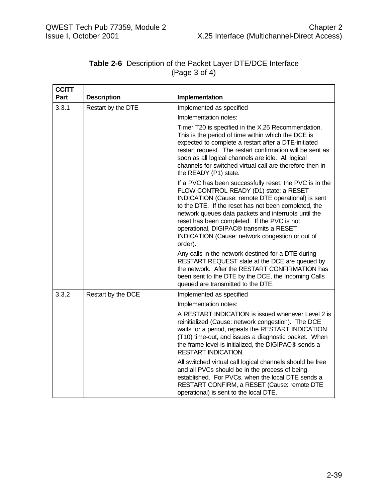| <b>CCITT</b> |                    |                                                                                                                                                                                                                                                                                                                                                                                                                                 |
|--------------|--------------------|---------------------------------------------------------------------------------------------------------------------------------------------------------------------------------------------------------------------------------------------------------------------------------------------------------------------------------------------------------------------------------------------------------------------------------|
| Part         | <b>Description</b> | Implementation                                                                                                                                                                                                                                                                                                                                                                                                                  |
| 3.3.1        | Restart by the DTE | Implemented as specified                                                                                                                                                                                                                                                                                                                                                                                                        |
|              |                    | Implementation notes:                                                                                                                                                                                                                                                                                                                                                                                                           |
|              |                    | Timer T20 is specified in the X.25 Recommendation.<br>This is the period of time within which the DCE is<br>expected to complete a restart after a DTE-initiated<br>restart request. The restart confirmation will be sent as<br>soon as all logical channels are idle. All logical<br>channels for switched virtual call are therefore then in<br>the READY (P1) state.                                                        |
|              |                    | If a PVC has been successfully reset, the PVC is in the<br>FLOW CONTROL READY (D1) state; a RESET<br>INDICATION (Cause: remote DTE operational) is sent<br>to the DTE. If the reset has not been completed, the<br>network queues data packets and interrupts until the<br>reset has been completed. If the PVC is not<br>operational, DIGIPAC® transmits a RESET<br>INDICATION (Cause: network congestion or out of<br>order). |
|              |                    | Any calls in the network destined for a DTE during<br>RESTART REQUEST state at the DCE are queued by<br>the network. After the RESTART CONFIRMATION has<br>been sent to the DTE by the DCE, the Incoming Calls<br>queued are transmitted to the DTE.                                                                                                                                                                            |
| 3.3.2        | Restart by the DCE | Implemented as specified                                                                                                                                                                                                                                                                                                                                                                                                        |
|              |                    | Implementation notes:                                                                                                                                                                                                                                                                                                                                                                                                           |
|              |                    | A RESTART INDICATION is issued whenever Level 2 is<br>reinitialized (Cause: network congestion). The DCE<br>waits for a period, repeats the RESTART INDICATION<br>(T10) time-out, and issues a diagnostic packet. When<br>the frame level is initialized, the DIGIPAC® sends a<br><b>RESTART INDICATION.</b>                                                                                                                    |
|              |                    | All switched virtual call logical channels should be free<br>and all PVCs should be in the process of being<br>established. For PVCs, when the local DTE sends a<br>RESTART CONFIRM, a RESET (Cause: remote DTE<br>operational) is sent to the local DTE.                                                                                                                                                                       |

## **Table 2-6** Description of the Packet Layer DTE/DCE Interface (Page 3 of 4)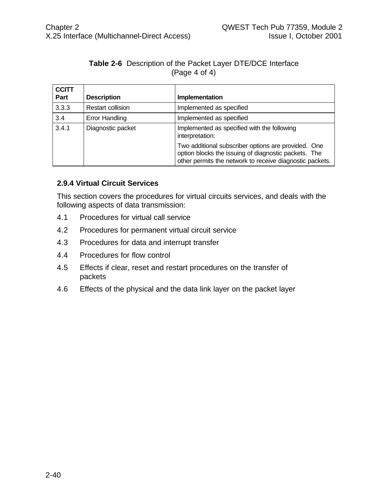#### **Table 2-6** Description of the Packet Layer DTE/DCE Interface (Page 4 of 4)

| <b>CCITT</b><br>Part | <b>Description</b>       | Implementation                                                                                                                                                          |
|----------------------|--------------------------|-------------------------------------------------------------------------------------------------------------------------------------------------------------------------|
| 3.3.3                | <b>Restart collision</b> | Implemented as specified                                                                                                                                                |
| 3.4                  | <b>Error Handling</b>    | Implemented as specified                                                                                                                                                |
| 3.4.1                | Diagnostic packet        | Implemented as specified with the following<br>interpretation:                                                                                                          |
|                      |                          | Two additional subscriber options are provided. One<br>option blocks the issuing of diagnostic packets. The<br>other permits the network to receive diagnostic packets. |

#### **2.9.4 Virtual Circuit Services**

This section covers the procedures for virtual circuits services, and deals with the following aspects of data transmission:

- 4.1 Procedures for virtual call service
- 4.2 Procedures for permanent virtual circuit service
- 4.3 Procedures for data and interrupt transfer
- 4.4 Procedures for flow control
- 4.5 Effects if clear, reset and restart procedures on the transfer of packets
- 4.6 Effects of the physical and the data link layer on the packet layer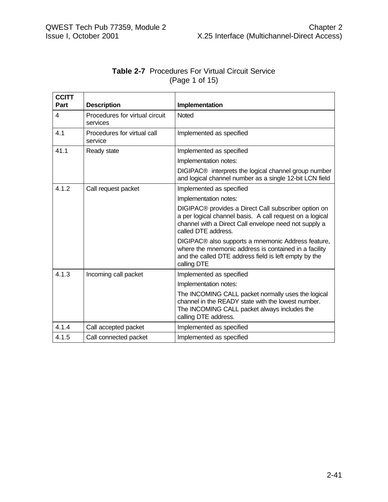| <b>Table 2-7</b> Procedures For Virtual Circuit Service |                |  |
|---------------------------------------------------------|----------------|--|
|                                                         | (Page 1 of 15) |  |
|                                                         |                |  |

| <b>CCITT</b> |                                            |                                                                                                                                                                                                  |
|--------------|--------------------------------------------|--------------------------------------------------------------------------------------------------------------------------------------------------------------------------------------------------|
| Part         | <b>Description</b>                         | Implementation                                                                                                                                                                                   |
| 4            | Procedures for virtual circuit<br>services | <b>Noted</b>                                                                                                                                                                                     |
| 4.1          | Procedures for virtual call<br>service     | Implemented as specified                                                                                                                                                                         |
| 41.1         | Ready state                                | Implemented as specified                                                                                                                                                                         |
|              |                                            | Implementation notes:                                                                                                                                                                            |
|              |                                            | DIGIPAC <sup>®</sup> interprets the logical channel group number<br>and logical channel number as a single 12-bit LCN field                                                                      |
| 4.1.2        | Call request packet                        | Implemented as specified                                                                                                                                                                         |
|              |                                            | Implementation notes:                                                                                                                                                                            |
|              |                                            | DIGIPAC® provides a Direct Call subscriber option on<br>a per logical channel basis. A call request on a logical<br>channel with a Direct Call envelope need not supply a<br>called DTE address. |
|              |                                            | DIGIPAC® also supports a mnemonic Address feature,<br>where the mnemonic address is contained in a facility<br>and the called DTE address field is left empty by the<br>calling DTE              |
| 4.1.3        | Incoming call packet                       | Implemented as specified                                                                                                                                                                         |
|              |                                            | Implementation notes:                                                                                                                                                                            |
|              |                                            | The INCOMING CALL packet normally uses the logical<br>channel in the READY state with the lowest number.<br>The INCOMING CALL packet always includes the<br>calling DTE address.                 |
| 4.1.4        | Call accepted packet                       | Implemented as specified                                                                                                                                                                         |
| 4.1.5        | Call connected packet                      | Implemented as specified                                                                                                                                                                         |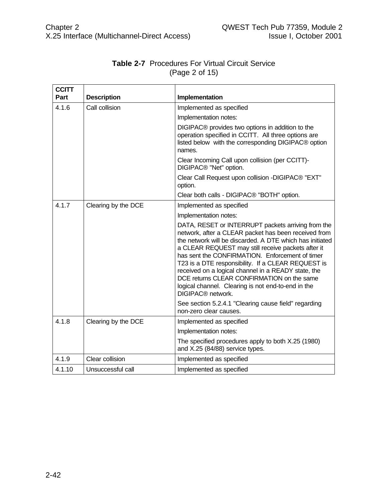| <b>CCITT</b> |                     |                                                                                                                                                                                                                                                                                                                                                                                                                                                                                                                                   |
|--------------|---------------------|-----------------------------------------------------------------------------------------------------------------------------------------------------------------------------------------------------------------------------------------------------------------------------------------------------------------------------------------------------------------------------------------------------------------------------------------------------------------------------------------------------------------------------------|
| Part         | <b>Description</b>  | Implementation                                                                                                                                                                                                                                                                                                                                                                                                                                                                                                                    |
| 4.1.6        | Call collision      | Implemented as specified                                                                                                                                                                                                                                                                                                                                                                                                                                                                                                          |
|              |                     | Implementation notes:                                                                                                                                                                                                                                                                                                                                                                                                                                                                                                             |
|              |                     | DIGIPAC® provides two options in addition to the<br>operation specified in CCITT. All three options are<br>listed below with the corresponding DIGIPAC® option<br>names.                                                                                                                                                                                                                                                                                                                                                          |
|              |                     | Clear Incoming Call upon collision (per CCITT)-<br>DIGIPAC <sup>®</sup> "Net" option.                                                                                                                                                                                                                                                                                                                                                                                                                                             |
|              |                     | Clear Call Request upon collision -DIGIPAC® "EXT"<br>option.                                                                                                                                                                                                                                                                                                                                                                                                                                                                      |
|              |                     | Clear both calls - DIGIPAC® "BOTH" option.                                                                                                                                                                                                                                                                                                                                                                                                                                                                                        |
| 417          | Clearing by the DCE | Implemented as specified                                                                                                                                                                                                                                                                                                                                                                                                                                                                                                          |
|              |                     | Implementation notes:                                                                                                                                                                                                                                                                                                                                                                                                                                                                                                             |
|              |                     | DATA, RESET or INTERRUPT packets arriving from the<br>network, after a CLEAR packet has been received from<br>the network will be discarded. A DTE which has initiated<br>a CLEAR REQUEST may still receive packets after it<br>has sent the CONFIRMATION. Enforcement of timer<br>T23 is a DTE responsibility. If a CLEAR REQUEST is<br>received on a logical channel in a READY state, the<br>DCE returns CLEAR CONFIRMATION on the same<br>logical channel. Clearing is not end-to-end in the<br>DIGIPAC <sup>®</sup> network. |
|              |                     | See section 5.2.4.1 "Clearing cause field" regarding<br>non-zero clear causes.                                                                                                                                                                                                                                                                                                                                                                                                                                                    |
| 4.1.8        | Clearing by the DCE | Implemented as specified                                                                                                                                                                                                                                                                                                                                                                                                                                                                                                          |
|              |                     | Implementation notes:                                                                                                                                                                                                                                                                                                                                                                                                                                                                                                             |
|              |                     | The specified procedures apply to both X.25 (1980)<br>and X.25 (84/88) service types.                                                                                                                                                                                                                                                                                                                                                                                                                                             |
| 4.1.9        | Clear collision     | Implemented as specified                                                                                                                                                                                                                                                                                                                                                                                                                                                                                                          |
| 4.1.10       | Unsuccessful call   | Implemented as specified                                                                                                                                                                                                                                                                                                                                                                                                                                                                                                          |

# **Table 2-7** Procedures For Virtual Circuit Service (Page 2 of 15)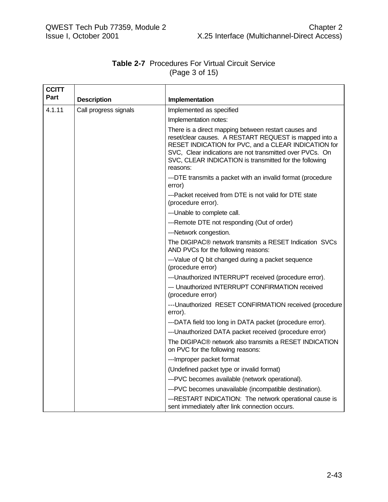## **Table 2-7** Procedures For Virtual Circuit Service (Page 3 of 15)

| <b>CCITT</b> |                       |                                                                                                                                                                                                                                                                                                          |
|--------------|-----------------------|----------------------------------------------------------------------------------------------------------------------------------------------------------------------------------------------------------------------------------------------------------------------------------------------------------|
| Part         | <b>Description</b>    | Implementation                                                                                                                                                                                                                                                                                           |
| 4.1.11       | Call progress signals | Implemented as specified                                                                                                                                                                                                                                                                                 |
|              |                       | Implementation notes:                                                                                                                                                                                                                                                                                    |
|              |                       | There is a direct mapping between restart causes and<br>reset/clear causes. A RESTART REQUEST is mapped into a<br>RESET INDICATION for PVC, and a CLEAR INDICATION for<br>SVC, Clear indications are not transmitted over PVCs. On<br>SVC, CLEAR INDICATION is transmitted for the following<br>reasons: |
|              |                       | ---DTE transmits a packet with an invalid format (procedure<br>error)                                                                                                                                                                                                                                    |
|              |                       | ---Packet received from DTE is not valid for DTE state<br>(procedure error).                                                                                                                                                                                                                             |
|              |                       | --- Unable to complete call.                                                                                                                                                                                                                                                                             |
|              |                       | ---Remote DTE not responding (Out of order)                                                                                                                                                                                                                                                              |
|              |                       | ---Network congestion.                                                                                                                                                                                                                                                                                   |
|              |                       | The DIGIPAC <sup>®</sup> network transmits a RESET Indication SVCs<br>AND PVCs for the following reasons:                                                                                                                                                                                                |
|              |                       | ---Value of Q bit changed during a packet sequence<br>(procedure error)                                                                                                                                                                                                                                  |
|              |                       | --- Unauthorized INTERRUPT received (procedure error).                                                                                                                                                                                                                                                   |
|              |                       | --- Unauthorized INTERRUPT CONFIRMATION received<br>(procedure error)                                                                                                                                                                                                                                    |
|              |                       | --- Unauthorized RESET CONFIRMATION received (procedure<br>error).                                                                                                                                                                                                                                       |
|              |                       | ---DATA field too long in DATA packet (procedure error).                                                                                                                                                                                                                                                 |
|              |                       | ---Unauthorized DATA packet received (procedure error)                                                                                                                                                                                                                                                   |
|              |                       | The DIGIPAC® network also transmits a RESET INDICATION<br>on PVC for the following reasons:                                                                                                                                                                                                              |
|              |                       | --- Improper packet format                                                                                                                                                                                                                                                                               |
|              |                       | (Undefined packet type or invalid format)                                                                                                                                                                                                                                                                |
|              |                       | ---PVC becomes available (network operational).                                                                                                                                                                                                                                                          |
|              |                       | ---PVC becomes unavailable (incompatible destination).                                                                                                                                                                                                                                                   |
|              |                       | ---RESTART INDICATION: The network operational cause is<br>sent immediately after link connection occurs.                                                                                                                                                                                                |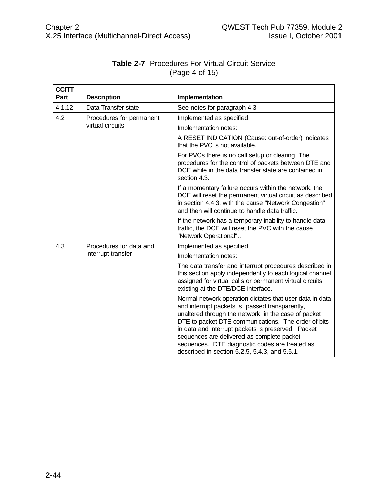| <b>CCITT</b><br>Part | <b>Description</b>                            | Implementation                                                                                                                                                                                                                                                                                                                                                                                                                  |
|----------------------|-----------------------------------------------|---------------------------------------------------------------------------------------------------------------------------------------------------------------------------------------------------------------------------------------------------------------------------------------------------------------------------------------------------------------------------------------------------------------------------------|
| 4.1.12               | Data Transfer state                           | See notes for paragraph 4.3                                                                                                                                                                                                                                                                                                                                                                                                     |
| 4.2                  | Procedures for permanent                      | Implemented as specified                                                                                                                                                                                                                                                                                                                                                                                                        |
|                      | virtual circuits                              | Implementation notes:                                                                                                                                                                                                                                                                                                                                                                                                           |
|                      |                                               | A RESET INDICATION (Cause: out-of-order) indicates<br>that the PVC is not available.                                                                                                                                                                                                                                                                                                                                            |
|                      |                                               | For PVCs there is no call setup or clearing The<br>procedures for the control of packets between DTE and<br>DCE while in the data transfer state are contained in<br>section 4.3.                                                                                                                                                                                                                                               |
|                      |                                               | If a momentary failure occurs within the network, the<br>DCE will reset the permanent virtual circuit as described<br>in section 4.4.3, with the cause "Network Congestion"<br>and then will continue to handle data traffic.                                                                                                                                                                                                   |
|                      |                                               | If the network has a temporary inability to handle data<br>traffic, the DCE will reset the PVC with the cause<br>"Network Operational"                                                                                                                                                                                                                                                                                          |
| 4.3                  | Procedures for data and<br>interrupt transfer | Implemented as specified                                                                                                                                                                                                                                                                                                                                                                                                        |
|                      |                                               | Implementation notes:                                                                                                                                                                                                                                                                                                                                                                                                           |
|                      |                                               | The data transfer and interrupt procedures described in<br>this section apply independently to each logical channel<br>assigned for virtual calls or permanent virtual circuits<br>existing at the DTE/DCE interface.                                                                                                                                                                                                           |
|                      |                                               | Normal network operation dictates that user data in data<br>and interrupt packets is passed transparently,<br>unaltered through the network in the case of packet<br>DTE to packet DTE communications. The order of bits<br>in data and interrupt packets is preserved. Packet<br>sequences are delivered as complete packet<br>sequences. DTE diagnostic codes are treated as<br>described in section 5.2.5, 5.4.3, and 5.5.1. |

# **Table 2-7** Procedures For Virtual Circuit Service (Page 4 of 15)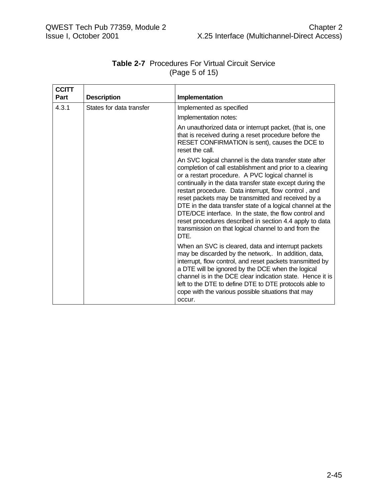| <b>CCITT</b> |                          |                                                                                                                                                                                                                                                                                                                                                                                                                                                                                                                                                                                                     |
|--------------|--------------------------|-----------------------------------------------------------------------------------------------------------------------------------------------------------------------------------------------------------------------------------------------------------------------------------------------------------------------------------------------------------------------------------------------------------------------------------------------------------------------------------------------------------------------------------------------------------------------------------------------------|
| Part         | <b>Description</b>       | Implementation                                                                                                                                                                                                                                                                                                                                                                                                                                                                                                                                                                                      |
| 4.3.1        | States for data transfer | Implemented as specified                                                                                                                                                                                                                                                                                                                                                                                                                                                                                                                                                                            |
|              |                          | Implementation notes:                                                                                                                                                                                                                                                                                                                                                                                                                                                                                                                                                                               |
|              |                          | An unauthorized data or interrupt packet, (that is, one<br>that is received during a reset procedure before the<br>RESET CONFIRMATION is sent), causes the DCE to<br>reset the call.                                                                                                                                                                                                                                                                                                                                                                                                                |
|              |                          | An SVC logical channel is the data transfer state after<br>completion of call establishment and prior to a clearing<br>or a restart procedure. A PVC logical channel is<br>continually in the data transfer state except during the<br>restart procedure. Data interrupt, flow control, and<br>reset packets may be transmitted and received by a<br>DTE in the data transfer state of a logical channel at the<br>DTE/DCE interface. In the state, the flow control and<br>reset procedures described in section 4.4 apply to data<br>transmission on that logical channel to and from the<br>DTE. |
|              |                          | When an SVC is cleared, data and interrupt packets<br>may be discarded by the network,. In addition, data,<br>interrupt, flow control, and reset packets transmitted by<br>a DTE will be ignored by the DCE when the logical<br>channel is in the DCE clear indication state. Hence it is<br>left to the DTE to define DTE to DTE protocols able to<br>cope with the various possible situations that may<br>occur.                                                                                                                                                                                 |

## **Table 2-7** Procedures For Virtual Circuit Service (Page 5 of 15)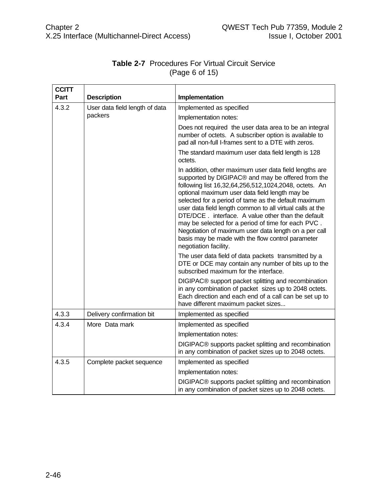| <b>CCITT</b> |                                |                                                                                                                                                                                                                                                                                                                                                                                                                                                                                                                                                                                                |
|--------------|--------------------------------|------------------------------------------------------------------------------------------------------------------------------------------------------------------------------------------------------------------------------------------------------------------------------------------------------------------------------------------------------------------------------------------------------------------------------------------------------------------------------------------------------------------------------------------------------------------------------------------------|
| Part         | <b>Description</b>             | Implementation                                                                                                                                                                                                                                                                                                                                                                                                                                                                                                                                                                                 |
| 4.3.2        | User data field length of data | Implemented as specified                                                                                                                                                                                                                                                                                                                                                                                                                                                                                                                                                                       |
|              | packers                        | Implementation notes:                                                                                                                                                                                                                                                                                                                                                                                                                                                                                                                                                                          |
|              |                                | Does not required the user data area to be an integral<br>number of octets. A subscriber option is available to<br>pad all non-full I-frames sent to a DTE with zeros.                                                                                                                                                                                                                                                                                                                                                                                                                         |
|              |                                | The standard maximum user data field length is 128<br>octets.                                                                                                                                                                                                                                                                                                                                                                                                                                                                                                                                  |
|              |                                | In addition, other maximum user data field lengths are<br>supported by DIGIPAC® and may be offered from the<br>following list 16,32,64,256,512,1024,2048, octets. An<br>optional maximum user data field length may be<br>selected for a period of tame as the default maximum<br>user data field length common to all virtual calls at the<br>DTE/DCE, interface. A value other than the default<br>may be selected for a period of time for each PVC.<br>Negotiation of maximum user data length on a per call<br>basis may be made with the flow control parameter<br>negotiation facility. |
|              |                                | The user data field of data packets transmitted by a<br>DTE or DCE may contain any number of bits up to the<br>subscribed maximum for the interface.                                                                                                                                                                                                                                                                                                                                                                                                                                           |
|              |                                | DIGIPAC <sup>®</sup> support packet splitting and recombination<br>in any combination of packet sizes up to 2048 octets.<br>Each direction and each end of a call can be set up to<br>have different maximum packet sizes                                                                                                                                                                                                                                                                                                                                                                      |
| 4.3.3        | Delivery confirmation bit      | Implemented as specified                                                                                                                                                                                                                                                                                                                                                                                                                                                                                                                                                                       |
| 4.3.4        | More Data mark                 | Implemented as specified                                                                                                                                                                                                                                                                                                                                                                                                                                                                                                                                                                       |
|              |                                | Implementation notes:                                                                                                                                                                                                                                                                                                                                                                                                                                                                                                                                                                          |
|              |                                | DIGIPAC® supports packet splitting and recombination<br>in any combination of packet sizes up to 2048 octets.                                                                                                                                                                                                                                                                                                                                                                                                                                                                                  |
| 4.3.5        | Complete packet sequence       | Implemented as specified                                                                                                                                                                                                                                                                                                                                                                                                                                                                                                                                                                       |
|              |                                | Implementation notes:                                                                                                                                                                                                                                                                                                                                                                                                                                                                                                                                                                          |
|              |                                | DIGIPAC® supports packet splitting and recombination<br>in any combination of packet sizes up to 2048 octets.                                                                                                                                                                                                                                                                                                                                                                                                                                                                                  |

## **Table 2-7** Procedures For Virtual Circuit Service (Page 6 of 15)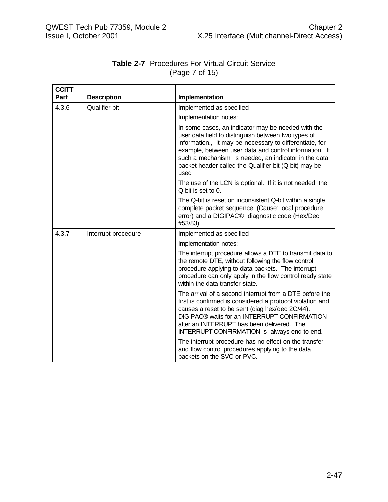| <b>CCITT</b><br>Part | <b>Description</b>  | Implementation                                                                                                                                                                                                                                                                                                                                          |
|----------------------|---------------------|---------------------------------------------------------------------------------------------------------------------------------------------------------------------------------------------------------------------------------------------------------------------------------------------------------------------------------------------------------|
|                      |                     |                                                                                                                                                                                                                                                                                                                                                         |
| 4.3.6                | Qualifier bit       | Implemented as specified                                                                                                                                                                                                                                                                                                                                |
|                      |                     | Implementation notes:                                                                                                                                                                                                                                                                                                                                   |
|                      |                     | In some cases, an indicator may be needed with the<br>user data field to distinguish between two types of<br>information., It may be necessary to differentiate, for<br>example, between user data and control information. If<br>such a mechanism is needed, an indicator in the data<br>packet header called the Qualifier bit (Q bit) may be<br>used |
|                      |                     | The use of the LCN is optional. If it is not needed, the<br>$Q$ bit is set to $Q$ .                                                                                                                                                                                                                                                                     |
|                      |                     | The Q-bit is reset on inconsistent Q-bit within a single<br>complete packet sequence. (Cause: local procedure<br>error) and a DIGIPAC® diagnostic code (Hex/Dec<br>#53/83)                                                                                                                                                                              |
| 4.3.7                | Interrupt procedure | Implemented as specified                                                                                                                                                                                                                                                                                                                                |
|                      |                     | Implementation notes:                                                                                                                                                                                                                                                                                                                                   |
|                      |                     | The interrupt procedure allows a DTE to transmit data to<br>the remote DTE, without following the flow control<br>procedure applying to data packets. The interrupt<br>procedure can only apply in the flow control ready state<br>within the data transfer state.                                                                                      |
|                      |                     | The arrival of a second interrupt from a DTE before the<br>first is confirmed is considered a protocol violation and<br>causes a reset to be sent (diag hex/dec 2C/44).<br>DIGIPAC® waits for an INTERRUPT CONFIRMATION<br>after an INTERRUPT has been delivered. The<br>INTERRUPT CONFIRMATION is always end-to-end.                                   |
|                      |                     | The interrupt procedure has no effect on the transfer<br>and flow control procedures applying to the data<br>packets on the SVC or PVC.                                                                                                                                                                                                                 |

## **Table 2-7** Procedures For Virtual Circuit Service (Page 7 of 15)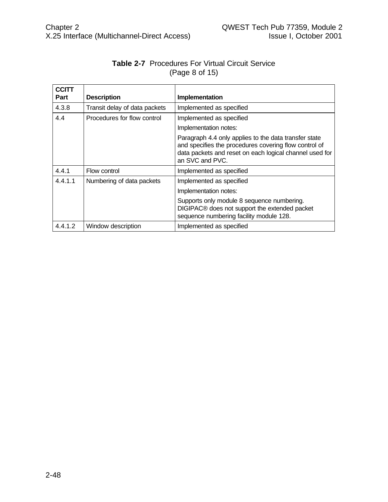| <b>CCITT</b> |                               |                                                                                                                                                                                              |
|--------------|-------------------------------|----------------------------------------------------------------------------------------------------------------------------------------------------------------------------------------------|
| Part         | <b>Description</b>            | Implementation                                                                                                                                                                               |
| 4.3.8        | Transit delay of data packets | Implemented as specified                                                                                                                                                                     |
| 4.4          | Procedures for flow control   | Implemented as specified                                                                                                                                                                     |
|              |                               | Implementation notes:                                                                                                                                                                        |
|              |                               | Paragraph 4.4 only applies to the data transfer state<br>and specifies the procedures covering flow control of<br>data packets and reset on each logical channel used for<br>an SVC and PVC. |
| 4.4.1        | Flow control                  | Implemented as specified                                                                                                                                                                     |
| 4.4.1.1      | Numbering of data packets     | Implemented as specified                                                                                                                                                                     |
|              |                               | Implementation notes:                                                                                                                                                                        |
|              |                               | Supports only module 8 sequence numbering.<br>DIGIPAC® does not support the extended packet<br>sequence numbering facility module 128.                                                       |
| 4.4.1.2      | Window description            | Implemented as specified                                                                                                                                                                     |

## **Table 2-7** Procedures For Virtual Circuit Service (Page 8 of 15)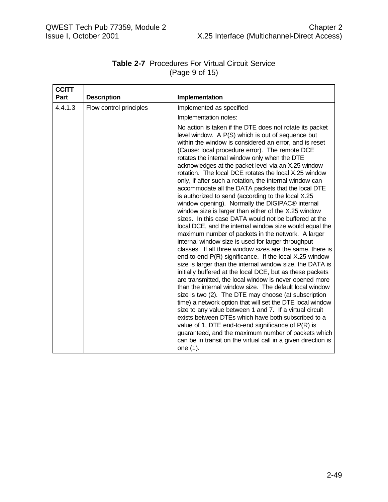| <b>CCITT</b> |                         |                                                                                                                                                                                                                                                                                                                                                                                                                                                                                                                                                                                                                                                                                                                                                                                                                                                                                                                                                                                                                                                                                                                                                                                                                                                                                                                                                                                                                                                                                                                                                                                                                                                                                                                                    |
|--------------|-------------------------|------------------------------------------------------------------------------------------------------------------------------------------------------------------------------------------------------------------------------------------------------------------------------------------------------------------------------------------------------------------------------------------------------------------------------------------------------------------------------------------------------------------------------------------------------------------------------------------------------------------------------------------------------------------------------------------------------------------------------------------------------------------------------------------------------------------------------------------------------------------------------------------------------------------------------------------------------------------------------------------------------------------------------------------------------------------------------------------------------------------------------------------------------------------------------------------------------------------------------------------------------------------------------------------------------------------------------------------------------------------------------------------------------------------------------------------------------------------------------------------------------------------------------------------------------------------------------------------------------------------------------------------------------------------------------------------------------------------------------------|
| Part         | <b>Description</b>      | Implementation                                                                                                                                                                                                                                                                                                                                                                                                                                                                                                                                                                                                                                                                                                                                                                                                                                                                                                                                                                                                                                                                                                                                                                                                                                                                                                                                                                                                                                                                                                                                                                                                                                                                                                                     |
| 4.4.1.3      | Flow control principles | Implemented as specified                                                                                                                                                                                                                                                                                                                                                                                                                                                                                                                                                                                                                                                                                                                                                                                                                                                                                                                                                                                                                                                                                                                                                                                                                                                                                                                                                                                                                                                                                                                                                                                                                                                                                                           |
|              |                         | Implementation notes:                                                                                                                                                                                                                                                                                                                                                                                                                                                                                                                                                                                                                                                                                                                                                                                                                                                                                                                                                                                                                                                                                                                                                                                                                                                                                                                                                                                                                                                                                                                                                                                                                                                                                                              |
|              |                         | No action is taken if the DTE does not rotate its packet<br>level window. A P(S) which is out of sequence but<br>within the window is considered an error, and is reset<br>(Cause: local procedure error). The remote DCE<br>rotates the internal window only when the DTE<br>acknowledges at the packet level via an X.25 window<br>rotation. The local DCE rotates the local X.25 window<br>only, if after such a rotation, the internal window can<br>accommodate all the DATA packets that the local DTE<br>is authorized to send (according to the local X.25<br>window opening). Normally the DIGIPAC <sup>®</sup> internal<br>window size is larger than either of the X.25 window<br>sizes. In this case DATA would not be buffered at the<br>local DCE, and the internal window size would equal the<br>maximum number of packets in the network. A larger<br>internal window size is used for larger throughput<br>classes. If all three window sizes are the same, there is<br>end-to-end P(R) significance. If the local X.25 window<br>size is larger than the internal window size, the DATA is<br>initially buffered at the local DCE, but as these packets<br>are transmitted, the local window is never opened more<br>than the internal window size. The default local window<br>size is two (2). The DTE may choose (at subscription<br>time) a network option that will set the DTE local window<br>size to any value between 1 and 7. If a virtual circuit<br>exists between DTEs which have both subscribed to a<br>value of 1, DTE end-to-end significance of $P(R)$ is<br>guaranteed, and the maximum number of packets which<br>can be in transit on the virtual call in a given direction is<br>one (1). |

### **Table 2-7** Procedures For Virtual Circuit Service (Page 9 of 15)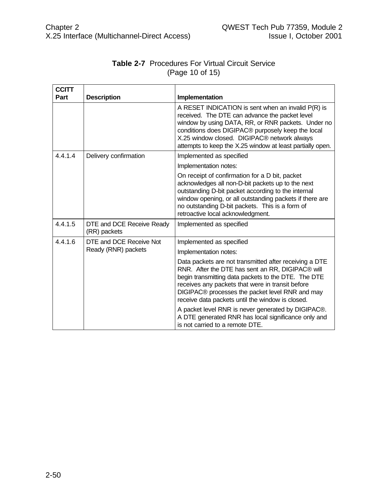| <b>CCITT</b> |                                           |                                                                                                                                                                                                                                                                                                                              |
|--------------|-------------------------------------------|------------------------------------------------------------------------------------------------------------------------------------------------------------------------------------------------------------------------------------------------------------------------------------------------------------------------------|
| Part         | <b>Description</b>                        | Implementation                                                                                                                                                                                                                                                                                                               |
|              |                                           | A RESET INDICATION is sent when an invalid P(R) is<br>received. The DTE can advance the packet level<br>window by using DATA, RR, or RNR packets. Under no<br>conditions does DIGIPAC® purposely keep the local<br>X.25 window closed. DIGIPAC® network always<br>attempts to keep the X.25 window at least partially open.  |
| 4.4.1.4      | Delivery confirmation                     | Implemented as specified                                                                                                                                                                                                                                                                                                     |
|              |                                           | Implementation notes:                                                                                                                                                                                                                                                                                                        |
|              |                                           | On receipt of confirmation for a D bit, packet<br>acknowledges all non-D-bit packets up to the next<br>outstanding D-bit packet according to the internal<br>window opening, or all outstanding packets if there are<br>no outstanding D-bit packets. This is a form of<br>retroactive local acknowledgment.                 |
| 4.4.1.5      | DTE and DCE Receive Ready<br>(RR) packets | Implemented as specified                                                                                                                                                                                                                                                                                                     |
| 4.4.1.6      | DTE and DCE Receive Not                   | Implemented as specified                                                                                                                                                                                                                                                                                                     |
|              | Ready (RNR) packets                       | Implementation notes:                                                                                                                                                                                                                                                                                                        |
|              |                                           | Data packets are not transmitted after receiving a DTE<br>RNR. After the DTE has sent an RR, DIGIPAC® will<br>begin transmitting data packets to the DTE. The DTE<br>receives any packets that were in transit before<br>DIGIPAC® processes the packet level RNR and may<br>receive data packets until the window is closed. |
|              |                                           | A packet level RNR is never generated by DIGIPAC®.<br>A DTE generated RNR has local significance only and<br>is not carried to a remote DTE.                                                                                                                                                                                 |

## **Table 2-7** Procedures For Virtual Circuit Service (Page 10 of 15)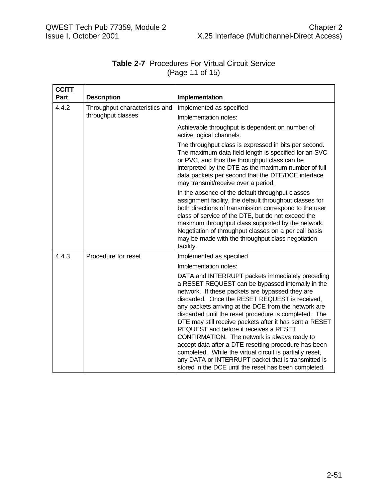| <b>Table 2-7</b> Procedures For Virtual Circuit Service |                 |  |
|---------------------------------------------------------|-----------------|--|
|                                                         | (Page 11 of 15) |  |

| <b>CCITT</b> |                                |                                                                                                                                                                                                                                                                                                                                                                                                                                                                                                                                                                                                                                                                                                                      |
|--------------|--------------------------------|----------------------------------------------------------------------------------------------------------------------------------------------------------------------------------------------------------------------------------------------------------------------------------------------------------------------------------------------------------------------------------------------------------------------------------------------------------------------------------------------------------------------------------------------------------------------------------------------------------------------------------------------------------------------------------------------------------------------|
| Part         | <b>Description</b>             | Implementation                                                                                                                                                                                                                                                                                                                                                                                                                                                                                                                                                                                                                                                                                                       |
| 4.4.2        | Throughput characteristics and | Implemented as specified                                                                                                                                                                                                                                                                                                                                                                                                                                                                                                                                                                                                                                                                                             |
|              | throughput classes             | Implementation notes:                                                                                                                                                                                                                                                                                                                                                                                                                                                                                                                                                                                                                                                                                                |
|              |                                | Achievable throughput is dependent on number of<br>active logical channels.                                                                                                                                                                                                                                                                                                                                                                                                                                                                                                                                                                                                                                          |
|              |                                | The throughput class is expressed in bits per second.<br>The maximum data field length is specified for an SVC<br>or PVC, and thus the throughput class can be<br>interpreted by the DTE as the maximum number of full<br>data packets per second that the DTE/DCE interface<br>may transmit/receive over a period.                                                                                                                                                                                                                                                                                                                                                                                                  |
|              |                                | In the absence of the default throughput classes<br>assignment facility, the default throughput classes for<br>both directions of transmission correspond to the user<br>class of service of the DTE, but do not exceed the<br>maximum throughput class supported by the network.<br>Negotiation of throughput classes on a per call basis<br>may be made with the throughput class negotiation<br>facility.                                                                                                                                                                                                                                                                                                         |
| 4.4.3        | Procedure for reset            | Implemented as specified                                                                                                                                                                                                                                                                                                                                                                                                                                                                                                                                                                                                                                                                                             |
|              |                                | Implementation notes:                                                                                                                                                                                                                                                                                                                                                                                                                                                                                                                                                                                                                                                                                                |
|              |                                | DATA and INTERRUPT packets immediately preceding<br>a RESET REQUEST can be bypassed internally in the<br>network. If these packets are bypassed they are<br>discarded. Once the RESET REQUEST is received,<br>any packets arriving at the DCE from the network are<br>discarded until the reset procedure is completed. The<br>DTE may still receive packets after it has sent a RESET<br>REQUEST and before it receives a RESET<br>CONFIRMATION. The network is always ready to<br>accept data after a DTE resetting procedure has been<br>completed. While the virtual circuit is partially reset,<br>any DATA or INTERRUPT packet that is transmitted is<br>stored in the DCE until the reset has been completed. |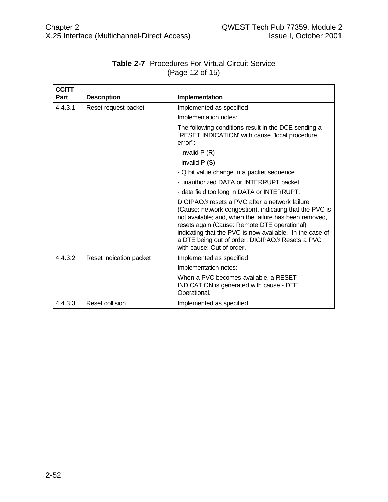| <b>CCITT</b><br><b>Part</b> | <b>Description</b>      | Implementation                                                                                                                                                                                                                                                                                                                                                 |
|-----------------------------|-------------------------|----------------------------------------------------------------------------------------------------------------------------------------------------------------------------------------------------------------------------------------------------------------------------------------------------------------------------------------------------------------|
| 4.4.3.1                     | Reset request packet    | Implemented as specified                                                                                                                                                                                                                                                                                                                                       |
|                             |                         | Implementation notes:                                                                                                                                                                                                                                                                                                                                          |
|                             |                         | The following conditions result in the DCE sending a<br>RESET INDICATION' with cause "local procedure"<br>$error$ :                                                                                                                                                                                                                                            |
|                             |                         | - invalid $P(R)$                                                                                                                                                                                                                                                                                                                                               |
|                             |                         | - invalid $P(S)$                                                                                                                                                                                                                                                                                                                                               |
|                             |                         | - Q bit value change in a packet sequence                                                                                                                                                                                                                                                                                                                      |
|                             |                         | - unauthorized DATA or INTERRUPT packet                                                                                                                                                                                                                                                                                                                        |
|                             |                         | - data field too long in DATA or INTERRUPT.                                                                                                                                                                                                                                                                                                                    |
|                             |                         | DIGIPAC® resets a PVC after a network failure<br>(Cause: network congestion), indicating that the PVC is<br>not available; and, when the failure has been removed,<br>resets again (Cause: Remote DTE operational)<br>indicating that the PVC is now available. In the case of<br>a DTE being out of order, DIGIPAC® Resets a PVC<br>with cause: Out of order. |
| 4.4.3.2                     | Reset indication packet | Implemented as specified                                                                                                                                                                                                                                                                                                                                       |
|                             |                         | Implementation notes:                                                                                                                                                                                                                                                                                                                                          |
|                             |                         | When a PVC becomes available, a RESET<br>INDICATION is generated with cause - DTE<br>Operational.                                                                                                                                                                                                                                                              |
| 4.4.3.3                     | Reset collision         | Implemented as specified                                                                                                                                                                                                                                                                                                                                       |

# **Table 2-7** Procedures For Virtual Circuit Service (Page 12 of 15)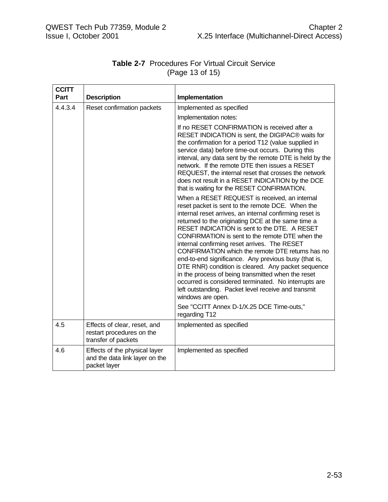| <b>CCITT</b> |                                                                                  |                                                                                                                                                                                                                                                                                                                                                                                                                                                                                                                                                                                                                                                                                                                                   |
|--------------|----------------------------------------------------------------------------------|-----------------------------------------------------------------------------------------------------------------------------------------------------------------------------------------------------------------------------------------------------------------------------------------------------------------------------------------------------------------------------------------------------------------------------------------------------------------------------------------------------------------------------------------------------------------------------------------------------------------------------------------------------------------------------------------------------------------------------------|
| Part         | <b>Description</b>                                                               | Implementation                                                                                                                                                                                                                                                                                                                                                                                                                                                                                                                                                                                                                                                                                                                    |
| 4.4.3.4      | Reset confirmation packets                                                       | Implemented as specified                                                                                                                                                                                                                                                                                                                                                                                                                                                                                                                                                                                                                                                                                                          |
|              |                                                                                  | Implementation notes:                                                                                                                                                                                                                                                                                                                                                                                                                                                                                                                                                                                                                                                                                                             |
|              |                                                                                  | If no RESET CONFIRMATION is received after a<br>RESET INDICATION is sent, the DIGIPAC® waits for<br>the confirmation for a period T12 (value supplied in<br>service data) before time-out occurs. During this<br>interval, any data sent by the remote DTE is held by the<br>network. If the remote DTE then issues a RESET<br>REQUEST, the internal reset that crosses the network<br>does not result in a RESET INDICATION by the DCE<br>that is waiting for the RESET CONFIRMATION.                                                                                                                                                                                                                                            |
|              |                                                                                  | When a RESET REQUEST is received, an internal<br>reset packet is sent to the remote DCE. When the<br>internal reset arrives, an internal confirming reset is<br>returned to the originating DCE at the same time a<br>RESET INDICATION is sent to the DTE. A RESET<br>CONFIRMATION is sent to the remote DTE when the<br>internal confirming reset arrives. The RESET<br>CONFIRMATION which the remote DTE returns has no<br>end-to-end significance. Any previous busy (that is,<br>DTE RNR) condition is cleared. Any packet sequence<br>in the process of being transmitted when the reset<br>occurred is considered terminated. No interrupts are<br>left outstanding. Packet level receive and transmit<br>windows are open. |
|              |                                                                                  | See "CCITT Annex D-1/X.25 DCE Time-outs,"<br>regarding T12                                                                                                                                                                                                                                                                                                                                                                                                                                                                                                                                                                                                                                                                        |
| 4.5          | Effects of clear, reset, and<br>restart procedures on the<br>transfer of packets | Implemented as specified                                                                                                                                                                                                                                                                                                                                                                                                                                                                                                                                                                                                                                                                                                          |
| 4.6          | Effects of the physical layer<br>and the data link layer on the<br>packet layer  | Implemented as specified                                                                                                                                                                                                                                                                                                                                                                                                                                                                                                                                                                                                                                                                                                          |

## **Table 2-7** Procedures For Virtual Circuit Service (Page 13 of 15)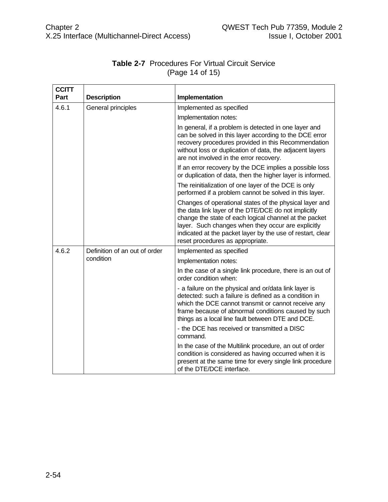| <b>CCITT</b><br>Part | <b>Description</b>            | Implementation                                                                                                                                                                                                                                                                                                                    |
|----------------------|-------------------------------|-----------------------------------------------------------------------------------------------------------------------------------------------------------------------------------------------------------------------------------------------------------------------------------------------------------------------------------|
| 4.6.1                | General principles            | Implemented as specified                                                                                                                                                                                                                                                                                                          |
|                      |                               | Implementation notes:                                                                                                                                                                                                                                                                                                             |
|                      |                               | In general, if a problem is detected in one layer and<br>can be solved in this layer according to the DCE error<br>recovery procedures provided in this Recommendation<br>without loss or duplication of data, the adjacent layers<br>are not involved in the error recovery.                                                     |
|                      |                               | If an error recovery by the DCE implies a possible loss<br>or duplication of data, then the higher layer is informed.                                                                                                                                                                                                             |
|                      |                               | The reinitialization of one layer of the DCE is only<br>performed if a problem cannot be solved in this layer.                                                                                                                                                                                                                    |
|                      |                               | Changes of operational states of the physical layer and<br>the data link layer of the DTE/DCE do not implicitly<br>change the state of each logical channel at the packet<br>layer. Such changes when they occur are explicitly<br>indicated at the packet layer by the use of restart, clear<br>reset procedures as appropriate. |
| 4.6.2                | Definition of an out of order | Implemented as specified                                                                                                                                                                                                                                                                                                          |
|                      | condition                     | Implementation notes:                                                                                                                                                                                                                                                                                                             |
|                      |                               | In the case of a single link procedure, there is an out of<br>order condition when:                                                                                                                                                                                                                                               |
|                      |                               | - a failure on the physical and or/data link layer is<br>detected: such a failure is defined as a condition in<br>which the DCE cannot transmit or cannot receive any<br>frame because of abnormal conditions caused by such<br>things as a local line fault between DTE and DCE.                                                 |
|                      |                               | - the DCE has received or transmitted a DISC<br>command.                                                                                                                                                                                                                                                                          |
|                      |                               | In the case of the Multilink procedure, an out of order<br>condition is considered as having occurred when it is<br>present at the same time for every single link procedure<br>of the DTE/DCE interface.                                                                                                                         |

## **Table 2-7** Procedures For Virtual Circuit Service (Page 14 of 15)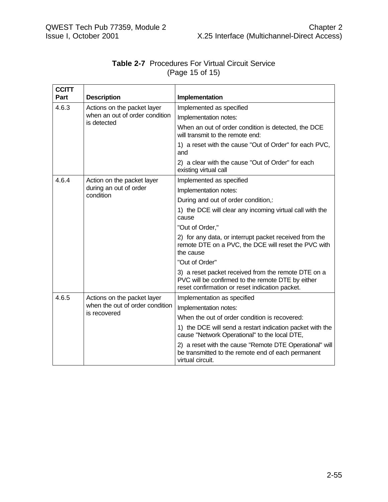| <b>CCITT</b><br>Part | <b>Description</b>                                                             | Implementation                                                                                                                                             |
|----------------------|--------------------------------------------------------------------------------|------------------------------------------------------------------------------------------------------------------------------------------------------------|
| 4.6.3                | Actions on the packet layer<br>when an out of order condition<br>is detected   | Implemented as specified                                                                                                                                   |
|                      |                                                                                | Implementation notes:                                                                                                                                      |
|                      |                                                                                | When an out of order condition is detected, the DCE<br>will transmit to the remote end:                                                                    |
|                      |                                                                                | 1) a reset with the cause "Out of Order" for each PVC,<br>and                                                                                              |
|                      |                                                                                | 2) a clear with the cause "Out of Order" for each<br>existing virtual call                                                                                 |
| 4.6.4                | Action on the packet layer                                                     | Implemented as specified                                                                                                                                   |
|                      | during an out of order<br>condition                                            | Implementation notes:                                                                                                                                      |
|                      |                                                                                | During and out of order condition,:                                                                                                                        |
|                      |                                                                                | 1) the DCE will clear any incoming virtual call with the<br>cause                                                                                          |
|                      |                                                                                | "Out of Order,"                                                                                                                                            |
|                      |                                                                                | 2) for any data, or interrupt packet received from the<br>remote DTE on a PVC, the DCE will reset the PVC with<br>the cause                                |
|                      |                                                                                | "Out of Order"                                                                                                                                             |
|                      |                                                                                | 3) a reset packet received from the remote DTE on a<br>PVC will be confirmed to the remote DTE by either<br>reset confirmation or reset indication packet. |
| 4.6.5                | Actions on the packet layer<br>when the out of order condition<br>is recovered | Implementation as specified                                                                                                                                |
|                      |                                                                                | Implementation notes:                                                                                                                                      |
|                      |                                                                                | When the out of order condition is recovered:                                                                                                              |
|                      |                                                                                | 1) the DCE will send a restart indication packet with the<br>cause "Network Operational" to the local DTE,                                                 |
|                      |                                                                                | 2) a reset with the cause "Remote DTE Operational" will<br>be transmitted to the remote end of each permanent<br>virtual circuit.                          |

#### **Table 2-7** Procedures For Virtual Circuit Service (Page 15 of 15)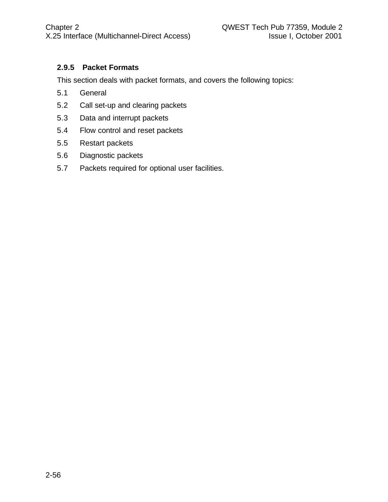## **2.9.5 Packet Formats**

This section deals with packet formats, and covers the following topics:

- 5.1 General
- 5.2 Call set-up and clearing packets
- 5.3 Data and interrupt packets
- 5.4 Flow control and reset packets
- 5.5 Restart packets
- 5.6 Diagnostic packets
- 5.7 Packets required for optional user facilities.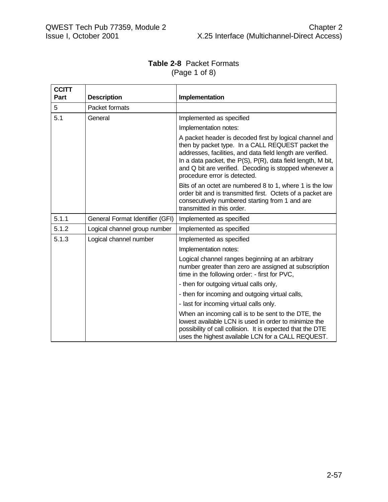#### **Table 2-8** Packet Formats (Page 1 of 8)

| <b>CCITT</b><br>Part | <b>Description</b>              | Implementation                                                                                                                                                                                                                                                                                                                      |
|----------------------|---------------------------------|-------------------------------------------------------------------------------------------------------------------------------------------------------------------------------------------------------------------------------------------------------------------------------------------------------------------------------------|
|                      |                                 |                                                                                                                                                                                                                                                                                                                                     |
| 5                    | Packet formats                  |                                                                                                                                                                                                                                                                                                                                     |
| 5.1                  | General                         | Implemented as specified                                                                                                                                                                                                                                                                                                            |
|                      |                                 | Implementation notes:                                                                                                                                                                                                                                                                                                               |
|                      |                                 | A packet header is decoded first by logical channel and<br>then by packet type. In a CALL REQUEST packet the<br>addresses, facilities, and data field length are verified.<br>In a data packet, the P(S), P(R), data field length, M bit,<br>and Q bit are verified. Decoding is stopped whenever a<br>procedure error is detected. |
|                      |                                 | Bits of an octet are numbered 8 to 1, where 1 is the low<br>order bit and is transmitted first. Octets of a packet are<br>consecutively numbered starting from 1 and are<br>transmitted in this order.                                                                                                                              |
| 5.1.1                | General Format Identifier (GFI) | Implemented as specified                                                                                                                                                                                                                                                                                                            |
| 5.1.2                | Logical channel group number    | Implemented as specified                                                                                                                                                                                                                                                                                                            |
| 5.1.3                | Logical channel number          | Implemented as specified                                                                                                                                                                                                                                                                                                            |
|                      |                                 | Implementation notes:                                                                                                                                                                                                                                                                                                               |
|                      |                                 | Logical channel ranges beginning at an arbitrary<br>number greater than zero are assigned at subscription<br>time in the following order: - first for PVC,                                                                                                                                                                          |
|                      |                                 | - then for outgoing virtual calls only,                                                                                                                                                                                                                                                                                             |
|                      |                                 | - then for incoming and outgoing virtual calls,                                                                                                                                                                                                                                                                                     |
|                      |                                 | - last for incoming virtual calls only.                                                                                                                                                                                                                                                                                             |
|                      |                                 | When an incoming call is to be sent to the DTE, the<br>lowest available LCN is used in order to minimize the<br>possibility of call collision. It is expected that the DTE<br>uses the highest available LCN for a CALL REQUEST.                                                                                                    |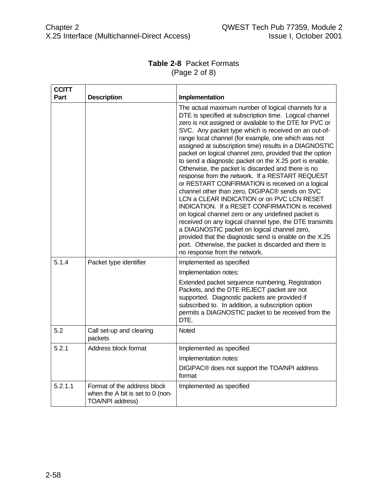## **Table 2-8** Packet Formats (Page 2 of 8)

| <b>CCITT</b> |                                                                                     |                                                                                                                                                                                                                                                                                                                                                                                                                                                                                                                                                                                                                                                                                                                                                                                                                                                                                                                                                                                                                                                                                                                |
|--------------|-------------------------------------------------------------------------------------|----------------------------------------------------------------------------------------------------------------------------------------------------------------------------------------------------------------------------------------------------------------------------------------------------------------------------------------------------------------------------------------------------------------------------------------------------------------------------------------------------------------------------------------------------------------------------------------------------------------------------------------------------------------------------------------------------------------------------------------------------------------------------------------------------------------------------------------------------------------------------------------------------------------------------------------------------------------------------------------------------------------------------------------------------------------------------------------------------------------|
| Part         | <b>Description</b>                                                                  | Implementation                                                                                                                                                                                                                                                                                                                                                                                                                                                                                                                                                                                                                                                                                                                                                                                                                                                                                                                                                                                                                                                                                                 |
|              |                                                                                     | The actual maximum number of logical channels for a<br>DTE is specified at subscription time. Logical channel<br>zero is not assigned or available to the DTE for PVC or<br>SVC. Any packet type which is received on an out-of-<br>range local channel (for example, one which was not<br>assigned at subscription time) results in a DIAGNOSTIC<br>packet on logical channel zero, provided that the option<br>to send a diagnostic packet on the X.25 port is enable.<br>Otherwise, the packet is discarded and there is no<br>response from the network. If a RESTART REQUEST<br>or RESTART CONFIRMATION is received on a logical<br>channel other than zero, DIGIPAC® sends on SVC<br>LCN a CLEAR INDICATION or on PVC LCN RESET<br>INDICATION. If a RESET CONFIRMATION is received<br>on logical channel zero or any undefined packet is<br>received on any logical channel type, the DTE transmits<br>a DIAGNOSTIC packet on logical channel zero,<br>provided that the diagnostic send is enable on the X.25<br>port. Otherwise, the packet is discarded and there is<br>no response from the network. |
| 5.1.4        | Packet type identifier                                                              | Implemented as specified                                                                                                                                                                                                                                                                                                                                                                                                                                                                                                                                                                                                                                                                                                                                                                                                                                                                                                                                                                                                                                                                                       |
|              |                                                                                     | Implementation notes:<br>Extended packet sequence numbering, Registration<br>Packets, and the DTE REJECT packet are not<br>supported. Diagnostic packets are provided if<br>subscribed to. In addition, a subscription option<br>permits a DIAGNOSTIC packet to be received from the<br>DTE.                                                                                                                                                                                                                                                                                                                                                                                                                                                                                                                                                                                                                                                                                                                                                                                                                   |
| 5.2          | Call set-up and clearing<br>packets                                                 | Noted                                                                                                                                                                                                                                                                                                                                                                                                                                                                                                                                                                                                                                                                                                                                                                                                                                                                                                                                                                                                                                                                                                          |
| 5.2.1        | Address block format                                                                | Implemented as specified                                                                                                                                                                                                                                                                                                                                                                                                                                                                                                                                                                                                                                                                                                                                                                                                                                                                                                                                                                                                                                                                                       |
|              |                                                                                     | Implementation notes:                                                                                                                                                                                                                                                                                                                                                                                                                                                                                                                                                                                                                                                                                                                                                                                                                                                                                                                                                                                                                                                                                          |
|              |                                                                                     | DIGIPAC® does not support the TOA/NPI address<br>format                                                                                                                                                                                                                                                                                                                                                                                                                                                                                                                                                                                                                                                                                                                                                                                                                                                                                                                                                                                                                                                        |
| 5.2.1.1      | Format of the address block<br>when the A bit is set to 0 (non-<br>TOA/NPI address) | Implemented as specified                                                                                                                                                                                                                                                                                                                                                                                                                                                                                                                                                                                                                                                                                                                                                                                                                                                                                                                                                                                                                                                                                       |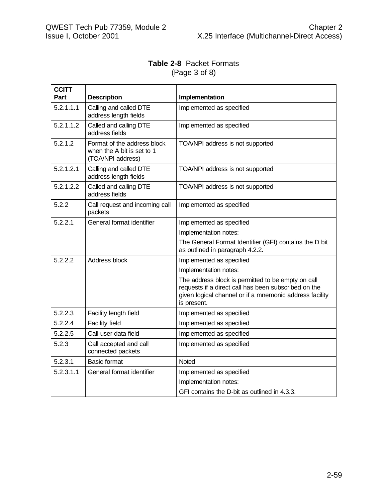## **Table 2-8** Packet Formats (Page 3 of 8)

| <b>CCITT</b><br>Part | <b>Description</b>                                                             | Implementation                                                                                                                                                                       |
|----------------------|--------------------------------------------------------------------------------|--------------------------------------------------------------------------------------------------------------------------------------------------------------------------------------|
| 5.2.1.1.1            | Calling and called DTE<br>address length fields                                | Implemented as specified                                                                                                                                                             |
| 5.2.1.1.2            | Called and calling DTE<br>address fields                                       | Implemented as specified                                                                                                                                                             |
| 5.2.1.2              | Format of the address block<br>when the A bit is set to 1<br>(TOA/NPI address) | TOA/NPI address is not supported                                                                                                                                                     |
| 5.2.1.2.1            | Calling and called DTE<br>address length fields                                | TOA/NPI address is not supported                                                                                                                                                     |
| 5.2.1.2.2            | Called and calling DTE<br>address fields                                       | TOA/NPI address is not supported                                                                                                                                                     |
| 5.2.2                | Call request and incoming call<br>packets                                      | Implemented as specified                                                                                                                                                             |
| 5.2.2.1              | General format identifier                                                      | Implemented as specified                                                                                                                                                             |
|                      |                                                                                | Implementation notes:                                                                                                                                                                |
|                      |                                                                                | The General Format Identifier (GFI) contains the D bit<br>as outlined in paragraph 4.2.2.                                                                                            |
| 5.2.2.2              | Address block                                                                  | Implemented as specified                                                                                                                                                             |
|                      |                                                                                | Implementation notes:                                                                                                                                                                |
|                      |                                                                                | The address block is permitted to be empty on call<br>requests if a direct call has been subscribed on the<br>given logical channel or if a mnemonic address facility<br>is present. |
| 5.2.2.3              | Facility length field                                                          | Implemented as specified                                                                                                                                                             |
| 5.2.2.4              | <b>Facility field</b>                                                          | Implemented as specified                                                                                                                                                             |
| 5.2.2.5              | Call user data field                                                           | Implemented as specified                                                                                                                                                             |
| 5.2.3                | Call accepted and call<br>connected packets                                    | Implemented as specified                                                                                                                                                             |
| 5.2.3.1              | <b>Basic format</b>                                                            | Noted                                                                                                                                                                                |
| 5.2.3.1.1            | General format identifier                                                      | Implemented as specified                                                                                                                                                             |
|                      |                                                                                | Implementation notes:                                                                                                                                                                |
|                      |                                                                                | GFI contains the D-bit as outlined in 4.3.3.                                                                                                                                         |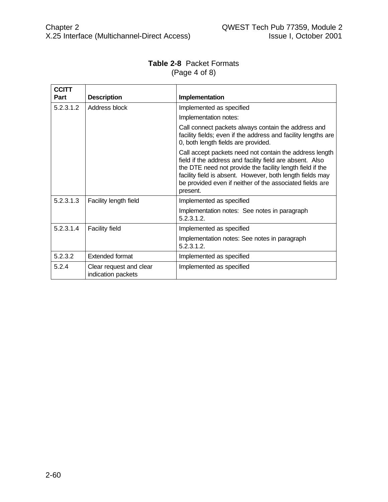| <b>Table 2-8 Packet Formats</b> |
|---------------------------------|
| (Page 4 of 8)                   |

| <b>CCITT</b> |                                               |                                                                                                                                                                                                                                                                                                                       |
|--------------|-----------------------------------------------|-----------------------------------------------------------------------------------------------------------------------------------------------------------------------------------------------------------------------------------------------------------------------------------------------------------------------|
| Part         | <b>Description</b>                            | Implementation                                                                                                                                                                                                                                                                                                        |
| 5.2.3.1.2    | Address block                                 | Implemented as specified                                                                                                                                                                                                                                                                                              |
|              |                                               | Implementation notes:                                                                                                                                                                                                                                                                                                 |
|              |                                               | Call connect packets always contain the address and<br>facility fields; even if the address and facility lengths are<br>0, both length fields are provided.                                                                                                                                                           |
|              |                                               | Call accept packets need not contain the address length<br>field if the address and facility field are absent. Also<br>the DTE need not provide the facility length field if the<br>facility field is absent. However, both length fields may<br>be provided even if neither of the associated fields are<br>present. |
| 5.2.3.1.3    | Facility length field                         | Implemented as specified                                                                                                                                                                                                                                                                                              |
|              |                                               | Implementation notes: See notes in paragraph<br>5.2.3.1.2.                                                                                                                                                                                                                                                            |
| 5.2.3.1.4    | <b>Facility field</b>                         | Implemented as specified                                                                                                                                                                                                                                                                                              |
|              |                                               | Implementation notes: See notes in paragraph<br>5.2.3.1.2.                                                                                                                                                                                                                                                            |
| 5.2.3.2      | Extended format                               | Implemented as specified                                                                                                                                                                                                                                                                                              |
| 5.2.4        | Clear request and clear<br>indication packets | Implemented as specified                                                                                                                                                                                                                                                                                              |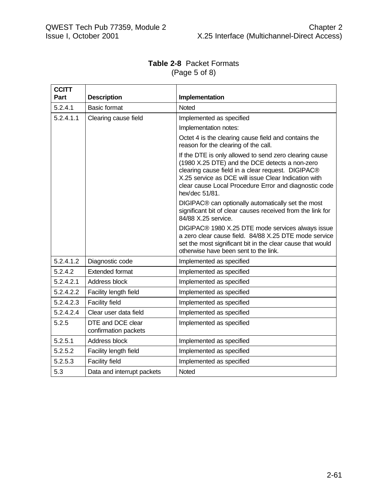## **Table 2-8** Packet Formats (Page 5 of 8)

| <b>CCITT</b> |                                           |                                                                                                                                                                                                                                                                                                  |
|--------------|-------------------------------------------|--------------------------------------------------------------------------------------------------------------------------------------------------------------------------------------------------------------------------------------------------------------------------------------------------|
| Part         | <b>Description</b>                        | Implementation                                                                                                                                                                                                                                                                                   |
| 5.2.4.1      | <b>Basic format</b>                       | Noted                                                                                                                                                                                                                                                                                            |
| 5.2.4.1.1    | Clearing cause field                      | Implemented as specified                                                                                                                                                                                                                                                                         |
|              |                                           | Implementation notes:                                                                                                                                                                                                                                                                            |
|              |                                           | Octet 4 is the clearing cause field and contains the<br>reason for the clearing of the call.                                                                                                                                                                                                     |
|              |                                           | If the DTE is only allowed to send zero clearing cause<br>(1980 X.25 DTE) and the DCE detects a non-zero<br>clearing cause field in a clear request. DIGIPAC®<br>X.25 service as DCE will issue Clear Indication with<br>clear cause Local Procedure Error and diagnostic code<br>hex/dec 51/81. |
|              |                                           | DIGIPAC® can optionally automatically set the most<br>significant bit of clear causes received from the link for<br>84/88 X.25 service.                                                                                                                                                          |
|              |                                           | DIGIPAC® 1980 X.25 DTE mode services always issue<br>a zero clear cause field. 84/88 X.25 DTE mode service<br>set the most significant bit in the clear cause that would<br>otherwise have been sent to the link.                                                                                |
| 5.2.4.1.2    | Diagnostic code                           | Implemented as specified                                                                                                                                                                                                                                                                         |
| 5.2.4.2      | <b>Extended format</b>                    | Implemented as specified                                                                                                                                                                                                                                                                         |
| 5.2.4.2.1    | Address block                             | Implemented as specified                                                                                                                                                                                                                                                                         |
| 5.2.4.2.2    | Facility length field                     | Implemented as specified                                                                                                                                                                                                                                                                         |
| 5.2.4.2.3    | <b>Facility field</b>                     | Implemented as specified                                                                                                                                                                                                                                                                         |
| 5.2.4.2.4    | Clear user data field                     | Implemented as specified                                                                                                                                                                                                                                                                         |
| 5.2.5        | DTE and DCE clear<br>confirmation packets | Implemented as specified                                                                                                                                                                                                                                                                         |
| 5.2.5.1      | Address block                             | Implemented as specified                                                                                                                                                                                                                                                                         |
| 5.2.5.2      | Facility length field                     | Implemented as specified                                                                                                                                                                                                                                                                         |
| 5.2.5.3      | <b>Facility field</b>                     | Implemented as specified                                                                                                                                                                                                                                                                         |
| 5.3          | Data and interrupt packets                | <b>Noted</b>                                                                                                                                                                                                                                                                                     |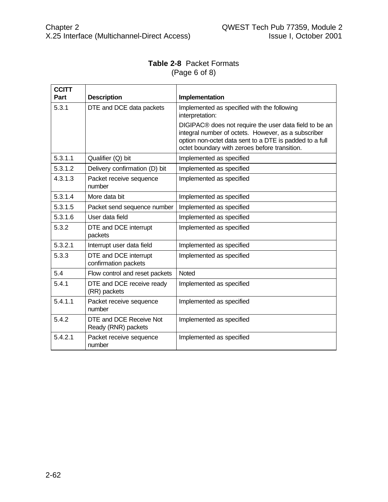## **Table 2-8** Packet Formats (Page 6 of 8)

| <b>CCITT</b><br>Part | <b>Description</b>                             | Implementation                                                                                                                                                                                                            |
|----------------------|------------------------------------------------|---------------------------------------------------------------------------------------------------------------------------------------------------------------------------------------------------------------------------|
| 5.3.1                | DTE and DCE data packets                       | Implemented as specified with the following<br>interpretation:                                                                                                                                                            |
|                      |                                                | DIGIPAC® does not require the user data field to be an<br>integral number of octets. However, as a subscriber<br>option non-octet data sent to a DTE is padded to a full<br>octet boundary with zeroes before transition. |
| 5.3.1.1              | Qualifier (Q) bit                              | Implemented as specified                                                                                                                                                                                                  |
| 5.3.1.2              | Delivery confirmation (D) bit                  | Implemented as specified                                                                                                                                                                                                  |
| 4.3.1.3              | Packet receive sequence<br>number              | Implemented as specified                                                                                                                                                                                                  |
| 5.3.1.4              | More data bit                                  | Implemented as specified                                                                                                                                                                                                  |
| 5.3.1.5              | Packet send sequence number                    | Implemented as specified                                                                                                                                                                                                  |
| 5.3.1.6              | User data field                                | Implemented as specified                                                                                                                                                                                                  |
| 5.3.2                | DTE and DCE interrupt<br>packets               | Implemented as specified                                                                                                                                                                                                  |
| 5.3.2.1              | Interrupt user data field                      | Implemented as specified                                                                                                                                                                                                  |
| 5.3.3                | DTE and DCE interrupt<br>confirmation packets  | Implemented as specified                                                                                                                                                                                                  |
| 5.4                  | Flow control and reset packets                 | Noted                                                                                                                                                                                                                     |
| 5.4.1                | DTE and DCE receive ready<br>(RR) packets      | Implemented as specified                                                                                                                                                                                                  |
| 5.4.1.1              | Packet receive sequence<br>number              | Implemented as specified                                                                                                                                                                                                  |
| 5.4.2                | DTE and DCE Receive Not<br>Ready (RNR) packets | Implemented as specified                                                                                                                                                                                                  |
| 5.4.2.1              | Packet receive sequence<br>number              | Implemented as specified                                                                                                                                                                                                  |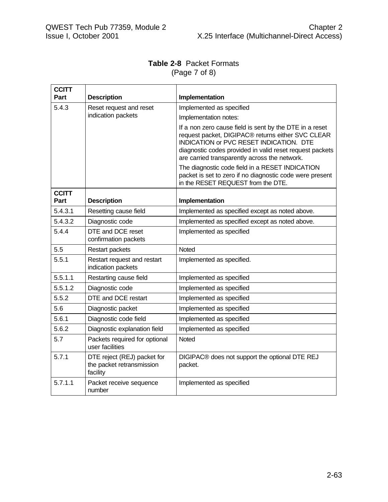#### **Table 2-8** Packet Formats (Page 7 of 8)

| <b>CCITT</b>         |                                                                      |                                                                                                                                                                                                                                                                             |
|----------------------|----------------------------------------------------------------------|-----------------------------------------------------------------------------------------------------------------------------------------------------------------------------------------------------------------------------------------------------------------------------|
| Part                 | <b>Description</b>                                                   | Implementation                                                                                                                                                                                                                                                              |
| 5.4.3                | Reset request and reset                                              | Implemented as specified                                                                                                                                                                                                                                                    |
|                      | indication packets                                                   | Implementation notes:                                                                                                                                                                                                                                                       |
|                      |                                                                      | If a non zero cause field is sent by the DTE in a reset<br>request packet, DIGIPAC® returns either SVC CLEAR<br><b>INDICATION or PVC RESET INDICATION. DTE</b><br>diagnostic codes provided in valid reset request packets<br>are carried transparently across the network. |
|                      |                                                                      | The diagnostic code field in a RESET INDICATION<br>packet is set to zero if no diagnostic code were present<br>in the RESET REQUEST from the DTE.                                                                                                                           |
| <b>CCITT</b><br>Part | <b>Description</b>                                                   | Implementation                                                                                                                                                                                                                                                              |
| 5.4.3.1              | Resetting cause field                                                | Implemented as specified except as noted above.                                                                                                                                                                                                                             |
| 5.4.3.2              | Diagnostic code                                                      | Implemented as specified except as noted above.                                                                                                                                                                                                                             |
| 5.4.4                | DTE and DCE reset<br>confirmation packets                            | Implemented as specified                                                                                                                                                                                                                                                    |
| 5.5                  | <b>Restart packets</b>                                               | Noted                                                                                                                                                                                                                                                                       |
| 5.5.1                | Restart request and restart<br>indication packets                    | Implemented as specified.                                                                                                                                                                                                                                                   |
| 5.5.1.1              | Restarting cause field                                               | Implemented as specified                                                                                                                                                                                                                                                    |
| 5.5.1.2              | Diagnostic code                                                      | Implemented as specified                                                                                                                                                                                                                                                    |
| 5.5.2                | DTE and DCE restart                                                  | Implemented as specified                                                                                                                                                                                                                                                    |
| 5.6                  | Diagnostic packet                                                    | Implemented as specified                                                                                                                                                                                                                                                    |
| 5.6.1                | Diagnostic code field                                                | Implemented as specified                                                                                                                                                                                                                                                    |
| 5.6.2                | Diagnostic explanation field                                         | Implemented as specified                                                                                                                                                                                                                                                    |
| 5.7                  | Packets required for optional<br>user facilities                     | Noted                                                                                                                                                                                                                                                                       |
| 5.7.1                | DTE reject (REJ) packet for<br>the packet retransmission<br>facility | DIGIPAC® does not support the optional DTE REJ<br>packet.                                                                                                                                                                                                                   |
| 5.7.1.1              | Packet receive sequence<br>number                                    | Implemented as specified                                                                                                                                                                                                                                                    |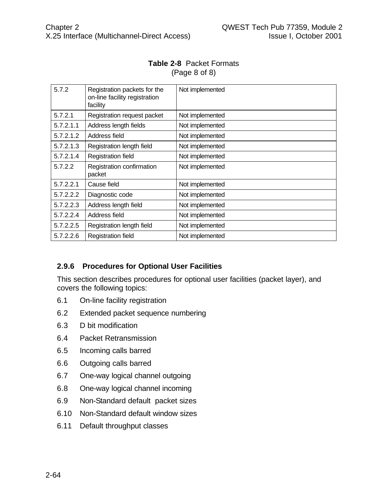#### **Table 2-8** Packet Formats (Page 8 of 8)

| 5.7.2     | Registration packets for the<br>on-line facility registration<br>facility | Not implemented |
|-----------|---------------------------------------------------------------------------|-----------------|
| 5.7.2.1   | Registration request packet                                               | Not implemented |
| 5.7.2.1.1 | Address length fields                                                     | Not implemented |
| 5.7.2.1.2 | Address field                                                             | Not implemented |
| 5.7.2.1.3 | Registration length field                                                 | Not implemented |
| 5.7.2.1.4 | <b>Registration field</b>                                                 | Not implemented |
| 5.7.2.2   | Registration confirmation<br>packet                                       | Not implemented |
| 5.7.2.2.1 | Cause field                                                               | Not implemented |
| 5.7.2.2.2 | Diagnostic code                                                           | Not implemented |
| 5.7.2.2.3 | Address length field                                                      | Not implemented |
| 5.7.2.2.4 | Address field                                                             | Not implemented |
| 5.7.2.2.5 | Registration length field                                                 | Not implemented |
| 5.7.2.2.6 | Registration field                                                        | Not implemented |

# **2.9.6 Procedures for Optional User Facilities**

This section describes procedures for optional user facilities (packet layer), and covers the following topics:

- 6.1 On-line facility registration
- 6.2 Extended packet sequence numbering
- 6.3 D bit modification
- 6.4 Packet Retransmission
- 6.5 Incoming calls barred
- 6.6 Outgoing calls barred
- 6.7 One-way logical channel outgoing
- 6.8 One-way logical channel incoming
- 6.9 Non-Standard default packet sizes
- 6.10 Non-Standard default window sizes
- 6.11 Default throughput classes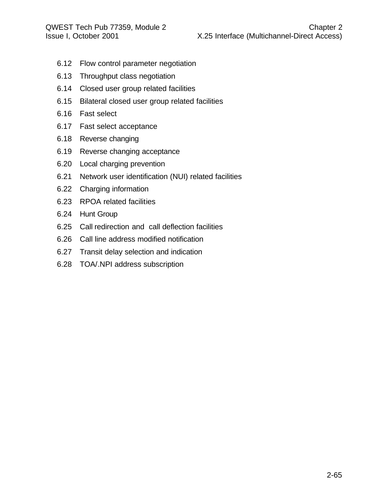- 6.12 Flow control parameter negotiation
- 6.13 Throughput class negotiation
- 6.14 Closed user group related facilities
- 6.15 Bilateral closed user group related facilities
- 6.16 Fast select
- 6.17 Fast select acceptance
- 6.18 Reverse changing
- 6.19 Reverse changing acceptance
- 6.20 Local charging prevention
- 6.21 Network user identification (NUI) related facilities
- 6.22 Charging information
- 6.23 RPOA related facilities
- 6.24 Hunt Group
- 6.25 Call redirection and call deflection facilities
- 6.26 Call line address modified notification
- 6.27 Transit delay selection and indication
- 6.28 TOA/.NPI address subscription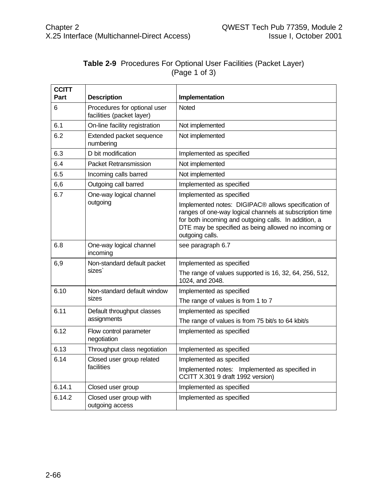| <b>CCITT</b><br>Part | <b>Description</b>                                        | Implementation                                                                                                                                                                                                                                    |
|----------------------|-----------------------------------------------------------|---------------------------------------------------------------------------------------------------------------------------------------------------------------------------------------------------------------------------------------------------|
| 6                    | Procedures for optional user<br>facilities (packet layer) | <b>Noted</b>                                                                                                                                                                                                                                      |
| 6.1                  | On-line facility registration                             | Not implemented                                                                                                                                                                                                                                   |
| 6.2                  | Extended packet sequence<br>numbering                     | Not implemented                                                                                                                                                                                                                                   |
| 6.3                  | D bit modification                                        | Implemented as specified                                                                                                                                                                                                                          |
| 6.4                  | <b>Packet Retransmission</b>                              | Not implemented                                                                                                                                                                                                                                   |
| 6.5                  | Incoming calls barred                                     | Not implemented                                                                                                                                                                                                                                   |
| 6,6                  | Outgoing call barred                                      | Implemented as specified                                                                                                                                                                                                                          |
| 6.7                  | One-way logical channel                                   | Implemented as specified                                                                                                                                                                                                                          |
|                      | outgoing                                                  | Implemented notes: DIGIPAC® allows specification of<br>ranges of one-way logical channels at subscription time<br>for both incoming and outgoing calls. In addition, a<br>DTE may be specified as being allowed no incoming or<br>outgoing calls. |
| 6.8                  | One-way logical channel<br>incoming                       | see paragraph 6.7                                                                                                                                                                                                                                 |
| 6,9                  | Non-standard default packet<br>sizes                      | Implemented as specified                                                                                                                                                                                                                          |
|                      |                                                           | The range of values supported is 16, 32, 64, 256, 512,<br>1024, and 2048.                                                                                                                                                                         |
| 6.10                 | Non-standard default window<br>sizes                      | Implemented as specified                                                                                                                                                                                                                          |
|                      |                                                           | The range of values is from 1 to 7                                                                                                                                                                                                                |
| 6.11                 | Default throughput classes<br>assignments                 | Implemented as specified                                                                                                                                                                                                                          |
|                      |                                                           | The range of values is from 75 bit/s to 64 kbit/s                                                                                                                                                                                                 |
| 6.12                 | Flow control parameter<br>negotiation                     | Implemented as specified                                                                                                                                                                                                                          |
| 6.13                 | Throughput class negotiation                              | Implemented as specified                                                                                                                                                                                                                          |
| 6.14                 | Closed user group related                                 | Implemented as specified                                                                                                                                                                                                                          |
|                      | facilities                                                | Implemented notes: Implemented as specified in<br>CCITT X.301 9 draft 1992 version)                                                                                                                                                               |
| 6.14.1               | Closed user group                                         | Implemented as specified                                                                                                                                                                                                                          |
| 6.14.2               | Closed user group with<br>outgoing access                 | Implemented as specified                                                                                                                                                                                                                          |

# **Table 2-9** Procedures For Optional User Facilities (Packet Layer) (Page 1 of 3)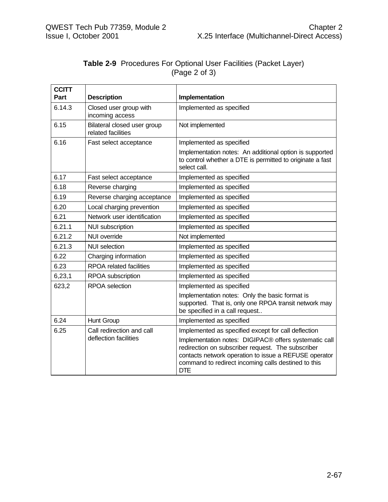|               | <b>Table 2-9</b> Procedures For Optional User Facilities (Packet Layer) |  |
|---------------|-------------------------------------------------------------------------|--|
| (Page 2 of 3) |                                                                         |  |

| <b>CCITT</b><br>Part | <b>Description</b>                                | Implementation                                                                                                                                                                                                                           |
|----------------------|---------------------------------------------------|------------------------------------------------------------------------------------------------------------------------------------------------------------------------------------------------------------------------------------------|
| 6.14.3               | Closed user group with<br>incoming access         | Implemented as specified                                                                                                                                                                                                                 |
| 6.15                 | Bilateral closed user group<br>related facilities | Not implemented                                                                                                                                                                                                                          |
| 6.16                 | Fast select acceptance                            | Implemented as specified                                                                                                                                                                                                                 |
|                      |                                                   | Implementation notes: An additional option is supported<br>to control whether a DTE is permitted to originate a fast<br>select call.                                                                                                     |
| 6.17                 | Fast select acceptance                            | Implemented as specified                                                                                                                                                                                                                 |
| 6.18                 | Reverse charging                                  | Implemented as specified                                                                                                                                                                                                                 |
| 6.19                 | Reverse charging acceptance                       | Implemented as specified                                                                                                                                                                                                                 |
| 6.20                 | Local charging prevention                         | Implemented as specified                                                                                                                                                                                                                 |
| 6.21                 | Network user identification                       | Implemented as specified                                                                                                                                                                                                                 |
| 6.21.1               | <b>NUI subscription</b>                           | Implemented as specified                                                                                                                                                                                                                 |
| 6.21.2               | <b>NUI</b> override                               | Not implemented                                                                                                                                                                                                                          |
| 6.21.3               | <b>NUI</b> selection                              | Implemented as specified                                                                                                                                                                                                                 |
| 6.22                 | Charging information                              | Implemented as specified                                                                                                                                                                                                                 |
| 6.23                 | RPOA related facilities                           | Implemented as specified                                                                                                                                                                                                                 |
| 6,23,1               | RPOA subscription                                 | Implemented as specified                                                                                                                                                                                                                 |
| 623,2                | <b>RPOA</b> selection                             | Implemented as specified                                                                                                                                                                                                                 |
|                      |                                                   | Implementation notes: Only the basic format is<br>supported. That is, only one RPOA transit network may<br>be specified in a call request                                                                                                |
| 6.24                 | Hunt Group                                        | Implemented as specified                                                                                                                                                                                                                 |
| 6.25                 | Call redirection and call                         | Implemented as specified except for call deflection                                                                                                                                                                                      |
|                      | deflection facilities                             | Implementation notes: DIGIPAC® offers systematic call<br>redirection on subscriber request. The subscriber<br>contacts network operation to issue a REFUSE operator<br>command to redirect incoming calls destined to this<br><b>DTE</b> |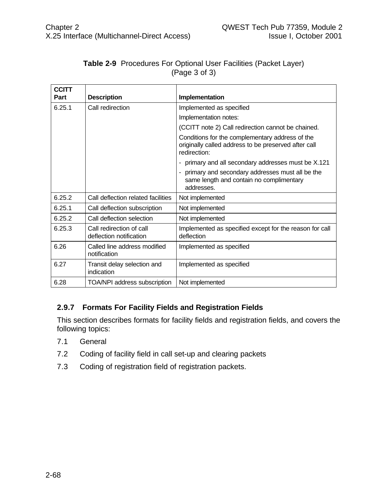| <b>CCITT</b> |                                                     |                                                                                                                         |
|--------------|-----------------------------------------------------|-------------------------------------------------------------------------------------------------------------------------|
| Part         | <b>Description</b>                                  | Implementation                                                                                                          |
| 6.25.1       | Call redirection                                    | Implemented as specified                                                                                                |
|              |                                                     | Implementation notes:                                                                                                   |
|              |                                                     | (CCITT note 2) Call redirection cannot be chained.                                                                      |
|              |                                                     | Conditions for the complementary address of the<br>originally called address to be preserved after call<br>redirection: |
|              |                                                     | primary and all secondary addresses must be X.121<br>٠                                                                  |
|              |                                                     | - primary and secondary addresses must all be the<br>same length and contain no complimentary<br>addresses.             |
| 6.25.2       | Call deflection related facilities                  | Not implemented                                                                                                         |
| 6.25.1       | Call deflection subscription                        | Not implemented                                                                                                         |
| 6.25.2       | Call deflection selection                           | Not implemented                                                                                                         |
| 6.25.3       | Call redirection of call<br>deflection notification | Implemented as specified except for the reason for call<br>deflection                                                   |
| 6.26         | Called line address modified<br>notification        | Implemented as specified                                                                                                |
| 6.27         | Transit delay selection and<br>indication           | Implemented as specified                                                                                                |
| 6.28         | TOA/NPI address subscription                        | Not implemented                                                                                                         |

### **Table 2-9** Procedures For Optional User Facilities (Packet Layer) (Page 3 of 3)

# **2.9.7 Formats For Facility Fields and Registration Fields**

This section describes formats for facility fields and registration fields, and covers the following topics:

- 7.1 General
- 7.2 Coding of facility field in call set-up and clearing packets
- 7.3 Coding of registration field of registration packets.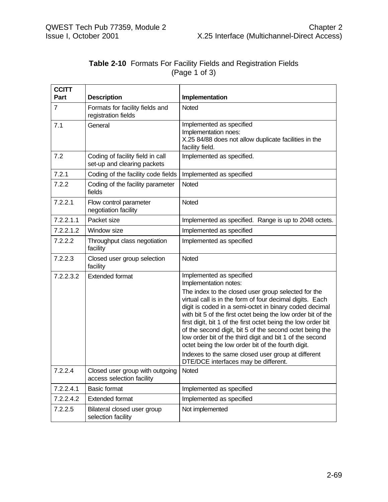|               | <b>Table 2-10 Formats For Facility Fields and Registration Fields</b> |  |  |
|---------------|-----------------------------------------------------------------------|--|--|
| (Page 1 of 3) |                                                                       |  |  |

| <b>CCITT</b><br>Part | <b>Description</b>                                              | Implementation                                                                                                                                                                                                                                                                                                                                                                                                                                                                           |
|----------------------|-----------------------------------------------------------------|------------------------------------------------------------------------------------------------------------------------------------------------------------------------------------------------------------------------------------------------------------------------------------------------------------------------------------------------------------------------------------------------------------------------------------------------------------------------------------------|
| 7                    | Formats for facility fields and<br>registration fields          | Noted                                                                                                                                                                                                                                                                                                                                                                                                                                                                                    |
| 7.1                  | General                                                         | Implemented as specified<br>Implementation noes:<br>X.25 84/88 does not allow duplicate facilities in the<br>facility field.                                                                                                                                                                                                                                                                                                                                                             |
| 7.2                  | Coding of facility field in call<br>set-up and clearing packets | Implemented as specified.                                                                                                                                                                                                                                                                                                                                                                                                                                                                |
| 7.2.1                | Coding of the facility code fields                              | Implemented as specified                                                                                                                                                                                                                                                                                                                                                                                                                                                                 |
| 7.2.2                | Coding of the facility parameter<br>fields                      | Noted                                                                                                                                                                                                                                                                                                                                                                                                                                                                                    |
| 7.2.2.1              | Flow control parameter<br>negotiation facility                  | Noted                                                                                                                                                                                                                                                                                                                                                                                                                                                                                    |
| 7.2.2.1.1            | Packet size                                                     | Implemented as specified. Range is up to 2048 octets.                                                                                                                                                                                                                                                                                                                                                                                                                                    |
| 7.2.2.1.2            | Window size                                                     | Implemented as specified                                                                                                                                                                                                                                                                                                                                                                                                                                                                 |
| 7.2.2.2              | Throughput class negotiation<br>facility                        | Implemented as specified                                                                                                                                                                                                                                                                                                                                                                                                                                                                 |
| 7.2.2.3              | Closed user group selection<br>facility                         | Noted                                                                                                                                                                                                                                                                                                                                                                                                                                                                                    |
| 7.2.2.3.2            | <b>Extended format</b>                                          | Implemented as specified<br>Implementation notes:                                                                                                                                                                                                                                                                                                                                                                                                                                        |
|                      |                                                                 | The index to the closed user group selected for the<br>virtual call is in the form of four decimal digits. Each<br>digit is coded in a semi-octet in binary coded decimal<br>with bit 5 of the first octet being the low order bit of the<br>first digit, bit 1 of the first octet being the low order bit<br>of the second digit, bit 5 of the second octet being the<br>low order bit of the third digit and bit 1 of the second<br>octet being the low order bit of the fourth digit. |
|                      |                                                                 | Indexes to the same closed user group at different<br>DTE/DCE interfaces may be different.                                                                                                                                                                                                                                                                                                                                                                                               |
| 7.2.2.4              | Closed user group with outgoing<br>access selection facility    | Noted                                                                                                                                                                                                                                                                                                                                                                                                                                                                                    |
| 7.2.2.4.1            | <b>Basic format</b>                                             | Implemented as specified                                                                                                                                                                                                                                                                                                                                                                                                                                                                 |
| 7.2.2.4.2            | <b>Extended format</b>                                          | Implemented as specified                                                                                                                                                                                                                                                                                                                                                                                                                                                                 |
| 7.2.2.5              | Bilateral closed user group<br>selection facility               | Not implemented                                                                                                                                                                                                                                                                                                                                                                                                                                                                          |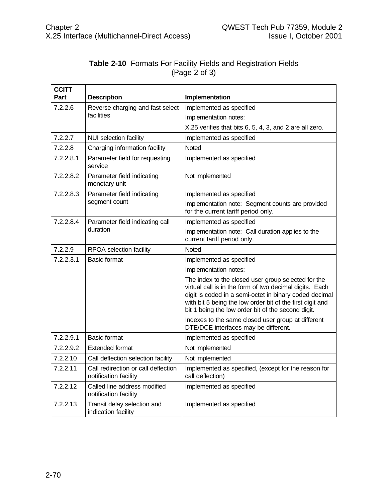|               | <b>Table 2-10</b> Formats For Facility Fields and Registration Fields |
|---------------|-----------------------------------------------------------------------|
| (Page 2 of 3) |                                                                       |

| <b>CCITT</b><br>Part | <b>Description</b>                                           | Implementation                                                                                                                                                                                                                                                                              |
|----------------------|--------------------------------------------------------------|---------------------------------------------------------------------------------------------------------------------------------------------------------------------------------------------------------------------------------------------------------------------------------------------|
| 7.2.2.6              | Reverse charging and fast select<br>facilities               | Implemented as specified                                                                                                                                                                                                                                                                    |
|                      |                                                              | Implementation notes:                                                                                                                                                                                                                                                                       |
|                      |                                                              | X.25 verifies that bits 6, 5, 4, 3, and 2 are all zero.                                                                                                                                                                                                                                     |
| 7.2.2.7              | <b>NUI selection facility</b>                                | Implemented as specified                                                                                                                                                                                                                                                                    |
| 7.2.2.8              | Charging information facility                                | <b>Noted</b>                                                                                                                                                                                                                                                                                |
| 7.2.2.8.1            | Parameter field for requesting<br>service                    | Implemented as specified                                                                                                                                                                                                                                                                    |
| 7.2.2.8.2            | Parameter field indicating<br>monetary unit                  | Not implemented                                                                                                                                                                                                                                                                             |
| 7.2.2.8.3            | Parameter field indicating                                   | Implemented as specified                                                                                                                                                                                                                                                                    |
|                      | segment count                                                | Implementation note: Segment counts are provided<br>for the current tariff period only.                                                                                                                                                                                                     |
| 7.2.2.8.4            | Parameter field indicating call<br>duration                  | Implemented as specified                                                                                                                                                                                                                                                                    |
|                      |                                                              | Implementation note: Call duration applies to the<br>current tariff period only.                                                                                                                                                                                                            |
| 7.2.2.9              | RPOA selection facility                                      | <b>Noted</b>                                                                                                                                                                                                                                                                                |
| 7.2.2.3.1            | <b>Basic format</b>                                          | Implemented as specified                                                                                                                                                                                                                                                                    |
|                      |                                                              | Implementation notes:                                                                                                                                                                                                                                                                       |
|                      |                                                              | The index to the closed user group selected for the<br>virtual call is in the form of two decimal digits. Each<br>digit is coded in a semi-octet in binary coded decimal<br>with bit 5 being the low order bit of the first digit and<br>bit 1 being the low order bit of the second digit. |
|                      |                                                              | Indexes to the same closed user group at different<br>DTE/DCE interfaces may be different.                                                                                                                                                                                                  |
| 7.2.2.9.1            | <b>Basic format</b>                                          | Implemented as specified                                                                                                                                                                                                                                                                    |
| 7.2.2.9.2            | <b>Extended format</b>                                       | Not implemented                                                                                                                                                                                                                                                                             |
| 7.2.2.10             | Call deflection selection facility                           | Not implemented                                                                                                                                                                                                                                                                             |
| 7.2.2.11             | Call redirection or call deflection<br>notification facility | Implemented as specified, (except for the reason for<br>call deflection)                                                                                                                                                                                                                    |
| 7.2.2.12             | Called line address modified<br>notification facility        | Implemented as specified                                                                                                                                                                                                                                                                    |
| 7.2.2.13             | Transit delay selection and<br>indication facility           | Implemented as specified                                                                                                                                                                                                                                                                    |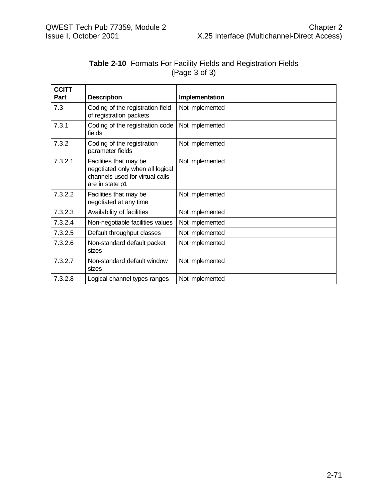|               | <b>Table 2-10</b> Formats For Facility Fields and Registration Fields |
|---------------|-----------------------------------------------------------------------|
| (Page 3 of 3) |                                                                       |

| <b>CCITT</b> |                                                                                                                  |                 |
|--------------|------------------------------------------------------------------------------------------------------------------|-----------------|
| Part         | <b>Description</b>                                                                                               | Implementation  |
| 7.3          | Coding of the registration field<br>of registration packets                                                      | Not implemented |
| 7.3.1        | Coding of the registration code<br>fields                                                                        | Not implemented |
| 7.3.2        | Coding of the registration<br>parameter fields                                                                   | Not implemented |
| 7.3.2.1      | Facilities that may be<br>negotiated only when all logical<br>channels used for virtual calls<br>are in state p1 | Not implemented |
| 7.3.2.2      | Facilities that may be<br>negotiated at any time                                                                 | Not implemented |
| 7.3.2.3      | Availability of facilities                                                                                       | Not implemented |
| 7.3.2.4      | Non-negotiable facilities values                                                                                 | Not implemented |
| 7.3.2.5      | Default throughput classes                                                                                       | Not implemented |
| 7.3.2.6      | Non-standard default packet<br>sizes                                                                             | Not implemented |
| 7.3.2.7      | Non-standard default window<br>sizes                                                                             | Not implemented |
| 7.3.2.8      | Logical channel types ranges                                                                                     | Not implemented |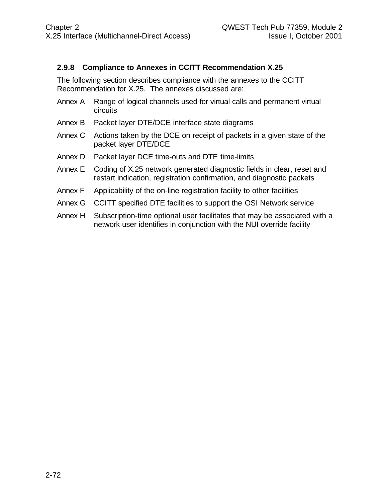### **2.9.8 Compliance to Annexes in CCITT Recommendation X.25**

The following section describes compliance with the annexes to the CCITT Recommendation for X.25. The annexes discussed are:

- Annex A Range of logical channels used for virtual calls and permanent virtual circuits
- Annex B Packet layer DTE/DCE interface state diagrams
- Annex C Actions taken by the DCE on receipt of packets in a given state of the packet layer DTE/DCE
- Annex D Packet layer DCE time-outs and DTE time-limits
- Annex E Coding of X.25 network generated diagnostic fields in clear, reset and restart indication, registration confirmation, and diagnostic packets
- Annex F Applicability of the on-line registration facility to other facilities
- Annex G CCITT specified DTE facilities to support the OSI Network service
- Annex H Subscription-time optional user facilitates that may be associated with a network user identifies in conjunction with the NUI override facility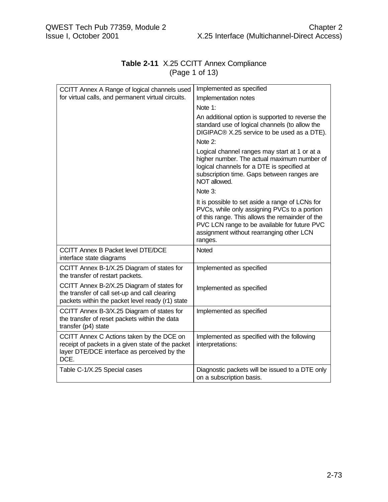| CCITT Annex A Range of logical channels used<br>for virtual calls, and permanent virtual circuits.                                                    | Implemented as specified                                                                                                                                                                                                                                  |  |
|-------------------------------------------------------------------------------------------------------------------------------------------------------|-----------------------------------------------------------------------------------------------------------------------------------------------------------------------------------------------------------------------------------------------------------|--|
|                                                                                                                                                       | Implementation notes                                                                                                                                                                                                                                      |  |
|                                                                                                                                                       | Note 1:                                                                                                                                                                                                                                                   |  |
|                                                                                                                                                       | An additional option is supported to reverse the<br>standard use of logical channels (to allow the<br>DIGIPAC® X.25 service to be used as a DTE).                                                                                                         |  |
|                                                                                                                                                       | Note 2:                                                                                                                                                                                                                                                   |  |
|                                                                                                                                                       | Logical channel ranges may start at 1 or at a<br>higher number. The actual maximum number of<br>logical channels for a DTE is specified at<br>subscription time. Gaps between ranges are<br>NOT allowed.                                                  |  |
|                                                                                                                                                       | Note 3:                                                                                                                                                                                                                                                   |  |
|                                                                                                                                                       | It is possible to set aside a range of LCNs for<br>PVCs, while only assigning PVCs to a portion<br>of this range. This allows the remainder of the<br>PVC LCN range to be available for future PVC<br>assignment without rearranging other LCN<br>ranges. |  |
| <b>CCITT Annex B Packet level DTE/DCE</b><br>interface state diagrams                                                                                 | Noted                                                                                                                                                                                                                                                     |  |
| CCITT Annex B-1/X.25 Diagram of states for<br>the transfer of restart packets.                                                                        | Implemented as specified                                                                                                                                                                                                                                  |  |
| CCITT Annex B-2/X.25 Diagram of states for<br>the transfer of call set-up and call clearing<br>packets within the packet level ready (r1) state       | Implemented as specified                                                                                                                                                                                                                                  |  |
| CCITT Annex B-3/X.25 Diagram of states for<br>the transfer of reset packets within the data<br>transfer (p4) state                                    | Implemented as specified                                                                                                                                                                                                                                  |  |
| CCITT Annex C Actions taken by the DCE on<br>receipt of packets in a given state of the packet<br>layer DTE/DCE interface as perceived by the<br>DCE. | Implemented as specified with the following<br>interpretations:                                                                                                                                                                                           |  |
| Table C-1/X.25 Special cases                                                                                                                          | Diagnostic packets will be issued to a DTE only<br>on a subscription basis.                                                                                                                                                                               |  |

# **Table 2-11** X.25 CCITT Annex Compliance (Page 1 of 13)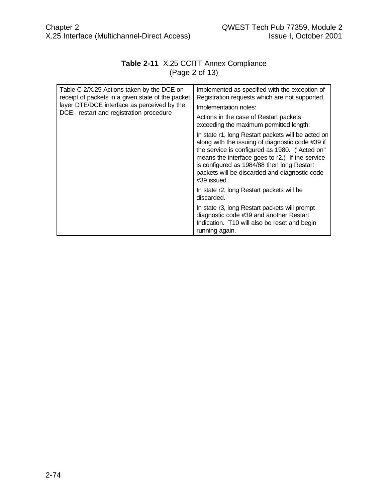# **Table 2-11** X.25 CCITT Annex Compliance (Page 2 of 13)

| Table C-2/X.25 Actions taken by the DCE on<br>receipt of packets in a given state of the packet<br>layer DTE/DCE interface as perceived by the<br>DCE: restart and registration procedure | Implemented as specified with the exception of<br>Registration requests which are not supported,<br>Implementation notes:<br>Actions in the case of Restart packets<br>exceeding the maximum permitted length:                                                                                                               |
|-------------------------------------------------------------------------------------------------------------------------------------------------------------------------------------------|------------------------------------------------------------------------------------------------------------------------------------------------------------------------------------------------------------------------------------------------------------------------------------------------------------------------------|
|                                                                                                                                                                                           | In state r1, long Restart packets will be acted on<br>along with the issuing of diagnostic code #39 if<br>the service is configured as 1980. ("Acted on"<br>means the interface goes to r2.) If the service<br>is configured as 1984/88 then long Restart<br>packets will be discarded and diagnostic code<br>$\#39$ issued. |
|                                                                                                                                                                                           | In state r2, long Restart packets will be<br>discarded.                                                                                                                                                                                                                                                                      |
|                                                                                                                                                                                           | In state r3, long Restart packets will prompt<br>diagnostic code #39 and another Restart<br>Indication. T10 will also be reset and begin<br>running again.                                                                                                                                                                   |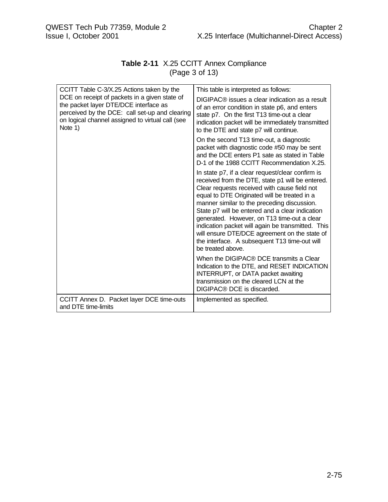# **Table 2-11** X.25 CCITT Annex Compliance (Page 3 of 13)

| CCITT Table C-3/X.25 Actions taken by the<br>DCE on receipt of packets in a given state of<br>the packet layer DTE/DCE interface as<br>perceived by the DCE: call set-up and clearing<br>on logical channel assigned to virtual call (see<br>Note 1) | This table is interpreted as follows:                                                                                                                                                                                                                                                                                                                                                                                                                                                                                             |  |
|------------------------------------------------------------------------------------------------------------------------------------------------------------------------------------------------------------------------------------------------------|-----------------------------------------------------------------------------------------------------------------------------------------------------------------------------------------------------------------------------------------------------------------------------------------------------------------------------------------------------------------------------------------------------------------------------------------------------------------------------------------------------------------------------------|--|
|                                                                                                                                                                                                                                                      | DIGIPAC® issues a clear indication as a result<br>of an error condition in state p6, and enters<br>state p7. On the first T13 time-out a clear<br>indication packet will be immediately transmitted<br>to the DTE and state p7 will continue.                                                                                                                                                                                                                                                                                     |  |
|                                                                                                                                                                                                                                                      | On the second T13 time-out, a diagnostic<br>packet with diagnostic code #50 may be sent<br>and the DCE enters P1 sate as stated in Table<br>D-1 of the 1988 CCITT Recommendation X.25.                                                                                                                                                                                                                                                                                                                                            |  |
|                                                                                                                                                                                                                                                      | In state p7, if a clear request/clear confirm is<br>received from the DTE, state p1 will be entered.<br>Clear requests received with cause field not<br>equal to DTE Originated will be treated in a<br>manner similar to the preceding discussion.<br>State p7 will be entered and a clear indication<br>generated. However, on T13 time-out a clear<br>indication packet will again be transmitted. This<br>will ensure DTE/DCE agreement on the state of<br>the interface. A subsequent T13 time-out will<br>be treated above. |  |
|                                                                                                                                                                                                                                                      | When the DIGIPAC® DCE transmits a Clear<br>Indication to the DTE, and RESET INDICATION<br>INTERRUPT, or DATA packet awaiting<br>transmission on the cleared LCN at the<br>DIGIPAC® DCE is discarded.                                                                                                                                                                                                                                                                                                                              |  |
| CCITT Annex D. Packet layer DCE time-outs<br>and DTE time-limits                                                                                                                                                                                     | Implemented as specified.                                                                                                                                                                                                                                                                                                                                                                                                                                                                                                         |  |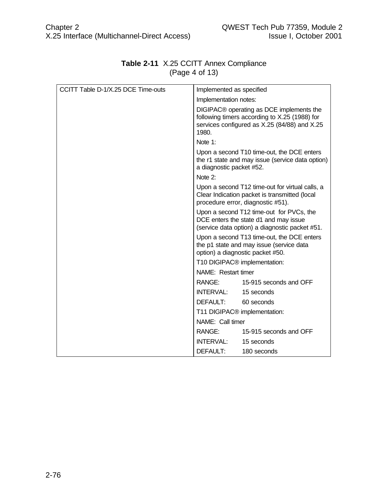| CCITT Table D-1/X.25 DCE Time-outs | Implemented as specified                 |                                                                                                                                           |
|------------------------------------|------------------------------------------|-------------------------------------------------------------------------------------------------------------------------------------------|
|                                    | Implementation notes:                    |                                                                                                                                           |
|                                    | 1980.                                    | DIGIPAC® operating as DCE implements the<br>following timers according to X.25 (1988) for<br>services configured as X.25 (84/88) and X.25 |
|                                    | Note 1:                                  |                                                                                                                                           |
|                                    | a diagnostic packet #52.                 | Upon a second T10 time-out, the DCE enters<br>the r1 state and may issue (service data option)                                            |
|                                    | Note 2:                                  |                                                                                                                                           |
|                                    |                                          | Upon a second T12 time-out for virtual calls, a<br>Clear Indication packet is transmitted (local<br>procedure error, diagnostic #51).     |
|                                    |                                          | Upon a second T12 time-out for PVCs, the<br>DCE enters the state d1 and may issue<br>(service data option) a diagnostic packet #51.       |
|                                    |                                          | Upon a second T13 time-out, the DCE enters<br>the p1 state and may issue (service data<br>option) a diagnostic packet #50.                |
|                                    |                                          | T10 DIGIPAC <sup>®</sup> implementation:                                                                                                  |
|                                    | NAME: Restart timer                      |                                                                                                                                           |
|                                    |                                          | RANGE: 15-915 seconds and OFF                                                                                                             |
|                                    | INTERVAL: 15 seconds                     |                                                                                                                                           |
|                                    | DEFAULT:                                 | 60 seconds                                                                                                                                |
|                                    | T11 DIGIPAC <sup>®</sup> implementation: |                                                                                                                                           |
|                                    | NAME: Call timer                         |                                                                                                                                           |
|                                    |                                          | RANGE: 15-915 seconds and OFF                                                                                                             |
|                                    | <b>INTERVAL:</b>                         | 15 seconds                                                                                                                                |
|                                    | DEFAULT:                                 | 180 seconds                                                                                                                               |

# **Table 2-11** X.25 CCITT Annex Compliance (Page 4 of 13)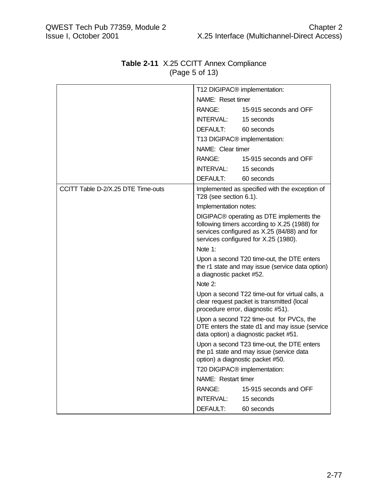|                                    |                          | T12 DIGIPAC <sup>®</sup> implementation:                                                                                                                                         |
|------------------------------------|--------------------------|----------------------------------------------------------------------------------------------------------------------------------------------------------------------------------|
|                                    | NAME: Reset timer        |                                                                                                                                                                                  |
|                                    | RANGE:                   | 15-915 seconds and OFF                                                                                                                                                           |
|                                    | <b>INTERVAL:</b>         | 15 seconds                                                                                                                                                                       |
|                                    | DEFAULT:                 | 60 seconds                                                                                                                                                                       |
|                                    |                          | T13 DIGIPAC <sup>®</sup> implementation:                                                                                                                                         |
|                                    | NAME: Clear timer        |                                                                                                                                                                                  |
|                                    | RANGE:                   | 15-915 seconds and OFF                                                                                                                                                           |
|                                    | INTERVAL:                | 15 seconds                                                                                                                                                                       |
|                                    | DEFAULT:                 | 60 seconds                                                                                                                                                                       |
| CCITT Table D-2/X.25 DTE Time-outs | T28 (see section 6.1).   | Implemented as specified with the exception of                                                                                                                                   |
|                                    | Implementation notes:    |                                                                                                                                                                                  |
|                                    |                          | DIGIPAC® operating as DTE implements the<br>following timers according to X.25 (1988) for<br>services configured as X.25 (84/88) and for<br>services configured for X.25 (1980). |
|                                    | Note $1$ :               |                                                                                                                                                                                  |
|                                    | a diagnostic packet #52. | Upon a second T20 time-out, the DTE enters<br>the r1 state and may issue (service data option)                                                                                   |
|                                    | Note 2:                  |                                                                                                                                                                                  |
|                                    |                          | Upon a second T22 time-out for virtual calls, a<br>clear request packet is transmitted (local<br>procedure error, diagnostic #51).                                               |
|                                    |                          | Upon a second T22 time-out for PVCs, the<br>DTE enters the state d1 and may issue (service<br>data option) a diagnostic packet #51.                                              |
|                                    |                          | Upon a second T23 time-out, the DTE enters<br>the p1 state and may issue (service data<br>option) a diagnostic packet #50.                                                       |
|                                    |                          | T20 DIGIPAC <sup>®</sup> implementation:                                                                                                                                         |
|                                    | NAME: Restart timer      |                                                                                                                                                                                  |
|                                    | RANGE:                   | 15-915 seconds and OFF                                                                                                                                                           |
|                                    | INTERVAL:                | 15 seconds                                                                                                                                                                       |
|                                    | DEFAULT:                 | 60 seconds                                                                                                                                                                       |

# **Table 2-11** X.25 CCITT Annex Compliance (Page 5 of 13)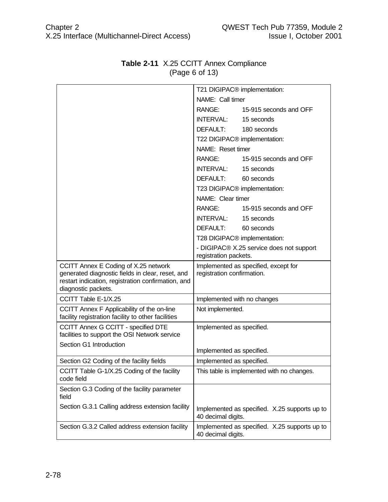|                                                                                                                                                                       |                            | T21 DIGIPAC <sup>®</sup> implementation:      |
|-----------------------------------------------------------------------------------------------------------------------------------------------------------------------|----------------------------|-----------------------------------------------|
|                                                                                                                                                                       | NAME: Call timer           |                                               |
|                                                                                                                                                                       | RANGE:                     | 15-915 seconds and OFF                        |
|                                                                                                                                                                       | INTERVAL: 15 seconds       |                                               |
|                                                                                                                                                                       | DEFAULT: 180 seconds       |                                               |
|                                                                                                                                                                       |                            | T22 DIGIPAC <sup>®</sup> implementation:      |
|                                                                                                                                                                       | NAME: Reset timer          |                                               |
|                                                                                                                                                                       |                            | RANGE: 15-915 seconds and OFF                 |
|                                                                                                                                                                       | INTERVAL: 15 seconds       |                                               |
|                                                                                                                                                                       | DEFAULT:                   | 60 seconds                                    |
|                                                                                                                                                                       |                            | T23 DIGIPAC <sup>®</sup> implementation:      |
|                                                                                                                                                                       | NAME: Clear timer          |                                               |
|                                                                                                                                                                       |                            | RANGE: 15-915 seconds and OFF                 |
|                                                                                                                                                                       | INTERVAL: 15 seconds       |                                               |
|                                                                                                                                                                       | DEFAULT:                   | 60 seconds                                    |
|                                                                                                                                                                       |                            | T28 DIGIPAC <sup>®</sup> implementation:      |
|                                                                                                                                                                       | registration packets.      | - DIGIPAC® X.25 service does not support      |
| CCITT Annex E Coding of X.25 network<br>generated diagnostic fields in clear, reset, and<br>restart indication, registration confirmation, and<br>diagnostic packets. | registration confirmation. | Implemented as specified, except for          |
| CCITT Table E-1/X.25                                                                                                                                                  |                            | Implemented with no changes                   |
| CCITT Annex F Applicability of the on-line<br>facility registration facility to other facilities                                                                      | Not implemented.           |                                               |
| CCITT Annex G CCITT - specified DTE<br>facilities to support the OSI Network service                                                                                  | Implemented as specified.  |                                               |
| Section G1 Introduction                                                                                                                                               | Implemented as specified.  |                                               |
|                                                                                                                                                                       |                            |                                               |
| Section G2 Coding of the facility fields                                                                                                                              | Implemented as specified.  |                                               |
| CCITT Table G-1/X.25 Coding of the facility<br>code field                                                                                                             |                            | This table is implemented with no changes.    |
| Section G.3 Coding of the facility parameter<br>field                                                                                                                 |                            |                                               |
| Section G.3.1 Calling address extension facility                                                                                                                      | 40 decimal digits.         | Implemented as specified. X.25 supports up to |

# **Table 2-11** X.25 CCITT Annex Compliance (Page 6 of 13)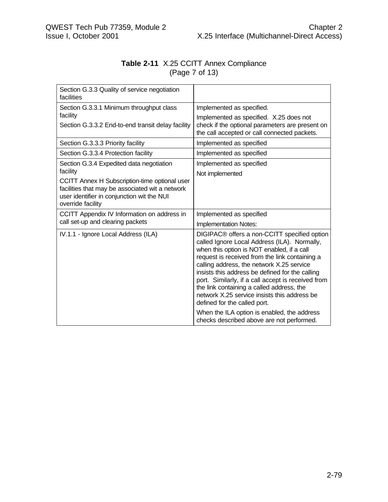# **Table 2-11** X.25 CCITT Annex Compliance (Page 7 of 13)

| Section G.3.3 Quality of service negotiation<br>facilities                                                                                                          |                                                                                                                                                                                                                                                                                                                                                                                                                                                                                 |
|---------------------------------------------------------------------------------------------------------------------------------------------------------------------|---------------------------------------------------------------------------------------------------------------------------------------------------------------------------------------------------------------------------------------------------------------------------------------------------------------------------------------------------------------------------------------------------------------------------------------------------------------------------------|
| Section G.3.3.1 Minimum throughput class                                                                                                                            | Implemented as specified.                                                                                                                                                                                                                                                                                                                                                                                                                                                       |
| facility                                                                                                                                                            | Implemented as specified. X.25 does not                                                                                                                                                                                                                                                                                                                                                                                                                                         |
| Section G.3.3.2 End-to-end transit delay facility                                                                                                                   | check if the optional parameters are present on<br>the call accepted or call connected packets.                                                                                                                                                                                                                                                                                                                                                                                 |
| Section G.3.3.3 Priority facility                                                                                                                                   | Implemented as specified                                                                                                                                                                                                                                                                                                                                                                                                                                                        |
| Section G.3.3.4 Protection facility                                                                                                                                 | Implemented as specified                                                                                                                                                                                                                                                                                                                                                                                                                                                        |
| Section G.3.4 Expedited data negotiation                                                                                                                            | Implemented as specified                                                                                                                                                                                                                                                                                                                                                                                                                                                        |
| facility                                                                                                                                                            | Not implemented                                                                                                                                                                                                                                                                                                                                                                                                                                                                 |
| CCITT Annex H Subscription-time optional user<br>facilities that may be associated wit a network<br>user identifier in conjunction wit the NUI<br>override facility |                                                                                                                                                                                                                                                                                                                                                                                                                                                                                 |
| CCITT Appendix IV Information on address in                                                                                                                         | Implemented as specified                                                                                                                                                                                                                                                                                                                                                                                                                                                        |
| call set-up and clearing packets                                                                                                                                    | Implementation Notes:                                                                                                                                                                                                                                                                                                                                                                                                                                                           |
| IV.1.1 - Ignore Local Address (ILA)                                                                                                                                 | DIGIPAC® offers a non-CCITT specified option<br>called Ignore Local Address (ILA). Normally,<br>when this option is NOT enabled, if a call<br>request is received from the link containing a<br>calling address, the network X.25 service<br>insists this address be defined for the calling<br>port. Similarly, if a call accept is received from<br>the link containing a called address, the<br>network X.25 service insists this address be<br>defined for the called port. |
|                                                                                                                                                                     | When the ILA option is enabled, the address<br>checks described above are not performed.                                                                                                                                                                                                                                                                                                                                                                                        |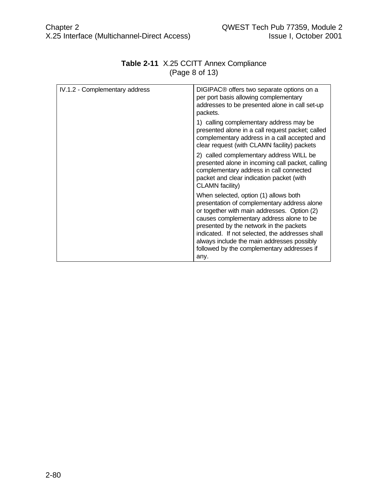| IV.1.2 - Complementary address | DIGIPAC® offers two separate options on a<br>per port basis allowing complementary<br>addresses to be presented alone in call set-up<br>packets.                                                                                                                                                                                                                                  |
|--------------------------------|-----------------------------------------------------------------------------------------------------------------------------------------------------------------------------------------------------------------------------------------------------------------------------------------------------------------------------------------------------------------------------------|
|                                | 1) calling complementary address may be<br>presented alone in a call request packet; called<br>complementary address in a call accepted and<br>clear request (with CLAMN facility) packets                                                                                                                                                                                        |
|                                | 2) called complementary address WILL be<br>presented alone in incoming call packet, calling<br>complementary address in call connected<br>packet and clear indication packet (with<br>CLAMN facility)                                                                                                                                                                             |
|                                | When selected, option (1) allows both<br>presentation of complementary address alone<br>or together with main addresses. Option (2)<br>causes complementary address alone to be<br>presented by the network in the packets<br>indicated. If not selected, the addresses shall<br>always include the main addresses possibly<br>followed by the complementary addresses if<br>any. |

# **Table 2-11** X.25 CCITT Annex Compliance (Page 8 of 13)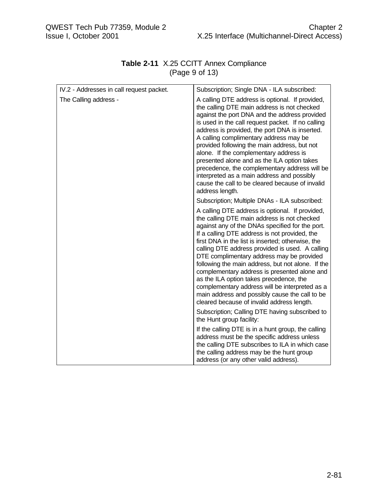| IV.2 - Addresses in call request packet. | Subscription; Single DNA - ILA subscribed:                                                                                                                                                                                                                                                                                                                                                                                                                                                                                                                                                                                                                |
|------------------------------------------|-----------------------------------------------------------------------------------------------------------------------------------------------------------------------------------------------------------------------------------------------------------------------------------------------------------------------------------------------------------------------------------------------------------------------------------------------------------------------------------------------------------------------------------------------------------------------------------------------------------------------------------------------------------|
| The Calling address -                    | A calling DTE address is optional. If provided,<br>the calling DTE main address is not checked<br>against the port DNA and the address provided<br>is used in the call request packet. If no calling<br>address is provided, the port DNA is inserted.<br>A calling complimentary address may be<br>provided following the main address, but not<br>alone. If the complementary address is<br>presented alone and as the ILA option takes<br>precedence, the complementary address will be<br>interpreted as a main address and possibly<br>cause the call to be cleared because of invalid<br>address length.                                            |
|                                          | Subscription; Multiple DNAs - ILA subscribed:                                                                                                                                                                                                                                                                                                                                                                                                                                                                                                                                                                                                             |
|                                          | A calling DTE address is optional. If provided,<br>the calling DTE main address is not checked<br>against any of the DNAs specified for the port.<br>If a calling DTE address is not provided, the<br>first DNA in the list is inserted; otherwise, the<br>calling DTE address provided is used. A calling<br>DTE complimentary address may be provided<br>following the main address, but not alone. If the<br>complementary address is presented alone and<br>as the ILA option takes precedence, the<br>complementary address will be interpreted as a<br>main address and possibly cause the call to be<br>cleared because of invalid address length. |
|                                          | Subscription; Calling DTE having subscribed to<br>the Hunt group facility:                                                                                                                                                                                                                                                                                                                                                                                                                                                                                                                                                                                |
|                                          | If the calling DTE is in a hunt group, the calling<br>address must be the specific address unless<br>the calling DTE subscribes to ILA in which case<br>the calling address may be the hunt group<br>address (or any other valid address).                                                                                                                                                                                                                                                                                                                                                                                                                |

# **Table 2-11** X.25 CCITT Annex Compliance (Page 9 of 13)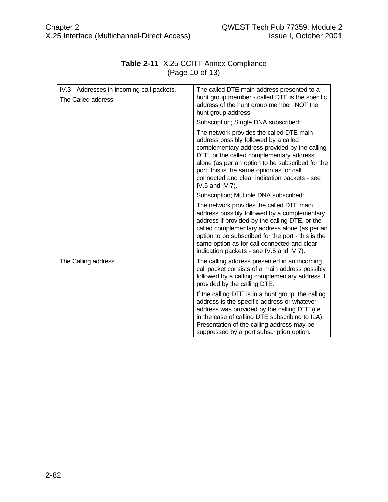| IV.3 - Addresses in incoming call packets.<br>The Called address - | The called DTE main address presented to a<br>hunt group member - called DTE is the specific<br>address of the hunt group member; NOT the<br>hunt group address.                                                                                                                                                                                   |
|--------------------------------------------------------------------|----------------------------------------------------------------------------------------------------------------------------------------------------------------------------------------------------------------------------------------------------------------------------------------------------------------------------------------------------|
|                                                                    | Subscription; Single DNA subscribed:                                                                                                                                                                                                                                                                                                               |
|                                                                    | The network provides the called DTE main<br>address possibly followed by a called<br>complementary address provided by the calling<br>DTE, or the called complementary address<br>alone (as per an option to be subscribed for the<br>port; this is the same option as for call<br>connected and clear indication packets - see<br>IV.5 and IV.7). |
|                                                                    | Subscription; Multiple DNA subscribed:                                                                                                                                                                                                                                                                                                             |
|                                                                    | The network provides the called DTE main<br>address possibly followed by a complementary<br>address if provided by the calling DTE, or the<br>called complementary address alone (as per an<br>option to be subscribed for the port - this is the<br>same option as for call connected and clear<br>indication packets - see IV.5 and IV.7).       |
| The Calling address                                                | The calling address presented in an incoming<br>call packet consists of a main address possibly<br>followed by a calling complementary address if<br>provided by the calling DTE.                                                                                                                                                                  |
|                                                                    | If the calling DTE is in a hunt group, the calling<br>address is the specific address or whatever<br>address was provided by the calling DTE (i.e.,<br>in the case of calling DTE subscribing to ILA).<br>Presentation of the calling address may be<br>suppressed by a port subscription option.                                                  |

# **Table 2-11** X.25 CCITT Annex Compliance (Page 10 of 13)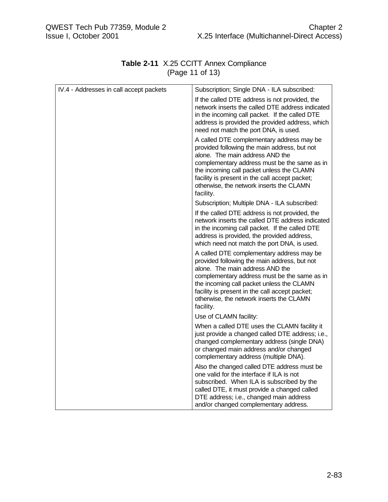| IV.4 - Addresses in call accept packets | Subscription; Single DNA - ILA subscribed:                                                                                                                                                                                                                                                                                           |
|-----------------------------------------|--------------------------------------------------------------------------------------------------------------------------------------------------------------------------------------------------------------------------------------------------------------------------------------------------------------------------------------|
|                                         | If the called DTE address is not provided, the<br>network inserts the called DTE address indicated<br>in the incoming call packet. If the called DTE<br>address is provided the provided address, which<br>need not match the port DNA, is used.                                                                                     |
|                                         | A called DTE complementary address may be<br>provided following the main address, but not<br>alone. The main address AND the<br>complementary address must be the same as in<br>the incoming call packet unless the CLAMN<br>facility is present in the call accept packet;<br>otherwise, the network inserts the CLAMN<br>facility. |
|                                         | Subscription; Multiple DNA - ILA subscribed:                                                                                                                                                                                                                                                                                         |
|                                         | If the called DTE address is not provided, the<br>network inserts the called DTE address indicated<br>in the incoming call packet. If the called DTE<br>address is provided, the provided address,<br>which need not match the port DNA, is used.                                                                                    |
|                                         | A called DTE complementary address may be<br>provided following the main address, but not<br>alone. The main address AND the<br>complementary address must be the same as in<br>the incoming call packet unless the CLAMN<br>facility is present in the call accept packet;<br>otherwise, the network inserts the CLAMN<br>facility. |
|                                         | Use of CLAMN facility:                                                                                                                                                                                                                                                                                                               |
|                                         | When a called DTE uses the CLAMN facility it<br>just provide a changed called DTE address; i.e.,<br>changed complementary address (single DNA)<br>or changed main address and/or changed<br>complementary address (multiple DNA).                                                                                                    |
|                                         | Also the changed called DTE address must be<br>one valid for the interface if ILA is not<br>subscribed. When ILA is subscribed by the<br>called DTE, it must provide a changed called<br>DTE address; i.e., changed main address<br>and/or changed complementary address.                                                            |

# **Table 2-11** X.25 CCITT Annex Compliance (Page 11 of 13)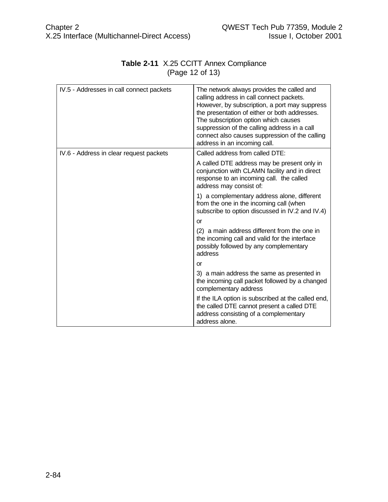| IV.5 - Addresses in call connect packets | The network always provides the called and<br>calling address in call connect packets.<br>However, by subscription, a port may suppress<br>the presentation of either or both addresses.<br>The subscription option which causes<br>suppression of the calling address in a call<br>connect also causes suppression of the calling<br>address in an incoming call. |
|------------------------------------------|--------------------------------------------------------------------------------------------------------------------------------------------------------------------------------------------------------------------------------------------------------------------------------------------------------------------------------------------------------------------|
| IV.6 - Address in clear request packets  | Called address from called DTE:                                                                                                                                                                                                                                                                                                                                    |
|                                          | A called DTE address may be present only in<br>conjunction with CLAMN facility and in direct<br>response to an incoming call. the called<br>address may consist of:                                                                                                                                                                                                |
|                                          | 1) a complementary address alone, different<br>from the one in the incoming call (when<br>subscribe to option discussed in IV.2 and IV.4)                                                                                                                                                                                                                          |
|                                          | <b>or</b>                                                                                                                                                                                                                                                                                                                                                          |
|                                          | (2) a main address different from the one in<br>the incoming call and valid for the interface<br>possibly followed by any complementary<br>address                                                                                                                                                                                                                 |
|                                          | <b>or</b>                                                                                                                                                                                                                                                                                                                                                          |
|                                          | 3) a main address the same as presented in<br>the incoming call packet followed by a changed<br>complementary address                                                                                                                                                                                                                                              |
|                                          | If the ILA option is subscribed at the called end,<br>the called DTE cannot present a called DTE<br>address consisting of a complementary<br>address alone.                                                                                                                                                                                                        |

# **Table 2-11** X.25 CCITT Annex Compliance (Page 12 of 13)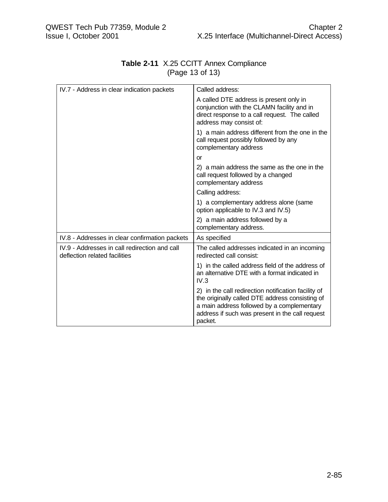| IV.7 - Address in clear indication packets                                     | Called address:                                                                                                                                                                                                    |
|--------------------------------------------------------------------------------|--------------------------------------------------------------------------------------------------------------------------------------------------------------------------------------------------------------------|
|                                                                                | A called DTE address is present only in<br>conjunction with the CLAMN facility and in<br>direct response to a call request. The called<br>address may consist of:                                                  |
|                                                                                | 1) a main address different from the one in the<br>call request possibly followed by any<br>complementary address                                                                                                  |
|                                                                                | or                                                                                                                                                                                                                 |
|                                                                                | 2) a main address the same as the one in the<br>call request followed by a changed<br>complementary address                                                                                                        |
|                                                                                | Calling address:                                                                                                                                                                                                   |
|                                                                                | 1) a complementary address alone (same<br>option applicable to IV.3 and IV.5)                                                                                                                                      |
|                                                                                | 2) a main address followed by a<br>complementary address.                                                                                                                                                          |
| IV.8 - Addresses in clear confirmation packets                                 | As specified                                                                                                                                                                                                       |
| IV.9 - Addresses in call redirection and call<br>deflection related facilities | The called addresses indicated in an incoming<br>redirected call consist:                                                                                                                                          |
|                                                                                | 1) in the called address field of the address of<br>an alternative DTE with a format indicated in<br>IV.3                                                                                                          |
|                                                                                | 2) in the call redirection notification facility of<br>the originally called DTE address consisting of<br>a main address followed by a complementary<br>address if such was present in the call request<br>packet. |

# **Table 2-11** X.25 CCITT Annex Compliance (Page 13 of 13)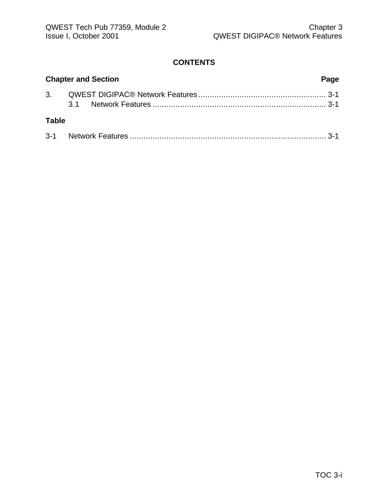### **CONTENTS**

| <b>Chapter and Section</b><br>Page |  |  |
|------------------------------------|--|--|
|                                    |  |  |
|                                    |  |  |
| <b>Table</b>                       |  |  |
|                                    |  |  |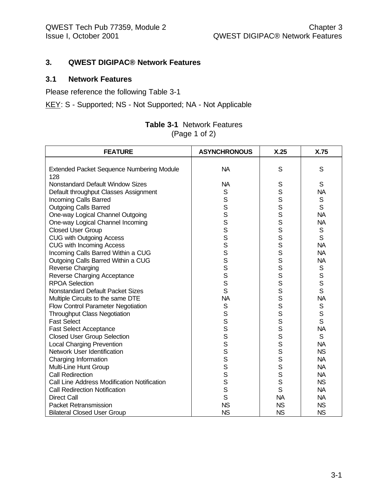#### **3. QWEST DIGIPAC® Network Features**

#### **3.1 Network Features**

Please reference the following Table 3-1

KEY: S - Supported; NS - Not Supported; NA - Not Applicable

| <b>Table 3-1</b> Network Features |
|-----------------------------------|
| (Page 1 of 2)                     |

| <b>FEATURE</b>                                   | <b>ASYNCHRONOUS</b> | X.25      | X.75         |
|--------------------------------------------------|---------------------|-----------|--------------|
|                                                  |                     |           |              |
| <b>Extended Packet Sequence Numbering Module</b> | <b>NA</b>           | S         | S            |
| 128                                              |                     |           |              |
| Nonstandard Default Window Sizes                 | <b>NA</b>           | S         | S            |
| Default throughput Classes Assignment            | S                   | S         | <b>NA</b>    |
| <b>Incoming Calls Barred</b>                     | S                   | S         | $\mathsf S$  |
| <b>Outgoing Calls Barred</b>                     | S                   | S         | S            |
| One-way Logical Channel Outgoing                 | S                   | S         | <b>NA</b>    |
| One-way Logical Channel Incoming                 | S                   | S         | <b>NA</b>    |
| <b>Closed User Group</b>                         | S                   | S         | $\mathbf S$  |
| CUG with Outgoing Access                         | S                   | S         | S            |
| <b>CUG with Incoming Access</b>                  | S                   | S         | <b>NA</b>    |
| Incoming Calls Barred Within a CUG               | S                   | S         | <b>NA</b>    |
| Outgoing Calls Barred Within a CUG               | $\mathbf S$         | S         | <b>NA</b>    |
| Reverse Charging                                 | S                   | S         | $\mathsf S$  |
| Reverse Charging Acceptance                      | S                   | s<br>s    |              |
| <b>RPOA Selection</b>                            | S                   |           | S<br>S<br>S  |
| <b>Nonstandard Default Packet Sizes</b>          | S                   | S         |              |
| Multiple Circuits to the same DTE                | <b>NA</b>           | S         | <b>NA</b>    |
| Flow Control Parameter Negotiation               | $\mathbb S$         | S         | $\mathbb S$  |
| <b>Throughput Class Negotiation</b>              | S                   | S         | S            |
| <b>Fast Select</b>                               | S                   | S         | S            |
| <b>Fast Select Acceptance</b>                    | S                   | S         | <b>NA</b>    |
| <b>Closed User Group Selection</b>               | S                   | S         | $\mathsf{S}$ |
| <b>Local Charging Prevention</b>                 | S                   | S         | <b>NA</b>    |
| Network User Identification                      | S                   | S         | <b>NS</b>    |
| Charging Information                             | S                   | S         | <b>NA</b>    |
| Multi-Line Hunt Group                            | S                   | S         | <b>NA</b>    |
| <b>Call Redirection</b>                          | S                   | S         | <b>NA</b>    |
| Call Line Address Modification Notification      | S                   | S         | <b>NS</b>    |
| <b>Call Redirection Notification</b>             | S                   | S         | <b>NA</b>    |
| <b>Direct Call</b>                               | $\mathsf{S}$        | <b>NA</b> | <b>NA</b>    |
| <b>Packet Retransmission</b>                     | <b>NS</b>           | <b>NS</b> | <b>NS</b>    |
| <b>Bilateral Closed User Group</b>               | <b>NS</b>           | <b>NS</b> | <b>NS</b>    |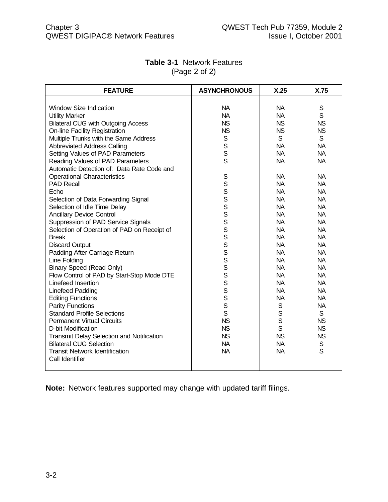| <b>FEATURE</b>                              | <b>ASYNCHRONOUS</b> | X.25         | X.75        |
|---------------------------------------------|---------------------|--------------|-------------|
|                                             |                     |              |             |
| <b>Window Size Indication</b>               | <b>NA</b>           | <b>NA</b>    | S           |
| <b>Utility Marker</b>                       | <b>NA</b>           | <b>NA</b>    | S           |
| <b>Bilateral CUG with Outgoing Access</b>   | <b>NS</b>           | <b>NS</b>    | <b>NS</b>   |
| <b>On-line Facility Registration</b>        | <b>NS</b>           | <b>NS</b>    | <b>NS</b>   |
| Multiple Trunks with the Same Address       | S                   | S            | S           |
| <b>Abbreviated Address Calling</b>          | S                   | <b>NA</b>    | <b>NA</b>   |
| Setting Values of PAD Parameters            | S                   | <b>NA</b>    | <b>NA</b>   |
| Reading Values of PAD Parameters            | S                   | <b>NA</b>    | <b>NA</b>   |
| Automatic Detection of: Data Rate Code and  |                     |              |             |
| <b>Operational Characteristics</b>          | S                   | <b>NA</b>    | <b>NA</b>   |
| <b>PAD Recall</b>                           |                     | <b>NA</b>    | <b>NA</b>   |
| Echo                                        |                     | <b>NA</b>    | <b>NA</b>   |
| Selection of Data Forwarding Signal         | S<br>S<br>S<br>S    | <b>NA</b>    | <b>NA</b>   |
| Selection of Idle Time Delay                |                     | <b>NA</b>    | <b>NA</b>   |
| <b>Ancillary Device Control</b>             | S                   | <b>NA</b>    | <b>NA</b>   |
| Suppression of PAD Service Signals          | S                   | <b>NA</b>    | <b>NA</b>   |
| Selection of Operation of PAD on Receipt of | S                   | <b>NA</b>    | <b>NA</b>   |
| <b>Break</b>                                | S                   | <b>NA</b>    | <b>NA</b>   |
| <b>Discard Output</b>                       | S                   | <b>NA</b>    | <b>NA</b>   |
| Padding After Carriage Return               | S                   | <b>NA</b>    | <b>NA</b>   |
| Line Folding                                | S                   | <b>NA</b>    | <b>NA</b>   |
| <b>Binary Speed (Read Only)</b>             | S                   | <b>NA</b>    | <b>NA</b>   |
| Flow Control of PAD by Start-Stop Mode DTE  | S                   | <b>NA</b>    | <b>NA</b>   |
| Linefeed Insertion                          | S                   | <b>NA</b>    | <b>NA</b>   |
| Linefeed Padding                            | S                   | <b>NA</b>    | <b>NA</b>   |
| <b>Editing Functions</b>                    | S                   | <b>NA</b>    | <b>NA</b>   |
| <b>Parity Functions</b>                     | S                   | $\mathsf S$  | <b>NA</b>   |
| <b>Standard Profile Selections</b>          | S                   | $\mathsf{S}$ | S           |
| <b>Permanent Virtual Circuits</b>           | <b>NS</b>           | $\mathsf S$  | <b>NS</b>   |
| D-bit Modification                          | <b>NS</b>           | $\mathsf{S}$ | <b>NS</b>   |
| Transmit Delay Selection and Notification   | <b>NS</b>           | <b>NS</b>    | <b>NS</b>   |
| <b>Bilateral CUG Selection</b>              | <b>NA</b>           | <b>NA</b>    | $\mathbb S$ |
| <b>Transit Network Identification</b>       | <b>NA</b>           | <b>NA</b>    | S           |
| Call Identifier                             |                     |              |             |
|                                             |                     |              |             |

### **Table 3-1** Network Features (Page 2 of 2)

**Note:** Network features supported may change with updated tariff filings.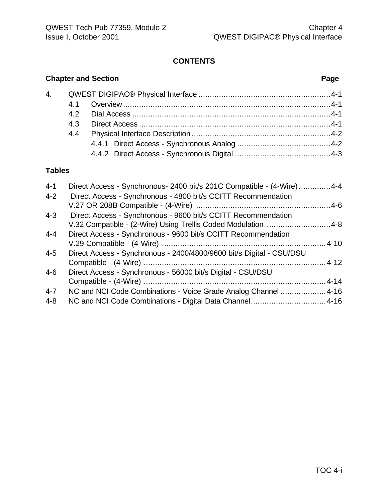# **CONTENTS**

# **Chapter and Section Page**

# **Tables**

| $4 - 1$ | Direct Access - Synchronous- 2400 bit/s 201C Compatible - (4-Wire)4-4 |  |
|---------|-----------------------------------------------------------------------|--|
| $4 - 2$ | Direct Access - Synchronous - 4800 bit/s CCITT Recommendation         |  |
|         |                                                                       |  |
| $4 - 3$ | Direct Access - Synchronous - 9600 bit/s CCITT Recommendation         |  |
|         | V.32 Compatible - (2-Wire) Using Trellis Coded Modulation 4-8         |  |
| $4 - 4$ | Direct Access - Synchronous - 9600 bit/s CCITT Recommendation         |  |
|         |                                                                       |  |
| $4 - 5$ | Direct Access - Synchronous - 2400/4800/9600 bit/s Digital - CSU/DSU  |  |
|         |                                                                       |  |
| $4-6$   | Direct Access - Synchronous - 56000 bit/s Digital - CSU/DSU           |  |
|         |                                                                       |  |
| $4 - 7$ | NC and NCI Code Combinations - Voice Grade Analog Channel 4-16        |  |
| $4 - 8$ |                                                                       |  |
|         |                                                                       |  |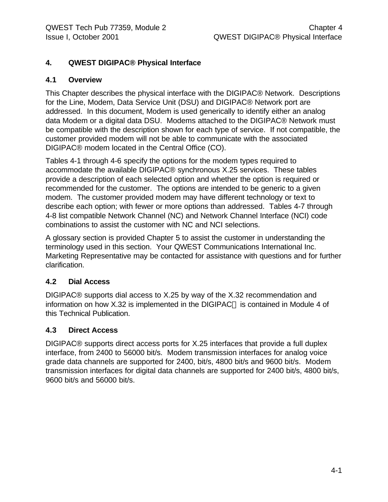# **4. QWEST DIGIPAC® Physical Interface**

#### **4.1 Overview**

This Chapter describes the physical interface with the DIGIPAC® Network. Descriptions for the Line, Modem, Data Service Unit (DSU) and DIGIPAC® Network port are addressed. In this document, Modem is used generically to identify either an analog data Modem or a digital data DSU. Modems attached to the DIGIPAC® Network must be compatible with the description shown for each type of service. If not compatible, the customer provided modem will not be able to communicate with the associated DIGIPAC® modem located in the Central Office (CO).

Tables 4-1 through 4-6 specify the options for the modem types required to accommodate the available DIGIPAC® synchronous X.25 services. These tables provide a description of each selected option and whether the option is required or recommended for the customer. The options are intended to be generic to a given modem. The customer provided modem may have different technology or text to describe each option; with fewer or more options than addressed. Tables 4-7 through 4-8 list compatible Network Channel (NC) and Network Channel Interface (NCI) code combinations to assist the customer with NC and NCI selections.

A glossary section is provided Chapter 5 to assist the customer in understanding the terminology used in this section. Your QWEST Communications International Inc. Marketing Representative may be contacted for assistance with questions and for further clarification.

### **4.2 Dial Access**

DIGIPAC® supports dial access to X.25 by way of the X.32 recommendation and information on how  $X.32$  is implemented in the DIGIPAC $\circledcirc$  is contained in Module 4 of this Technical Publication.

### **4.3 Direct Access**

DIGIPAC® supports direct access ports for X.25 interfaces that provide a full duplex interface, from 2400 to 56000 bit/s. Modem transmission interfaces for analog voice grade data channels are supported for 2400, bit/s, 4800 bit/s and 9600 bit/s. Modem transmission interfaces for digital data channels are supported for 2400 bit/s, 4800 bit/s, 9600 bit/s and 56000 bit/s.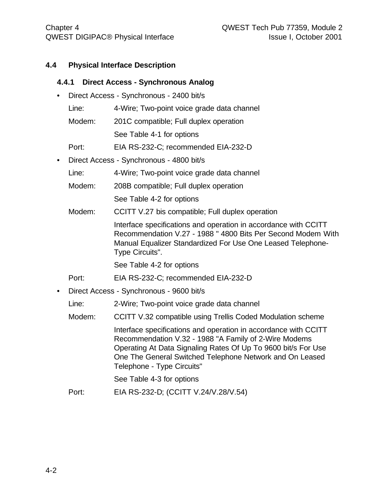#### **4.4 Physical Interface Description**

#### **4.4.1 Direct Access - Synchronous Analog**

- Direct Access Synchronous 2400 bit/s
	- Line: 4-Wire; Two-point voice grade data channel
	- Modem: 201C compatible; Full duplex operation
		- See Table 4-1 for options
	- Port: EIA RS-232-C; recommended EIA-232-D
- Direct Access Synchronous 4800 bit/s
	- Line: 4-Wire; Two-point voice grade data channel
	- Modem: 208B compatible; Full duplex operation See Table 4-2 for options
	- Modem: CCITT V.27 bis compatible; Full duplex operation

Interface specifications and operation in accordance with CCITT Recommendation V.27 - 1988 " 4800 Bits Per Second Modem With Manual Equalizer Standardized For Use One Leased Telephone-Type Circuits".

See Table 4-2 for options

- Port: EIA RS-232-C; recommended EIA-232-D
- Direct Access Synchronous 9600 bit/s
	- Line: 2-Wire; Two-point voice grade data channel
	- Modem: CCITT V.32 compatible using Trellis Coded Modulation scheme

Interface specifications and operation in accordance with CCITT Recommendation V.32 - 1988 "A Family of 2-Wire Modems Operating At Data Signaling Rates Of Up To 9600 bit/s For Use One The General Switched Telephone Network and On Leased Telephone - Type Circuits"

See Table 4-3 for options

Port: EIA RS-232-D; (CCITT V.24/V.28/V.54)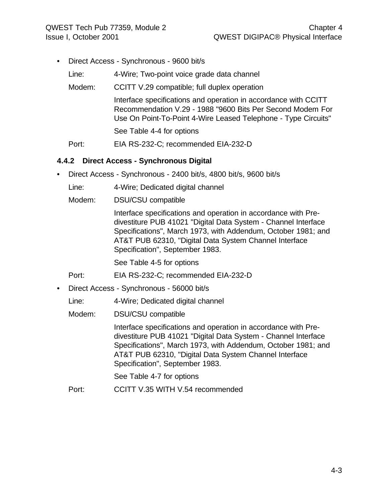- Direct Access Synchronous 9600 bit/s
	- Line: 4-Wire; Two-point voice grade data channel
	- Modem: CCITT V.29 compatible; full duplex operation

Interface specifications and operation in accordance with CCITT Recommendation V.29 - 1988 "9600 Bits Per Second Modem For Use On Point-To-Point 4-Wire Leased Telephone - Type Circuits"

See Table 4-4 for options

Port: EIA RS-232-C; recommended EIA-232-D

#### **4.4.2 Direct Access - Synchronous Digital**

• Direct Access - Synchronous - 2400 bit/s, 4800 bit/s, 9600 bit/s

Line: 4-Wire; Dedicated digital channel

Modem: DSU/CSU compatible

Interface specifications and operation in accordance with Predivestiture PUB 41021 "Digital Data System - Channel Interface Specifications", March 1973, with Addendum, October 1981; and AT&T PUB 62310, "Digital Data System Channel Interface Specification", September 1983.

See Table 4-5 for options

Port: EIA RS-232-C; recommended EIA-232-D

- Direct Access Synchronous 56000 bit/s
	- Line: 4-Wire; Dedicated digital channel
	- Modem: DSU/CSU compatible

Interface specifications and operation in accordance with Predivestiture PUB 41021 "Digital Data System - Channel Interface Specifications", March 1973, with Addendum, October 1981; and AT&T PUB 62310, "Digital Data System Channel Interface Specification", September 1983.

See Table 4-7 for options

Port: CCITT V.35 WITH V.54 recommended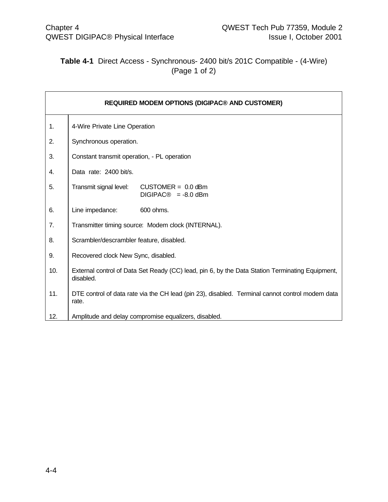# **Table 4-1** Direct Access - Synchronous- 2400 bit/s 201C Compatible - (4-Wire) (Page 1 of 2)

|     | <b>REQUIRED MODEM OPTIONS (DIGIPAC® AND CUSTOMER)</b>                                                        |
|-----|--------------------------------------------------------------------------------------------------------------|
| 1.  | 4-Wire Private Line Operation                                                                                |
| 2.  | Synchronous operation.                                                                                       |
| 3.  | Constant transmit operation, - PL operation                                                                  |
| 4.  | Data rate: 2400 bit/s.                                                                                       |
| 5.  | Transmit signal level:<br>$CUSTOMER = 0.0$ dBm<br>$DIGIPAC@ = -8.0$ dBm                                      |
| 6.  | Line impedance:<br>600 ohms.                                                                                 |
| 7.  | Transmitter timing source: Modem clock (INTERNAL).                                                           |
| 8.  | Scrambler/descrambler feature, disabled.                                                                     |
| 9.  | Recovered clock New Sync, disabled.                                                                          |
| 10. | External control of Data Set Ready (CC) lead, pin 6, by the Data Station Terminating Equipment,<br>disabled. |
| 11. | DTE control of data rate via the CH lead (pin 23), disabled. Terminal cannot control modem data<br>rate.     |
| 12. | Amplitude and delay compromise equalizers, disabled.                                                         |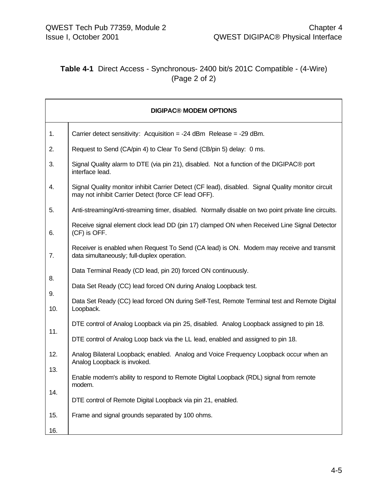# **Table 4-1** Direct Access - Synchronous- 2400 bit/s 201C Compatible - (4-Wire) (Page 2 of 2)

|            | <b>DIGIPAC® MODEM OPTIONS</b>                                                                                                                            |
|------------|----------------------------------------------------------------------------------------------------------------------------------------------------------|
| 1.         | Carrier detect sensitivity: Acquisition = -24 dBm Release = -29 dBm.                                                                                     |
| 2.         | Request to Send (CA/pin 4) to Clear To Send (CB/pin 5) delay: 0 ms.                                                                                      |
| 3.         | Signal Quality alarm to DTE (via pin 21), disabled. Not a function of the DIGIPAC® port<br>interface lead.                                               |
| 4.         | Signal Quality monitor inhibit Carrier Detect (CF lead), disabled. Signal Quality monitor circuit<br>may not inhibit Carrier Detect (force CF lead OFF). |
| 5.         | Anti-streaming/Anti-streaming timer, disabled. Normally disable on two point private line circuits.                                                      |
| 6.         | Receive signal element clock lead DD (pin 17) clamped ON when Received Line Signal Detector<br>(CF) is OFF.                                              |
| 7.         | Receiver is enabled when Request To Send (CA lead) is ON. Modem may receive and transmit<br>data simultaneously; full-duplex operation.                  |
|            | Data Terminal Ready (CD lead, pin 20) forced ON continuously.                                                                                            |
| 8.         | Data Set Ready (CC) lead forced ON during Analog Loopback test.                                                                                          |
| 9.<br>10.  | Data Set Ready (CC) lead forced ON during Self-Test, Remote Terminal test and Remote Digital<br>Loopback.                                                |
|            | DTE control of Analog Loopback via pin 25, disabled. Analog Loopback assigned to pin 18.                                                                 |
| 11.        | DTE control of Analog Loop back via the LL lead, enabled and assigned to pin 18.                                                                         |
| 12.        | Analog Bilateral Loopback; enabled. Analog and Voice Frequency Loopback occur when an<br>Analog Loopback is invoked.                                     |
| 13.        | Enable modem's ability to respond to Remote Digital Loopback (RDL) signal from remote<br>modem.                                                          |
| 14.        | DTE control of Remote Digital Loopback via pin 21, enabled.                                                                                              |
| 15.<br>16. | Frame and signal grounds separated by 100 ohms.                                                                                                          |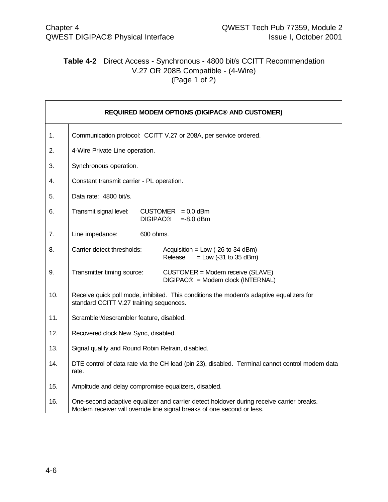# **Table 4-2** Direct Access - Synchronous - 4800 bit/s CCITT Recommendation V.27 OR 208B Compatible - (4-Wire) (Page 1 of 2)

|     | <b>REQUIRED MODEM OPTIONS (DIGIPAC® AND CUSTOMER)</b>                                                                                                              |  |  |
|-----|--------------------------------------------------------------------------------------------------------------------------------------------------------------------|--|--|
| 1.  | Communication protocol: CCITT V.27 or 208A, per service ordered.                                                                                                   |  |  |
| 2.  | 4-Wire Private Line operation.                                                                                                                                     |  |  |
| 3.  | Synchronous operation.                                                                                                                                             |  |  |
| 4.  | Constant transmit carrier - PL operation.                                                                                                                          |  |  |
| 5.  | Data rate: 4800 bit/s.                                                                                                                                             |  |  |
| 6.  | Transmit signal level:<br>$CUSTOMER = 0.0$ dBm<br><b>DIGIPAC®</b><br>$= -8.0$ dBm                                                                                  |  |  |
| 7.  | Line impedance:<br>600 ohms.                                                                                                                                       |  |  |
| 8.  | Carrier detect thresholds:<br>Acquisition = Low $(-26 \text{ to } 34 \text{ dBm})$<br>Release<br>$=$ Low (-31 to 35 dBm)                                           |  |  |
| 9.  | Transmitter timing source:<br>CUSTOMER = Modem receive (SLAVE)<br>$DIGIPAC@ = Modem clock (INTERNAL)$                                                              |  |  |
| 10. | Receive quick poll mode, inhibited. This conditions the modem's adaptive equalizers for<br>standard CCITT V.27 training sequences.                                 |  |  |
| 11. | Scrambler/descrambler feature, disabled.                                                                                                                           |  |  |
| 12. | Recovered clock New Sync, disabled.                                                                                                                                |  |  |
| 13. | Signal quality and Round Robin Retrain, disabled.                                                                                                                  |  |  |
| 14. | DTE control of data rate via the CH lead (pin 23), disabled. Terminal cannot control modem data<br>rate.                                                           |  |  |
| 15. | Amplitude and delay compromise equalizers, disabled.                                                                                                               |  |  |
| 16. | One-second adaptive equalizer and carrier detect holdover during receive carrier breaks.<br>Modem receiver will override line signal breaks of one second or less. |  |  |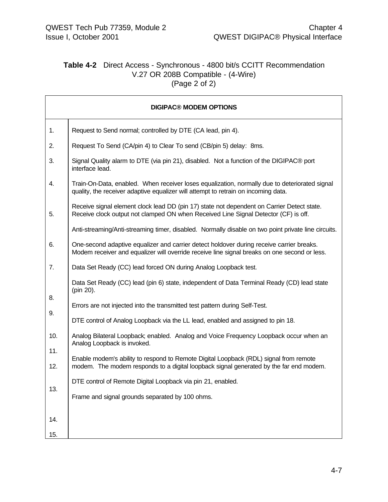# **Table 4-2** Direct Access - Synchronous - 4800 bit/s CCITT Recommendation V.27 OR 208B Compatible - (4-Wire) (Page 2 of 2)

|     | <b>DIGIPAC® MODEM OPTIONS</b>                                                                                                                                                            |
|-----|------------------------------------------------------------------------------------------------------------------------------------------------------------------------------------------|
| 1.  | Request to Send normal; controlled by DTE (CA lead, pin 4).                                                                                                                              |
| 2.  | Request To Send (CA/pin 4) to Clear To send (CB/pin 5) delay: 8ms.                                                                                                                       |
| 3.  | Signal Quality alarm to DTE (via pin 21), disabled. Not a function of the DIGIPAC® port<br>interface lead.                                                                               |
| 4.  | Train-On-Data, enabled. When receiver loses equalization, normally due to deteriorated signal<br>quality, the receiver adaptive equalizer will attempt to retrain on incoming data.      |
| 5.  | Receive signal element clock lead DD (pin 17) state not dependent on Carrier Detect state.<br>Receive clock output not clamped ON when Received Line Signal Detector (CF) is off.        |
|     | Anti-streaming/Anti-streaming timer, disabled. Normally disable on two point private line circuits.                                                                                      |
| 6.  | One-second adaptive equalizer and carrier detect holdover during receive carrier breaks.<br>Modem receiver and equalizer will override receive line signal breaks on one second or less. |
| 7.  | Data Set Ready (CC) lead forced ON during Analog Loopback test.                                                                                                                          |
|     | Data Set Ready (CC) lead (pin 6) state, independent of Data Terminal Ready (CD) lead state<br>(pin 20).                                                                                  |
| 8.  | Errors are not injected into the transmitted test pattern during Self-Test.                                                                                                              |
| 9.  | DTE control of Analog Loopback via the LL lead, enabled and assigned to pin 18.                                                                                                          |
| 10. | Analog Bilateral Loopback; enabled. Analog and Voice Frequency Loopback occur when an                                                                                                    |
| 11. | Analog Loopback is invoked.                                                                                                                                                              |
| 12. | Enable modem's ability to respond to Remote Digital Loopback (RDL) signal from remote<br>modem. The modem responds to a digital loopback signal generated by the far end modem.          |
|     | DTE control of Remote Digital Loopback via pin 21, enabled.                                                                                                                              |
| 13. | Frame and signal grounds separated by 100 ohms.                                                                                                                                          |
| 14. |                                                                                                                                                                                          |
| 15. |                                                                                                                                                                                          |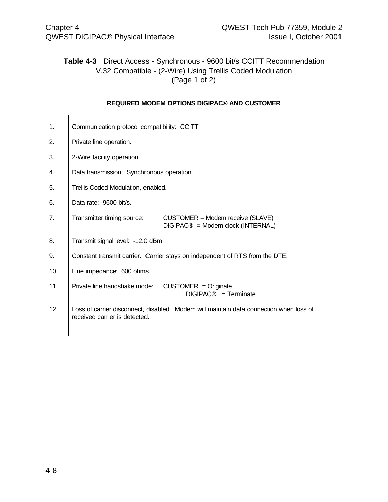# **Table 4-3** Direct Access - Synchronous - 9600 bit/s CCITT Recommendation V.32 Compatible - (2-Wire) Using Trellis Coded Modulation (Page 1 of 2)

|     | <b>REQUIRED MODEM OPTIONS DIGIPAC® AND CUSTOMER</b>                                                                     |  |  |  |
|-----|-------------------------------------------------------------------------------------------------------------------------|--|--|--|
| 1.  | Communication protocol compatibility: CCITT                                                                             |  |  |  |
| 2.  | Private line operation.                                                                                                 |  |  |  |
| 3.  | 2-Wire facility operation.                                                                                              |  |  |  |
| 4.  | Data transmission: Synchronous operation.                                                                               |  |  |  |
| 5.  | Trellis Coded Modulation, enabled.                                                                                      |  |  |  |
| 6.  | Data rate: 9600 bit/s.                                                                                                  |  |  |  |
| 7.  | Transmitter timing source:<br>CUSTOMER = Modem receive (SLAVE)<br>DIGIPAC® = Modem clock (INTERNAL)                     |  |  |  |
| 8.  | Transmit signal level: -12.0 dBm                                                                                        |  |  |  |
| 9.  | Constant transmit carrier. Carrier stays on independent of RTS from the DTE.                                            |  |  |  |
| 10. | Line impedance: 600 ohms.                                                                                               |  |  |  |
| 11. | Private line handshake mode:<br>$CUSTOMER = Originate$<br>DIGIPAC <sup>®</sup> = Terminate                              |  |  |  |
| 12. | Loss of carrier disconnect, disabled. Modem will maintain data connection when loss of<br>received carrier is detected. |  |  |  |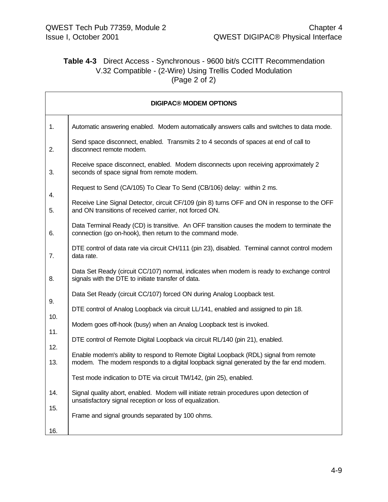# **Table 4-3** Direct Access - Synchronous - 9600 bit/s CCITT Recommendation V.32 Compatible - (2-Wire) Using Trellis Coded Modulation (Page 2 of 2)

|            | <b>DIGIPAC® MODEM OPTIONS</b>                                                                                                                                                   |
|------------|---------------------------------------------------------------------------------------------------------------------------------------------------------------------------------|
| 1.         | Automatic answering enabled. Modem automatically answers calls and switches to data mode.                                                                                       |
| 2.         | Send space disconnect, enabled. Transmits 2 to 4 seconds of spaces at end of call to<br>disconnect remote modem.                                                                |
| 3.         | Receive space disconnect, enabled. Modem disconnects upon receiving approximately 2<br>seconds of space signal from remote modem.                                               |
| 4.         | Request to Send (CA/105) To Clear To Send (CB/106) delay: within 2 ms.                                                                                                          |
| 5.         | Receive Line Signal Detector, circuit CF/109 (pin 8) turns OFF and ON in response to the OFF<br>and ON transitions of received carrier, not forced ON.                          |
| 6.         | Data Terminal Ready (CD) is transitive. An OFF transition causes the modem to terminate the<br>connection (go on-hook), then return to the command mode.                        |
| 7.         | DTE control of data rate via circuit CH/111 (pin 23), disabled. Terminal cannot control modem<br>data rate.                                                                     |
| 8.         | Data Set Ready (circuit CC/107) normal, indicates when modem is ready to exchange control<br>signals with the DTE to initiate transfer of data.                                 |
| 9.         | Data Set Ready (circuit CC/107) forced ON during Analog Loopback test.                                                                                                          |
| 10.        | DTE control of Analog Loopback via circuit LL/141, enabled and assigned to pin 18.                                                                                              |
| 11.        | Modem goes off-hook (busy) when an Analog Loopback test is invoked.                                                                                                             |
| 12.        | DTE control of Remote Digital Loopback via circuit RL/140 (pin 21), enabled.                                                                                                    |
| 13.        | Enable modem's ability to respond to Remote Digital Loopback (RDL) signal from remote<br>modem. The modem responds to a digital loopback signal generated by the far end modem. |
|            | Test mode indication to DTE via circuit TM/142, (pin 25), enabled.                                                                                                              |
| 14.        | Signal quality abort, enabled. Modem will initiate retrain procedures upon detection of<br>unsatisfactory signal reception or loss of equalization.                             |
| 15.<br>16. | Frame and signal grounds separated by 100 ohms.                                                                                                                                 |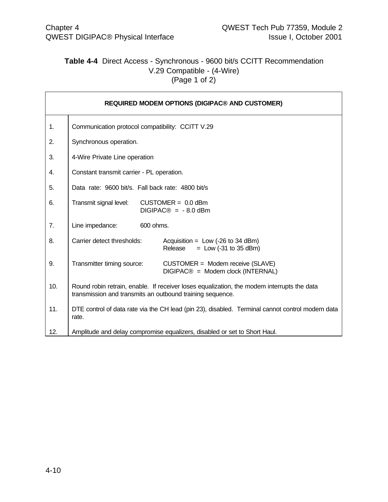# **Table 4-4** Direct Access - Synchronous - 9600 bit/s CCITT Recommendation V.29 Compatible - (4-Wire) (Page 1 of 2)

|     | <b>REQUIRED MODEM OPTIONS (DIGIPAC® AND CUSTOMER)</b>                                                                                                   |  |  |  |  |  |
|-----|---------------------------------------------------------------------------------------------------------------------------------------------------------|--|--|--|--|--|
| 1.  | Communication protocol compatibility: CCITT V.29                                                                                                        |  |  |  |  |  |
| 2.  | Synchronous operation.                                                                                                                                  |  |  |  |  |  |
| 3.  | 4-Wire Private Line operation                                                                                                                           |  |  |  |  |  |
| 4.  | Constant transmit carrier - PL operation.                                                                                                               |  |  |  |  |  |
| 5.  | Data rate: 9600 bit/s. Fall back rate: 4800 bit/s                                                                                                       |  |  |  |  |  |
| 6.  | Transmit signal level:<br>$CUSTOMER = 0.0$ dBm<br>$DIGIPAC@ = -8.0$ dBm                                                                                 |  |  |  |  |  |
| 7.  | Line impedance:<br>600 ohms.                                                                                                                            |  |  |  |  |  |
| 8.  | Carrier detect thresholds:<br>Acquisition = $Low$ (-26 to 34 dBm)<br>Release<br>$=$ Low (-31 to 35 dBm)                                                 |  |  |  |  |  |
| 9.  | Transmitter timing source:<br>CUSTOMER = Modem receive (SLAVE)<br>DIGIPAC <sup>®</sup> = Modem clock (INTERNAL)                                         |  |  |  |  |  |
| 10. | Round robin retrain, enable. If receiver loses equalization, the modem interrupts the data<br>transmission and transmits an outbound training sequence. |  |  |  |  |  |
| 11. | DTE control of data rate via the CH lead (pin 23), disabled. Terminal cannot control modem data<br>rate.                                                |  |  |  |  |  |
| 12. | Amplitude and delay compromise equalizers, disabled or set to Short Haul.                                                                               |  |  |  |  |  |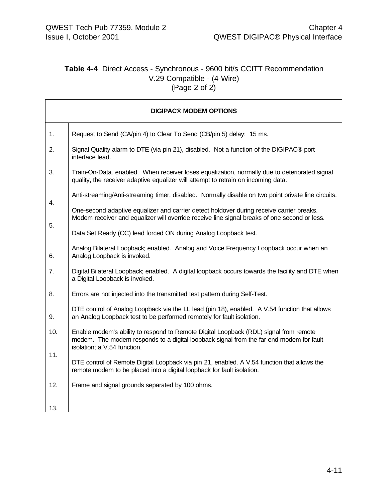# **Table 4-4** Direct Access - Synchronous - 9600 bit/s CCITT Recommendation V.29 Compatible - (4-Wire) (Page 2 of 2)

|     | <b>DIGIPAC® MODEM OPTIONS</b>                                                                                                                                                                                   |
|-----|-----------------------------------------------------------------------------------------------------------------------------------------------------------------------------------------------------------------|
| 1.  | Request to Send (CA/pin 4) to Clear To Send (CB/pin 5) delay: 15 ms.                                                                                                                                            |
| 2.  | Signal Quality alarm to DTE (via pin 21), disabled. Not a function of the DIGIPAC® port<br>interface lead.                                                                                                      |
| 3.  | Train-On-Data. enabled. When receiver loses equalization, normally due to deteriorated signal<br>quality, the receiver adaptive equalizer will attempt to retrain on incoming data.                             |
| 4.  | Anti-streaming/Anti-streaming timer, disabled. Normally disable on two point private line circuits.                                                                                                             |
| 5.  | One-second adaptive equalizer and carrier detect holdover during receive carrier breaks.<br>Modem receiver and equalizer will override receive line signal breaks of one second or less.                        |
|     | Data Set Ready (CC) lead forced ON during Analog Loopback test.                                                                                                                                                 |
| 6.  | Analog Bilateral Loopback; enabled. Analog and Voice Frequency Loopback occur when an<br>Analog Loopback is invoked.                                                                                            |
| 7.  | Digital Bilateral Loopback; enabled. A digital loopback occurs towards the facility and DTE when<br>a Digital Loopback is invoked.                                                                              |
| 8.  | Errors are not injected into the transmitted test pattern during Self-Test.                                                                                                                                     |
| 9.  | DTE control of Analog Loopback via the LL lead (pin 18), enabled. A V.54 function that allows<br>an Analog Loopback test to be performed remotely for fault isolation.                                          |
| 10. | Enable modem's ability to respond to Remote Digital Loopback (RDL) signal from remote<br>modem. The modem responds to a digital loopback signal from the far end modem for fault<br>isolation; a V.54 function. |
| 11. | DTE control of Remote Digital Loopback via pin 21, enabled. A V.54 function that allows the<br>remote modem to be placed into a digital loopback for fault isolation.                                           |
| 12. | Frame and signal grounds separated by 100 ohms.                                                                                                                                                                 |
| 13. |                                                                                                                                                                                                                 |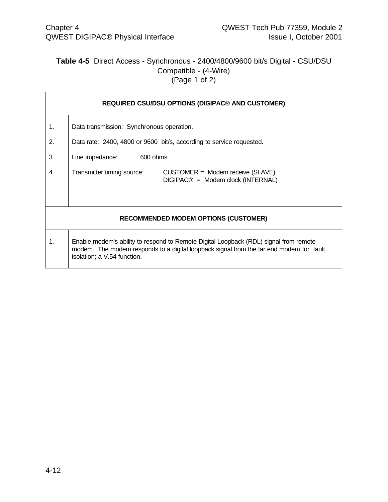# **Table 4-5** Direct Access - Synchronous - 2400/4800/9600 bit/s Digital - CSU/DSU Compatible - (4-Wire) (Page 1 of 2)

|    | <b>REQUIRED CSU/DSU OPTIONS (DIGIPAC® AND CUSTOMER)</b>                                                                                                                                                         |  |  |  |  |  |
|----|-----------------------------------------------------------------------------------------------------------------------------------------------------------------------------------------------------------------|--|--|--|--|--|
| 1. | Data transmission: Synchronous operation.                                                                                                                                                                       |  |  |  |  |  |
| 2. | Data rate: 2400, 4800 or 9600 bit/s, according to service requested.                                                                                                                                            |  |  |  |  |  |
| 3. | Line impedance:<br>600 ohms.                                                                                                                                                                                    |  |  |  |  |  |
| 4. | Transmitter timing source:<br>CUSTOMER = Modem receive (SLAVE)<br>$DIGIPAC@ = Modem clock (INTERNAL)$                                                                                                           |  |  |  |  |  |
|    | <b>RECOMMENDED MODEM OPTIONS (CUSTOMER)</b>                                                                                                                                                                     |  |  |  |  |  |
| 1. | Enable modem's ability to respond to Remote Digital Loopback (RDL) signal from remote<br>modem. The modem responds to a digital loopback signal from the far end modem for fault<br>isolation; a V.54 function. |  |  |  |  |  |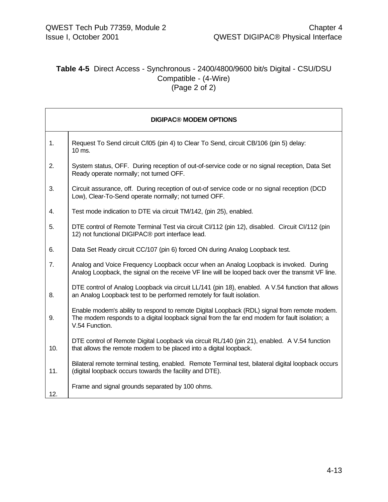# **Table 4-5** Direct Access - Synchronous - 2400/4800/9600 bit/s Digital - CSU/DSU Compatible - (4-Wire) (Page 2 of 2)

|     | <b>DIGIPAC® MODEM OPTIONS</b>                                                                                                                                                                                   |  |  |  |  |
|-----|-----------------------------------------------------------------------------------------------------------------------------------------------------------------------------------------------------------------|--|--|--|--|
| 1.  | Request To Send circuit C/l05 (pin 4) to Clear To Send, circuit CB/106 (pin 5) delay:<br>10 ms.                                                                                                                 |  |  |  |  |
| 2.  | System status, OFF. During reception of out-of-service code or no signal reception, Data Set<br>Ready operate normally; not turned OFF.                                                                         |  |  |  |  |
| 3.  | Circuit assurance, off. During reception of out-of service code or no signal reception (DCD<br>Low), Clear-To-Send operate normally; not turned OFF.                                                            |  |  |  |  |
| 4.  | Test mode indication to DTE via circuit TM/142, (pin 25), enabled.                                                                                                                                              |  |  |  |  |
| 5.  | DTE control of Remote Terminal Test via circuit CI/112 (pin 12), disabled. Circuit CI/112 (pin<br>12) not functional DIGIPAC® port interface lead.                                                              |  |  |  |  |
| 6.  | Data Set Ready circuit CC/107 (pin 6) forced ON during Analog Loopback test.                                                                                                                                    |  |  |  |  |
| 7.  | Analog and Voice Frequency Loopback occur when an Analog Loopback is invoked. During<br>Analog Loopback, the signal on the receive VF line will be looped back over the transmit VF line.                       |  |  |  |  |
| 8.  | DTE control of Analog Loopback via circuit LL/141 (pin 18), enabled. A V.54 function that allows<br>an Analog Loopback test to be performed remotely for fault isolation.                                       |  |  |  |  |
| 9.  | Enable modem's ability to respond to remote Digital Loopback (RDL) signal from remote modem.<br>The modem responds to a digital loopback signal from the far end modem for fault isolation; a<br>V.54 Function. |  |  |  |  |
| 10. | DTE control of Remote Digital Loopback via circuit RL/140 (pin 21), enabled. A V.54 function<br>that allows the remote modem to be placed into a digital loopback.                                              |  |  |  |  |
| 11. | Bilateral remote terminal testing, enabled. Remote Terminal test, bilateral digital loopback occurs<br>(digital loopback occurs towards the facility and DTE).                                                  |  |  |  |  |
| 12. | Frame and signal grounds separated by 100 ohms.                                                                                                                                                                 |  |  |  |  |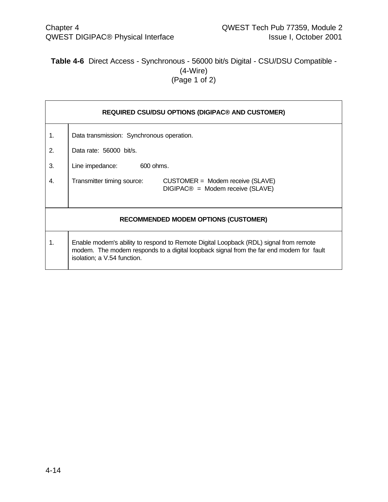# **Table 4-6** Direct Access - Synchronous - 56000 bit/s Digital - CSU/DSU Compatible - (4-Wire) (Page 1 of 2)

|    | <b>REQUIRED CSU/DSU OPTIONS (DIGIPAC® AND CUSTOMER)</b>                                                                                                                                                         |  |  |  |  |  |
|----|-----------------------------------------------------------------------------------------------------------------------------------------------------------------------------------------------------------------|--|--|--|--|--|
| 1. | Data transmission: Synchronous operation.                                                                                                                                                                       |  |  |  |  |  |
| 2. | Data rate: 56000 bit/s.                                                                                                                                                                                         |  |  |  |  |  |
| 3. | Line impedance:<br>600 ohms.                                                                                                                                                                                    |  |  |  |  |  |
| 4. | Transmitter timing source:<br>CUSTOMER = Modem receive (SLAVE)<br>$DIGIPAC@ = Modem receive (SLAVE)$                                                                                                            |  |  |  |  |  |
|    | <b>RECOMMENDED MODEM OPTIONS (CUSTOMER)</b>                                                                                                                                                                     |  |  |  |  |  |
| 1. | Enable modem's ability to respond to Remote Digital Loopback (RDL) signal from remote<br>modem. The modem responds to a digital loopback signal from the far end modem for fault<br>isolation; a V.54 function. |  |  |  |  |  |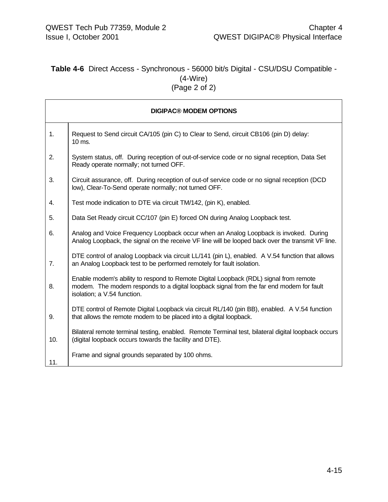# **Table 4-6** Direct Access - Synchronous - 56000 bit/s Digital - CSU/DSU Compatible - (4-Wire) (Page 2 of 2)

|     | <b>DIGIPAC® MODEM OPTIONS</b>                                                                                                                                                                                   |
|-----|-----------------------------------------------------------------------------------------------------------------------------------------------------------------------------------------------------------------|
| 1.  | Request to Send circuit CA/105 (pin C) to Clear to Send, circuit CB106 (pin D) delay:<br>10 ms.                                                                                                                 |
| 2.  | System status, off. During reception of out-of-service code or no signal reception, Data Set<br>Ready operate normally; not turned OFF.                                                                         |
| 3.  | Circuit assurance, off. During reception of out-of service code or no signal reception (DCD<br>low), Clear-To-Send operate normally; not turned OFF.                                                            |
| 4.  | Test mode indication to DTE via circuit TM/142, (pin K), enabled.                                                                                                                                               |
| 5.  | Data Set Ready circuit CC/107 (pin E) forced ON during Analog Loopback test.                                                                                                                                    |
| 6.  | Analog and Voice Frequency Loopback occur when an Analog Loopback is invoked. During<br>Analog Loopback, the signal on the receive VF line will be looped back over the transmit VF line.                       |
| 7.  | DTE control of analog Loopback via circuit LL/141 (pin L), enabled. A V.54 function that allows<br>an Analog Loopback test to be performed remotely for fault isolation.                                        |
| 8.  | Enable modem's ability to respond to Remote Digital Loopback (RDL) signal from remote<br>modem. The modem responds to a digital loopback signal from the far end modem for fault<br>isolation; a V.54 function. |
| 9.  | DTE control of Remote Digital Loopback via circuit RL/140 (pin BB), enabled. A V.54 function<br>that allows the remote modem to be placed into a digital loopback.                                              |
| 10. | Bilateral remote terminal testing, enabled. Remote Terminal test, bilateral digital loopback occurs<br>(digital loopback occurs towards the facility and DTE).                                                  |
| 11. | Frame and signal grounds separated by 100 ohms.                                                                                                                                                                 |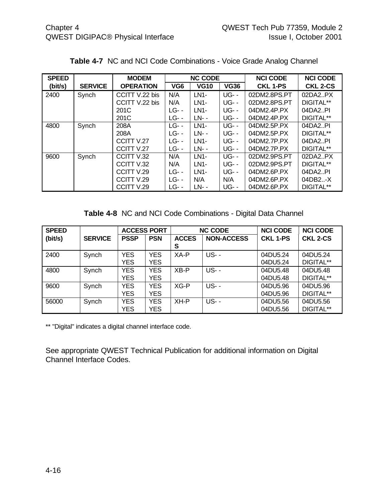| <b>SPEED</b> |                | <b>MODEM</b>     |                 | <b>NC CODE</b> |             | <b>NCI CODE</b> | <b>NCI CODE</b> |
|--------------|----------------|------------------|-----------------|----------------|-------------|-----------------|-----------------|
| (bit/s)      | <b>SERVICE</b> | <b>OPERATION</b> | VG <sub>6</sub> | <b>VG10</b>    | <b>VG36</b> | <b>CKL 1-PS</b> | <b>CKL 2-CS</b> |
| 2400         | Synch          | CCITT V.22 bis   | N/A             | <b>LN1-</b>    | <b>UG--</b> | 02DM2.8PS.PT    | 02DA2.PX        |
|              |                | CCITT V.22 bis   | N/A             | LN1-           | <b>UG--</b> | 02DM2.8PS.PT    | DIGITAL**       |
|              |                | 201C             | $LG -$          | LN1-           | <b>UG--</b> | 04DM2.4P.PX     | 04DA2PI         |
|              |                | 201C             | <b>LG--</b>     | LN- -          | <b>UG--</b> | 04DM2.4P.PX     | DIGITAL**       |
| 4800         | Synch          | 208A             | <b>LG--</b>     | LN1-           | <b>UG--</b> | 04DM2.5P.PX     | 04DA2PI         |
|              |                | 208A             | <b>LG--</b>     | LN- -          | <b>UG--</b> | 04DM2.5P.PX     | DIGITAL**       |
|              |                | CCITT V.27       | $LG -$          | LN1-           | <b>UG--</b> | 04DM2.7P.PX     | 04DA2PI         |
|              |                | CCITT V.27       | <b>LG--</b>     | LN- -          | <b>UG--</b> | 04DM2.7P.PX     | DIGITAL**       |
| 9600         | Synch          | CCITTV.32        | N/A             | LN1-           | $UG$ - -    | 02DM2.9PS.PT    | 02DA2.PX        |
|              |                | CCITT V.32       | N/A             | LN1-           | <b>UG--</b> | 02DM2.9PS.PT    | DIGITAL**       |
|              |                | CCITT V.29       | $LG -$          | LN1-           | <b>UG--</b> | 04DM2.6P.PX     | 04DA2PI         |
|              |                | CCITT V.29       | $LG -$          | N/A            | N/A         | 04DM2.6P.PX     | 04DB2X          |
|              |                | CCITT V.29       | LG- -           | LN- -          | <b>UG--</b> | 04DM2.6P.PX     | DIGITAL**       |

**Table 4-7** NC and NCI Code Combinations - Voice Grade Analog Channel

**Table 4-8** NC and NCI Code Combinations - Digital Data Channel

| <b>SPEED</b> |                | <b>ACCESS PORT</b>       |                          |                   | <b>NC CODE</b>    | <b>NCI CODE</b>      | <b>NCI CODE</b>       |
|--------------|----------------|--------------------------|--------------------------|-------------------|-------------------|----------------------|-----------------------|
| (bit/s)      | <b>SERVICE</b> | <b>PSSP</b>              | <b>PSN</b>               | <b>ACCES</b><br>S | <b>NON-ACCESS</b> | <b>CKL 1-PS</b>      | <b>CKL 2-CS</b>       |
| 2400         | Synch          | <b>YES</b><br><b>YES</b> | <b>YES</b><br><b>YES</b> | XA-P              | <b>US--</b>       | 04DU5.24<br>04DU5.24 | 04DU5.24<br>DIGITAL** |
| 4800         | Synch          | <b>YES</b><br><b>YES</b> | <b>YES</b><br>YES.       | $XB - P$          | <b>US--</b>       | 04DU5.48<br>04DU5.48 | 04DU5.48<br>DIGITAL** |
| 9600         | Synch          | <b>YES</b><br><b>YES</b> | <b>YES</b><br><b>YES</b> | $XG-P$            | <b>US--</b>       | 04DU5.96<br>04DU5.96 | 04DU5.96<br>DIGITAL** |
| 56000        | Synch          | <b>YES</b><br><b>YES</b> | <b>YES</b><br><b>YES</b> | XH-P              | <b>US--</b>       | 04DU5.56<br>04DU5.56 | 04DU5.56<br>DIGITAL** |

\*\* "Digital" indicates a digital channel interface code.

See appropriate QWEST Technical Publication for additional information on Digital Channel Interface Codes.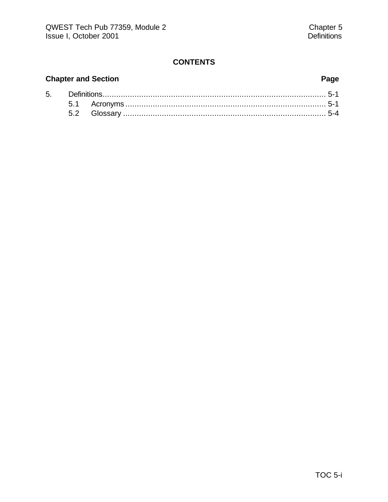# **CONTENTS**

# **Chapter and Section Page**

| 5. |  |  |  |  |
|----|--|--|--|--|
|    |  |  |  |  |
|    |  |  |  |  |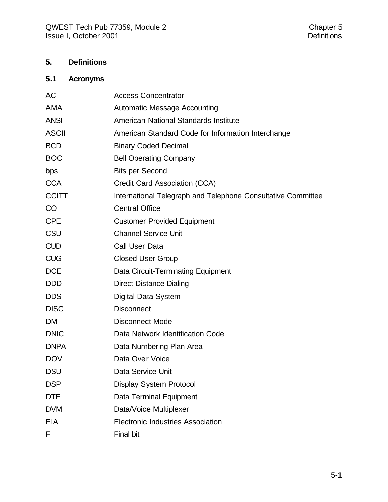# **5. Definitions**

# **5.1 Acronyms**

| AC           | <b>Access Concentrator</b>                                   |
|--------------|--------------------------------------------------------------|
| <b>AMA</b>   | <b>Automatic Message Accounting</b>                          |
| <b>ANSI</b>  | American National Standards Institute                        |
| <b>ASCII</b> | American Standard Code for Information Interchange           |
| <b>BCD</b>   | <b>Binary Coded Decimal</b>                                  |
| <b>BOC</b>   | <b>Bell Operating Company</b>                                |
| bps          | <b>Bits per Second</b>                                       |
| <b>CCA</b>   | Credit Card Association (CCA)                                |
| <b>CCITT</b> | International Telegraph and Telephone Consultative Committee |
| CO           | <b>Central Office</b>                                        |
| <b>CPE</b>   | <b>Customer Provided Equipment</b>                           |
| CSU          | <b>Channel Service Unit</b>                                  |
| <b>CUD</b>   | <b>Call User Data</b>                                        |
| <b>CUG</b>   | <b>Closed User Group</b>                                     |
| <b>DCE</b>   | Data Circuit-Terminating Equipment                           |
| <b>DDD</b>   | <b>Direct Distance Dialing</b>                               |
| <b>DDS</b>   | Digital Data System                                          |
| <b>DISC</b>  | <b>Disconnect</b>                                            |
| <b>DM</b>    | <b>Disconnect Mode</b>                                       |
| <b>DNIC</b>  | Data Network Identification Code                             |
| <b>DNPA</b>  | Data Numbering Plan Area                                     |
| <b>DOV</b>   | Data Over Voice                                              |
| <b>DSU</b>   | Data Service Unit                                            |
| <b>DSP</b>   | <b>Display System Protocol</b>                               |
| <b>DTE</b>   | Data Terminal Equipment                                      |
| <b>DVM</b>   | Data/Voice Multiplexer                                       |
| <b>EIA</b>   | <b>Electronic Industries Association</b>                     |
| F            | <b>Final bit</b>                                             |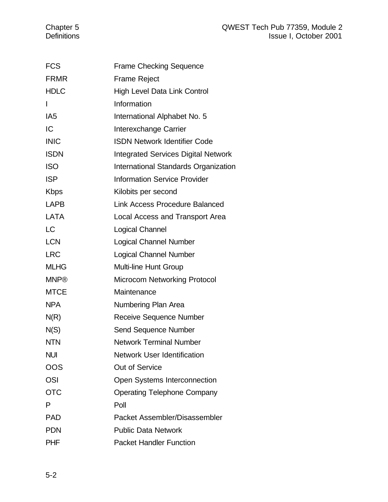| <b>FCS</b>      | <b>Frame Checking Sequence</b>             |
|-----------------|--------------------------------------------|
| <b>FRMR</b>     | <b>Frame Reject</b>                        |
| <b>HDLC</b>     | High Level Data Link Control               |
| $\mathsf{I}$    | Information                                |
| IA <sub>5</sub> | International Alphabet No. 5               |
| IC              | Interexchange Carrier                      |
| <b>INIC</b>     | <b>ISDN Network Identifier Code</b>        |
| <b>ISDN</b>     | <b>Integrated Services Digital Network</b> |
| <b>ISO</b>      | International Standards Organization       |
| <b>ISP</b>      | <b>Information Service Provider</b>        |
| <b>Kbps</b>     | Kilobits per second                        |
| <b>LAPB</b>     | <b>Link Access Procedure Balanced</b>      |
| <b>LATA</b>     | Local Access and Transport Area            |
| <b>LC</b>       | Logical Channel                            |
| <b>LCN</b>      | <b>Logical Channel Number</b>              |
| <b>LRC</b>      | <b>Logical Channel Number</b>              |
| <b>MLHG</b>     | <b>Multi-line Hunt Group</b>               |
| <b>MNP®</b>     | <b>Microcom Networking Protocol</b>        |
| <b>MTCE</b>     | Maintenance                                |
| <b>NPA</b>      | Numbering Plan Area                        |
| N(R)            | Receive Sequence Number                    |
| N(S)            | <b>Send Sequence Number</b>                |
| <b>NTN</b>      | <b>Network Terminal Number</b>             |
| <b>NUI</b>      | <b>Network User Identification</b>         |
| OOS             | <b>Out of Service</b>                      |
| <b>OSI</b>      | <b>Open Systems Interconnection</b>        |
| <b>OTC</b>      | <b>Operating Telephone Company</b>         |
| P               | Poll                                       |
| <b>PAD</b>      | Packet Assembler/Disassembler              |
| PDN             | <b>Public Data Network</b>                 |
| <b>PHF</b>      | <b>Packet Handler Function</b>             |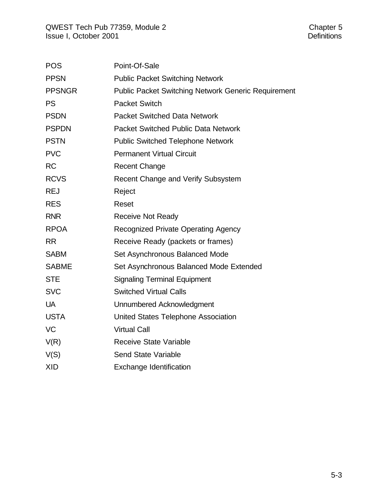| <b>POS</b>    | Point-Of-Sale                                       |
|---------------|-----------------------------------------------------|
| <b>PPSN</b>   | <b>Public Packet Switching Network</b>              |
| <b>PPSNGR</b> | Public Packet Switching Network Generic Requirement |
| <b>PS</b>     | <b>Packet Switch</b>                                |
| <b>PSDN</b>   | <b>Packet Switched Data Network</b>                 |
| <b>PSPDN</b>  | <b>Packet Switched Public Data Network</b>          |
| <b>PSTN</b>   | <b>Public Switched Telephone Network</b>            |
| <b>PVC</b>    | <b>Permanent Virtual Circuit</b>                    |
| <b>RC</b>     | <b>Recent Change</b>                                |
| <b>RCVS</b>   | Recent Change and Verify Subsystem                  |
| <b>REJ</b>    | Reject                                              |
| <b>RES</b>    | Reset                                               |
| <b>RNR</b>    | <b>Receive Not Ready</b>                            |
| <b>RPOA</b>   | Recognized Private Operating Agency                 |
| <b>RR</b>     | Receive Ready (packets or frames)                   |
| <b>SABM</b>   | Set Asynchronous Balanced Mode                      |
| <b>SABME</b>  | Set Asynchronous Balanced Mode Extended             |
| <b>STE</b>    | <b>Signaling Terminal Equipment</b>                 |
| <b>SVC</b>    | <b>Switched Virtual Calls</b>                       |
| <b>UA</b>     | Unnumbered Acknowledgment                           |
| <b>USTA</b>   | <b>United States Telephone Association</b>          |
| VC            | <b>Virtual Call</b>                                 |
| V(R)          | Receive State Variable                              |
| V(S)          | <b>Send State Variable</b>                          |
| <b>XID</b>    | <b>Exchange Identification</b>                      |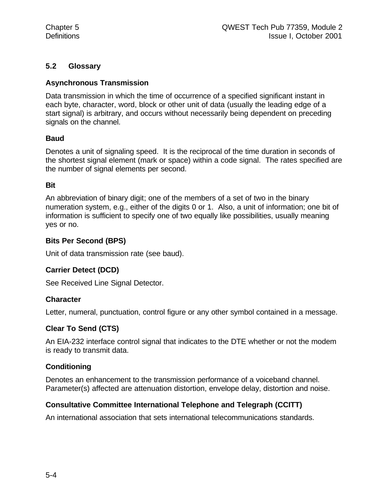# **5.2 Glossary**

# **Asynchronous Transmission**

Data transmission in which the time of occurrence of a specified significant instant in each byte, character, word, block or other unit of data (usually the leading edge of a start signal) is arbitrary, and occurs without necessarily being dependent on preceding signals on the channel.

# **Baud**

Denotes a unit of signaling speed. It is the reciprocal of the time duration in seconds of the shortest signal element (mark or space) within a code signal. The rates specified are the number of signal elements per second.

### **Bit**

An abbreviation of binary digit; one of the members of a set of two in the binary numeration system, e.g., either of the digits 0 or 1. Also, a unit of information; one bit of information is sufficient to specify one of two equally like possibilities, usually meaning yes or no.

### **Bits Per Second (BPS)**

Unit of data transmission rate (see baud).

# **Carrier Detect (DCD)**

See Received Line Signal Detector.

# **Character**

Letter, numeral, punctuation, control figure or any other symbol contained in a message.

# **Clear To Send (CTS)**

An EIA-232 interface control signal that indicates to the DTE whether or not the modem is ready to transmit data.

# **Conditioning**

Denotes an enhancement to the transmission performance of a voiceband channel. Parameter(s) affected are attenuation distortion, envelope delay, distortion and noise.

# **Consultative Committee International Telephone and Telegraph (CCITT)**

An international association that sets international telecommunications standards.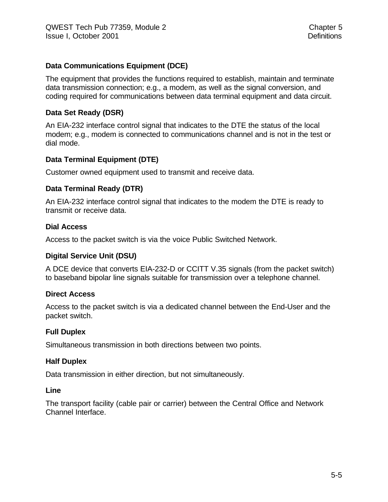# **Data Communications Equipment (DCE)**

The equipment that provides the functions required to establish, maintain and terminate data transmission connection; e.g., a modem, as well as the signal conversion, and coding required for communications between data terminal equipment and data circuit.

# **Data Set Ready (DSR)**

An EIA-232 interface control signal that indicates to the DTE the status of the local modem; e.g., modem is connected to communications channel and is not in the test or dial mode.

# **Data Terminal Equipment (DTE)**

Customer owned equipment used to transmit and receive data.

### **Data Terminal Ready (DTR)**

An EIA-232 interface control signal that indicates to the modem the DTE is ready to transmit or receive data.

#### **Dial Access**

Access to the packet switch is via the voice Public Switched Network.

#### **Digital Service Unit (DSU)**

A DCE device that converts EIA-232-D or CCITT V.35 signals (from the packet switch) to baseband bipolar line signals suitable for transmission over a telephone channel.

#### **Direct Access**

Access to the packet switch is via a dedicated channel between the End-User and the packet switch.

#### **Full Duplex**

Simultaneous transmission in both directions between two points.

#### **Half Duplex**

Data transmission in either direction, but not simultaneously.

#### **Line**

The transport facility (cable pair or carrier) between the Central Office and Network Channel Interface.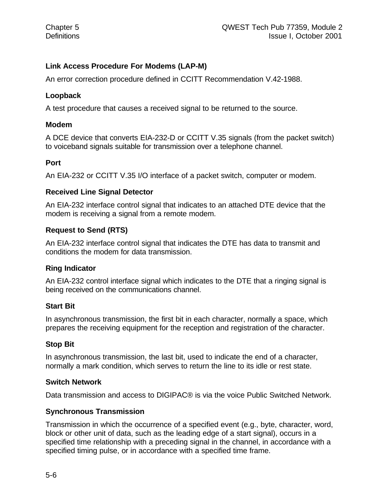# **Link Access Procedure For Modems (LAP-M)**

An error correction procedure defined in CCITT Recommendation V.42-1988.

## **Loopback**

A test procedure that causes a received signal to be returned to the source.

### **Modem**

A DCE device that converts EIA-232-D or CCITT V.35 signals (from the packet switch) to voiceband signals suitable for transmission over a telephone channel.

### **Port**

An EIA-232 or CCITT V.35 I/O interface of a packet switch, computer or modem.

### **Received Line Signal Detector**

An EIA-232 interface control signal that indicates to an attached DTE device that the modem is receiving a signal from a remote modem.

# **Request to Send (RTS)**

An EIA-232 interface control signal that indicates the DTE has data to transmit and conditions the modem for data transmission.

# **Ring Indicator**

An EIA-232 control interface signal which indicates to the DTE that a ringing signal is being received on the communications channel.

# **Start Bit**

In asynchronous transmission, the first bit in each character, normally a space, which prepares the receiving equipment for the reception and registration of the character.

# **Stop Bit**

In asynchronous transmission, the last bit, used to indicate the end of a character, normally a mark condition, which serves to return the line to its idle or rest state.

#### **Switch Network**

Data transmission and access to DIGIPAC® is via the voice Public Switched Network.

# **Synchronous Transmission**

Transmission in which the occurrence of a specified event (e.g., byte, character, word, block or other unit of data, such as the leading edge of a start signal), occurs in a specified time relationship with a preceding signal in the channel, in accordance with a specified timing pulse, or in accordance with a specified time frame.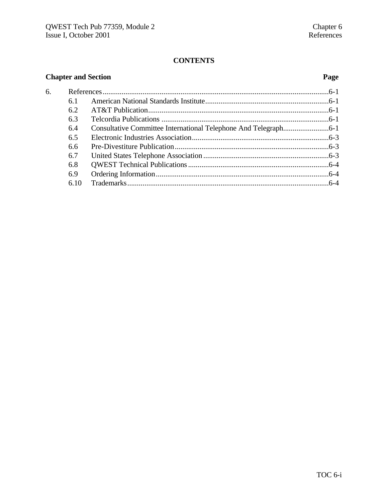# **CONTENTS**

| <b>Chapter and Section</b> |      | Page |  |
|----------------------------|------|------|--|
| 6.                         |      |      |  |
|                            | 6.1  |      |  |
|                            | 6.2  |      |  |
|                            | 6.3  |      |  |
|                            | 6.4  |      |  |
|                            | 6.5  |      |  |
|                            | 6.6  |      |  |
|                            | 6.7  |      |  |
|                            | 6.8  |      |  |
|                            | 6.9  |      |  |
|                            | 6.10 |      |  |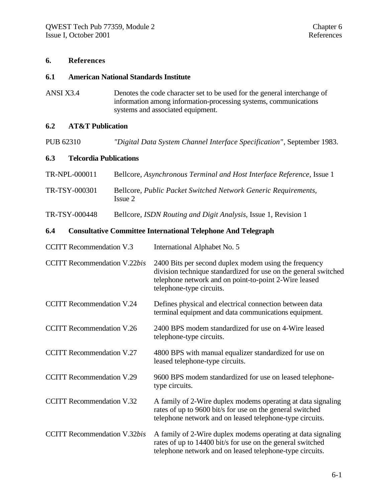#### **6. References**

#### **6.1 American National Standards Institute**

ANSI X3.4 Denotes the code character set to be used for the general interchange of information among information-processing systems, communications systems and associated equipment.

#### **6.2 AT&T Publication**

PUB 62310 *"Digital Data System Channel Interface Specification"*, September 1983.

#### **6.3 Telcordia Publications**

| TR-NPL-000011 | Bellcore, Asynchronous Terminal and Host Interface Reference, Issue 1     |
|---------------|---------------------------------------------------------------------------|
| TR-TSY-000301 | Bellcore, Public Packet Switched Network Generic Requirements,<br>Issue 2 |

TR-TSY-000448 Bellcore, *ISDN Routing and Digit Analysis,* Issue 1, Revision 1

#### **6.4 Consultative Committee International Telephone And Telegraph**

| <b>CCITT</b> Recommendation V.3     | International Alphabet No. 5                                                                                                                                                                                  |
|-------------------------------------|---------------------------------------------------------------------------------------------------------------------------------------------------------------------------------------------------------------|
| <b>CCITT</b> Recommendation V.22bis | 2400 Bits per second duplex modem using the frequency<br>division technique standardized for use on the general switched<br>telephone network and on point-to-point 2-Wire leased<br>telephone-type circuits. |
| <b>CCITT Recommendation V.24</b>    | Defines physical and electrical connection between data<br>terminal equipment and data communications equipment.                                                                                              |
| <b>CCITT</b> Recommendation V.26    | 2400 BPS modem standardized for use on 4-Wire leased<br>telephone-type circuits.                                                                                                                              |
| <b>CCITT</b> Recommendation V.27    | 4800 BPS with manual equalizer standardized for use on<br>leased telephone-type circuits.                                                                                                                     |
| <b>CCITT Recommendation V.29</b>    | 9600 BPS modem standardized for use on leased telephone-<br>type circuits.                                                                                                                                    |
| <b>CCITT</b> Recommendation V.32    | A family of 2-Wire duplex modems operating at data signaling<br>rates of up to 9600 bit/s for use on the general switched<br>telephone network and on leased telephone-type circuits.                         |
| <b>CCITT</b> Recommendation V.32bis | A family of 2-Wire duplex modems operating at data signaling<br>rates of up to 14400 bit/s for use on the general switched<br>telephone network and on leased telephone-type circuits.                        |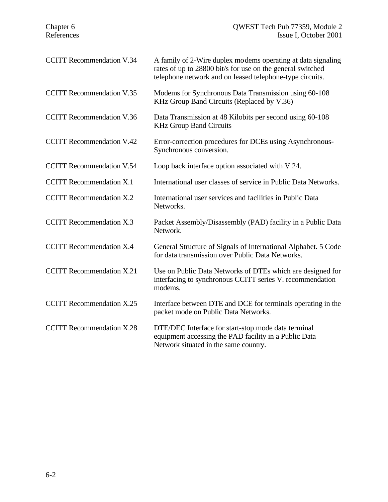| <b>CCITT Recommendation V.34</b> | A family of 2-Wire duplex modems operating at data signaling<br>rates of up to 28800 bit/s for use on the general switched<br>telephone network and on leased telephone-type circuits. |
|----------------------------------|----------------------------------------------------------------------------------------------------------------------------------------------------------------------------------------|
| <b>CCITT</b> Recommendation V.35 | Modems for Synchronous Data Transmission using 60-108<br>KHz Group Band Circuits (Replaced by V.36)                                                                                    |
| <b>CCITT</b> Recommendation V.36 | Data Transmission at 48 Kilobits per second using 60-108<br><b>KHz Group Band Circuits</b>                                                                                             |
| <b>CCITT Recommendation V.42</b> | Error-correction procedures for DCEs using Asynchronous-<br>Synchronous conversion.                                                                                                    |
| <b>CCITT Recommendation V.54</b> | Loop back interface option associated with V.24.                                                                                                                                       |
| <b>CCITT</b> Recommendation X.1  | International user classes of service in Public Data Networks.                                                                                                                         |
| <b>CCITT</b> Recommendation X.2  | International user services and facilities in Public Data<br>Networks.                                                                                                                 |
| <b>CCITT</b> Recommendation X.3  | Packet Assembly/Disassembly (PAD) facility in a Public Data<br>Network.                                                                                                                |
| <b>CCITT Recommendation X.4</b>  | General Structure of Signals of International Alphabet. 5 Code<br>for data transmission over Public Data Networks.                                                                     |
| <b>CCITT</b> Recommendation X.21 | Use on Public Data Networks of DTEs which are designed for<br>interfacing to synchronous CCITT series V. recommendation<br>modems.                                                     |
| <b>CCITT</b> Recommendation X.25 | Interface between DTE and DCE for terminals operating in the<br>packet mode on Public Data Networks.                                                                                   |
| <b>CCITT</b> Recommendation X.28 | DTE/DEC Interface for start-stop mode data terminal<br>equipment accessing the PAD facility in a Public Data<br>Network situated in the same country.                                  |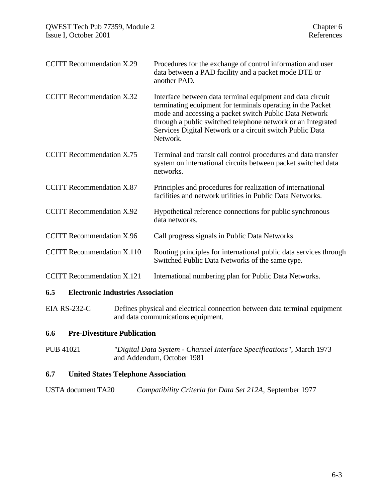| <b>CCITT Recommendation X.29</b>  | Procedures for the exchange of control information and user<br>data between a PAD facility and a packet mode DTE or<br>another PAD.                                                                                                                                                                                         |
|-----------------------------------|-----------------------------------------------------------------------------------------------------------------------------------------------------------------------------------------------------------------------------------------------------------------------------------------------------------------------------|
| <b>CCITT Recommendation X.32</b>  | Interface between data terminal equipment and data circuit<br>terminating equipment for terminals operating in the Packet<br>mode and accessing a packet switch Public Data Network<br>through a public switched telephone network or an Integrated<br>Services Digital Network or a circuit switch Public Data<br>Network. |
| <b>CCITT</b> Recommendation X.75  | Terminal and transit call control procedures and data transfer<br>system on international circuits between packet switched data<br>networks.                                                                                                                                                                                |
| <b>CCITT</b> Recommendation X.87  | Principles and procedures for realization of international<br>facilities and network utilities in Public Data Networks.                                                                                                                                                                                                     |
| <b>CCITT Recommendation X.92</b>  | Hypothetical reference connections for public synchronous<br>data networks.                                                                                                                                                                                                                                                 |
| <b>CCITT Recommendation X.96</b>  | Call progress signals in Public Data Networks                                                                                                                                                                                                                                                                               |
| <b>CCITT</b> Recommendation X.110 | Routing principles for international public data services through<br>Switched Public Data Networks of the same type.                                                                                                                                                                                                        |
| <b>CCITT</b> Recommendation X.121 | International numbering plan for Public Data Networks.                                                                                                                                                                                                                                                                      |
|                                   |                                                                                                                                                                                                                                                                                                                             |

#### **6.5 Electronic Industries Association**

EIA RS-232-C Defines physical and electrical connection between data terminal equipment and data communications equipment.

### **6.6 Pre-Divestiture Publication**

PUB 41021 *"Digital Data System - Channel Interface Specifications"*, March 1973 and Addendum, October 1981

# **6.7 United States Telephone Association**

| USTA document TA20 | Compatibility Criteria for Data Set 212A, September 1977 |  |  |
|--------------------|----------------------------------------------------------|--|--|
|--------------------|----------------------------------------------------------|--|--|